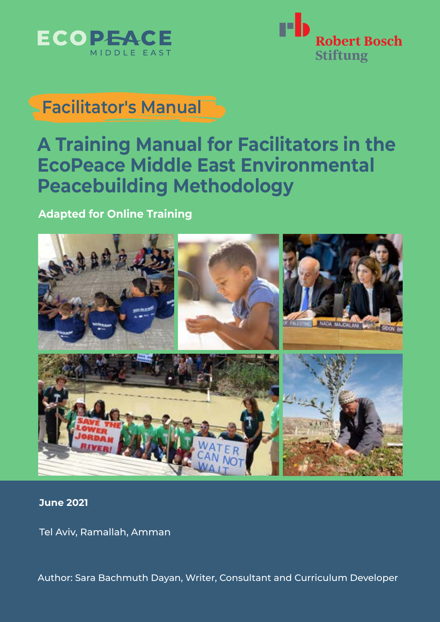



## **Facilitator's Manual**

## **A Training Manual for Facilitators in the EcoPeace Middle East Environmental Peacebuilding Methodology**

## **Adapted for Online Training**



## **June 2021**

Tel Aviv, Ramallah, Amman

Author: Sara Bachmuth Dayan, Writer, Consultant and Curriculum Developer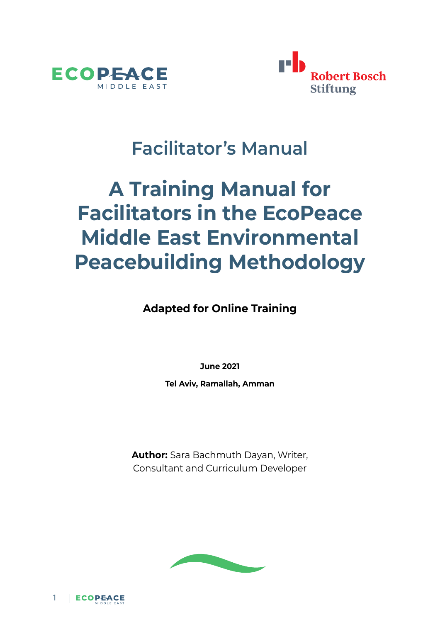



## **Facilitator's Manual**

# **A Training Manual for Facilitators in the EcoPeace Middle East Environmental Peacebuilding Methodology**

**Adapted for Online Training**

**June 2021**

**Tel Aviv, Ramallah, Amman**

**Author:** Sara Bachmuth Dayan, Writer, Consultant and Curriculum Developer



ECOPEACE 1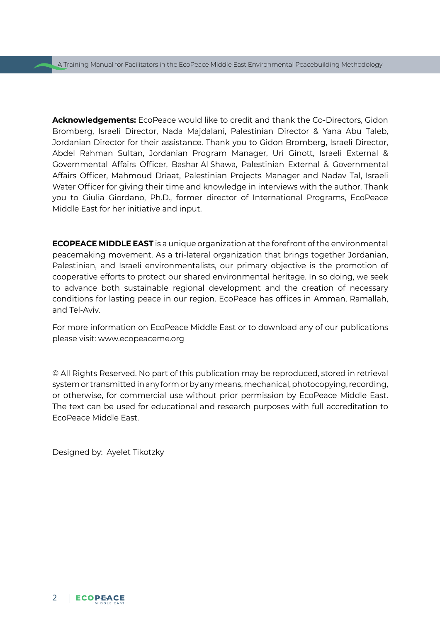**Acknowledgements:** EcoPeace would like to credit and thank the Co-Directors, Gidon Bromberg, Israeli Director, Nada Majdalani, Palestinian Director & Yana Abu Taleb, Jordanian Director for their assistance. Thank you to Gidon Bromberg, Israeli Director, Abdel Rahman Sultan, Jordanian Program Manager, Uri Ginott, Israeli External & Governmental Affairs Officer, Bashar Al Shawa, Palestinian External & Governmental Affairs Officer, Mahmoud Driaat, Palestinian Projects Manager and Nadav Tal, Israeli Water Officer for giving their time and knowledge in interviews with the author. Thank you to Giulia Giordano, Ph.D., former director of International Programs, EcoPeace Middle East for her initiative and input.

**ECOPEACE MIDDLE EAST** is a unique organization at the forefront of the environmental peacemaking movement. As a tri-lateral organization that brings together Jordanian, Palestinian, and Israeli environmentalists, our primary objective is the promotion of cooperative efforts to protect our shared environmental heritage. In so doing, we seek to advance both sustainable regional development and the creation of necessary conditions for lasting peace in our region. EcoPeace has offices in Amman, Ramallah, and Tel-Aviv.

For more information on EcoPeace Middle East or to download any of our publications please visit: [www.ecopeaceme.org](http://www.ecopeaceme.org)

© All Rights Reserved. No part of this publication may be reproduced, stored in retrieval system or transmitted in any form or by any means, mechanical, photocopying, recording, or otherwise, for commercial use without prior permission by EcoPeace Middle East. The text can be used for educational and research purposes with full accreditation to EcoPeace Middle East.

Designed by: Ayelet Tikotzky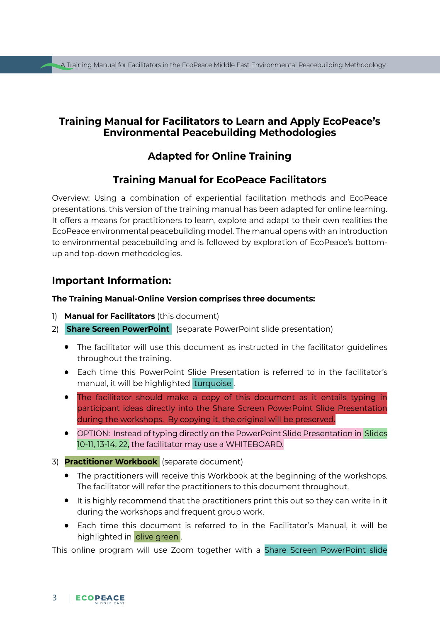## **Training Manual for Facilitators to Learn and Apply EcoPeace's Environmental Peacebuilding Methodologies**

## **Adapted for Online Training**

## **Training Manual for EcoPeace Facilitators**

Overview: Using a combination of experiential facilitation methods and EcoPeace presentations, this version of the training manual has been adapted for online learning. It offers a means for practitioners to learn, explore and adapt to their own realities the EcoPeace environmental peacebuilding model. The manual opens with an introduction to environmental peacebuilding and is followed by exploration of EcoPeace's bottomup and top-down methodologies.

## **Important Information:**

#### **The Training Manual-Online Version comprises three documents:**

- 1) **Manual for Facilitators** (this document)
- 2) **Share Screen PowerPoint** (separate PowerPoint slide presentation)
	- The facilitator will use this document as instructed in the facilitator guidelines throughout the training.
	- Each time this PowerPoint Slide Presentation is referred to in the facilitator's manual, it will be highlighted turquoise .
	- The facilitator should make a copy of this document as it entails typing in participant ideas directly into the Share Screen PowerPoint Slide Presentation during the workshops. By copying it, the original will be preserved.
	- OPTION: Instead of typing directly on the PowerPoint Slide Presentation in Slides 10-11, 13-14, 22, the facilitator may use a WHITEBOARD.
- 3) **Practitioner Workbook** (separate document)
	- The practitioners will receive this Workbook at the beginning of the workshops. The facilitator will refer the practitioners to this document throughout.
	- It is highly recommend that the practitioners print this out so they can write in it during the workshops and frequent group work.
	- Each time this document is referred to in the Facilitator's Manual, it will be highlighted in olive green.

This online program will use Zoom together with a Share Screen PowerPoint slide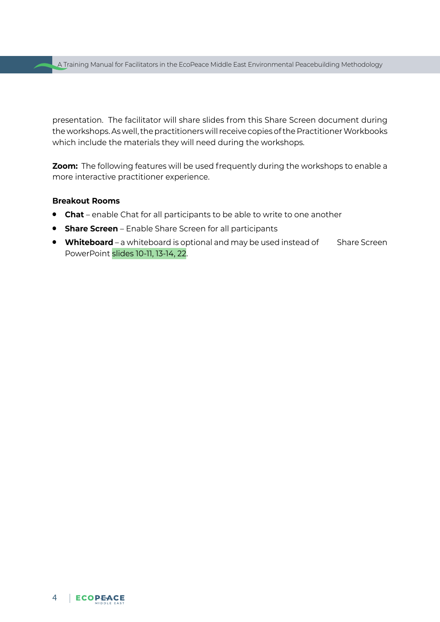presentation. The facilitator will share slides from this Share Screen document during the workshops. As well, the practitioners will receive copies of the Practitioner Workbooks which include the materials they will need during the workshops.

**Zoom:** The following features will be used frequently during the workshops to enable a more interactive practitioner experience.

#### **Breakout Rooms**

- **Chat** enable Chat for all participants to be able to write to one another
- **Share Screen** Enable Share Screen for all participants
- **Whiteboard** a whiteboard is optional and may be used instead of Share Screen PowerPoint slides 10-11, 13-14, 22.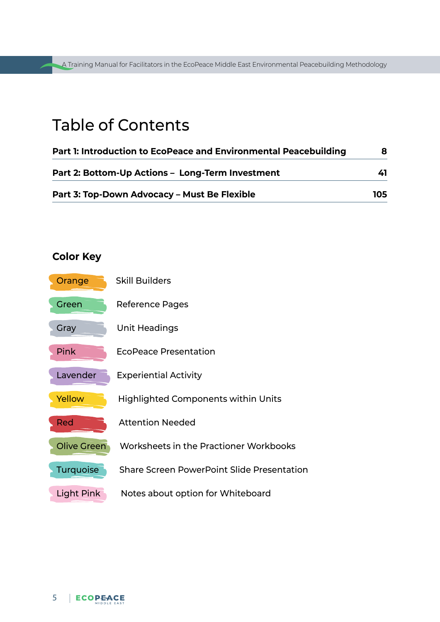A Training Manual for Facilitators in the EcoPeace Middle East Environmental Peacebuilding Methodology A Training Manual for Facilitators in the EcoPeace Middle East Environmental Peacebuilding Methodology

## Table of Contents

| Part 1: Introduction to EcoPeace and Environmental Peacebuilding |     |
|------------------------------------------------------------------|-----|
| Part 2: Bottom-Up Actions - Long-Term Investment                 | 41  |
| Part 3: Top-Down Advocacy - Must Be Flexible                     | 105 |

## **Color Key**

| Orange             | <b>Skill Builders</b>                             |
|--------------------|---------------------------------------------------|
| Green              | Reference Pages                                   |
| Gray               | Unit Headings                                     |
| Pink               | <b>EcoPeace Presentation</b>                      |
| Lavender           | <b>Experiential Activity</b>                      |
| Yellow             | <b>Highlighted Components within Units</b>        |
| <b>Red</b>         | <b>Attention Needed</b>                           |
| <b>Olive Green</b> | Worksheets in the Practioner Workbooks            |
| <b>Turquoise</b>   | <b>Share Screen PowerPoint Slide Presentation</b> |
| Light Pink         | Notes about option for Whiteboard                 |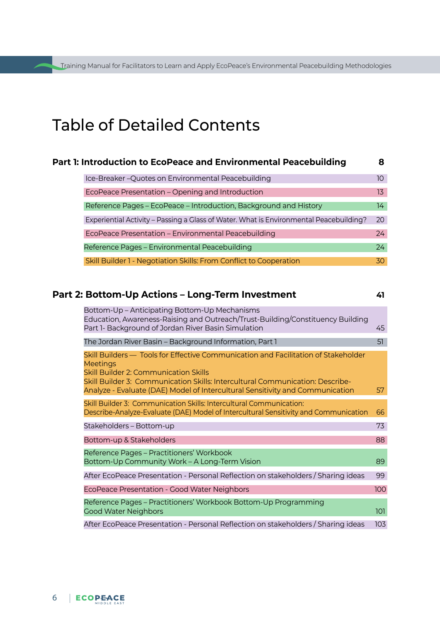## Table of Detailed Contents

| <b>Part 1: Introduction to EcoPeace and Environmental Peacebuilding</b>                |                  |
|----------------------------------------------------------------------------------------|------------------|
| Ice-Breaker-Quotes on Environmental Peacebuilding                                      | 10               |
| EcoPeace Presentation - Opening and Introduction                                       | 13 <sup>13</sup> |
| Reference Pages - EcoPeace - Introduction, Background and History                      | 14               |
| Experiential Activity – Passing a Glass of Water. What is Environmental Peacebuilding? | 20               |
| EcoPeace Presentation - Environmental Peacebuilding                                    | 24               |
| Reference Pages - Environmental Peacebuilding                                          | 24               |
| Skill Builder 1 - Negotiation Skills: From Conflict to Cooperation                     | 30               |

## **Part 2: Bottom-Up Actions – Long-Term Investment 41**

| -<br>٠<br> |  |
|------------|--|
|            |  |
|            |  |

| Bottom-Up – Anticipating Bottom-Up Mechanisms<br>Education, Awareness-Raising and Outreach/Trust-Building/Constituency Building                                                                                                        |     |
|----------------------------------------------------------------------------------------------------------------------------------------------------------------------------------------------------------------------------------------|-----|
| Part 1- Background of Jordan River Basin Simulation                                                                                                                                                                                    | 45  |
| The Jordan River Basin – Background Information, Part 1                                                                                                                                                                                | 51  |
| Skill Builders — Tools for Effective Communication and Facilitation of Stakeholder<br><b>Meetings</b><br><b>Skill Builder 2: Communication Skills</b><br>Skill Builder 3: Communication Skills: Intercultural Communication: Describe- |     |
| Analyze - Evaluate (DAE) Model of Intercultural Sensitivity and Communication                                                                                                                                                          | 57  |
| Skill Builder 3: Communication Skills: Intercultural Communication:<br>Describe-Analyze-Evaluate (DAE) Model of Intercultural Sensitivity and Communication                                                                            | 66  |
| Stakeholders - Bottom-up                                                                                                                                                                                                               | 73  |
| Bottom-up & Stakeholders                                                                                                                                                                                                               | 88  |
| Reference Pages - Practitioners' Workbook                                                                                                                                                                                              |     |
| Bottom-Up Community Work - A Long-Term Vision                                                                                                                                                                                          | 89  |
| After EcoPeace Presentation - Personal Reflection on stakeholders / Sharing ideas                                                                                                                                                      | 99  |
| EcoPeace Presentation - Good Water Neighbors                                                                                                                                                                                           | 100 |
| Reference Pages - Practitioners' Workbook Bottom-Up Programming<br><b>Good Water Neighbors</b>                                                                                                                                         | 101 |
| After EcoPeace Presentation - Personal Reflection on stakeholders / Sharing ideas                                                                                                                                                      | 103 |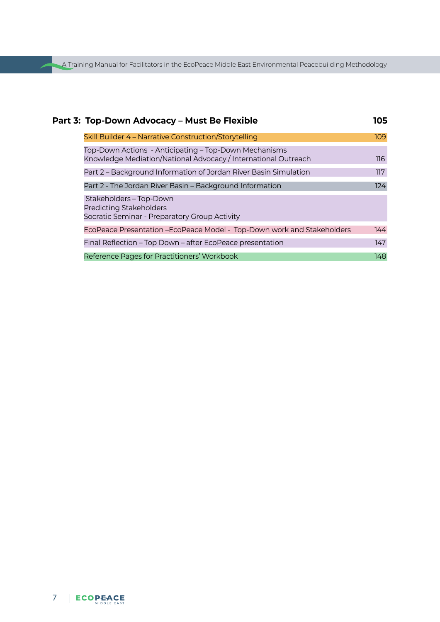A Training Manual for Facilitators in the EcoPeace Middle East Environmental Peacebuilding Methodology

| Part 3: Top-Down Advocacy - Must Be Flexible                                                                            | 105 |
|-------------------------------------------------------------------------------------------------------------------------|-----|
| Skill Builder 4 - Narrative Construction/Storytelling                                                                   | 109 |
| Top-Down Actions - Anticipating – Top-Down Mechanisms<br>Knowledge Mediation/National Advocacy / International Outreach | 116 |
| Part 2 – Background Information of Jordan River Basin Simulation                                                        | 117 |
| Part 2 - The Jordan River Basin - Background Information                                                                | 124 |
| Stakeholders - Top-Down<br><b>Predicting Stakeholders</b><br>Socratic Seminar - Preparatory Group Activity              |     |
| EcoPeace Presentation - EcoPeace Model - Top-Down work and Stakeholders                                                 | 144 |
| Final Reflection – Top Down – after EcoPeace presentation                                                               | 147 |
| Reference Pages for Practitioners' Workbook                                                                             | 148 |

## 7 |  $$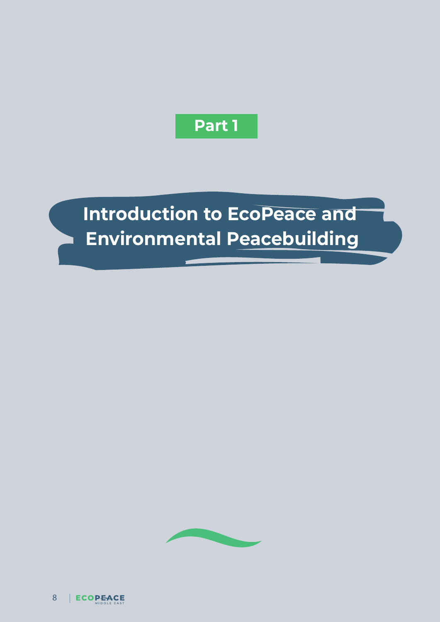## **Part 1**

# **Introduction to EcoPeace and Environmental Peacebuilding**

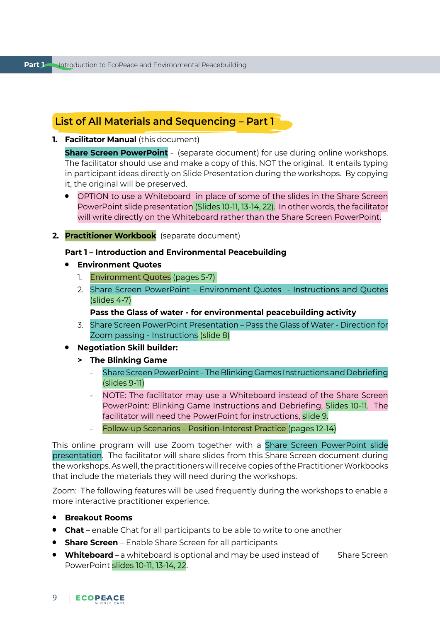## **List of All Materials and Sequencing – Part 1**

**1. Facilitator Manual** (this document)

**Share Screen PowerPoint** - (separate document) for use during online workshops. The facilitator should use and make a copy of this, NOT the original. It entails typing in participant ideas directly on Slide Presentation during the workshops. By copying it, the original will be preserved.

- OPTION to use a Whiteboard in place of some of the slides in the Share Screen PowerPoint slide presentation (Slides 10-11, 13-14, 22). In other words, the facilitator will write directly on the Whiteboard rather than the Share Screen PowerPoint.
- **2. Practitioner Workbook** (separate document)

#### **Part 1 – Introduction and Environmental Peacebuilding**

- **Environment Quotes**
	- 1. Environment Quotes (pages 5-7)
	- 2. Share Screen PowerPoint Environment Quotes Instructions and Quotes (slides 4-7)

#### **Pass the Glass of water - for environmental peacebuilding activity**

- 3. Share Screen PowerPoint Presentation Pass the Glass of Water Direction for Zoom passing - Instructions (slide 8)
- **Negotiation Skill builder:**
	- **> The Blinking Game**
		- Share Screen PowerPoint The Blinking Games Instructions and Debriefing (slides 9-11)
		- NOTE: The facilitator may use a Whiteboard instead of the Share Screen PowerPoint: Blinking Game Instructions and Debriefing, Slides 10-11. The facilitator will need the PowerPoint for instructions, slide 9.
		- Follow-up Scenarios Position-Interest Practice (pages 12-14)

This online program will use Zoom together with a Share Screen PowerPoint slide presentation. The facilitator will share slides from this Share Screen document during the workshops. As well, the practitioners will receive copies of the Practitioner Workbooks that include the materials they will need during the workshops.

Zoom: The following features will be used frequently during the workshops to enable a more interactive practitioner experience.

- **Breakout Rooms**
- **Chat** enable Chat for all participants to be able to write to one another
- **Share Screen** Enable Share Screen for all participants
- **Whiteboard** a whiteboard is optional and may be used instead of Share Screen PowerPoint slides 10-11, 13-14, 22.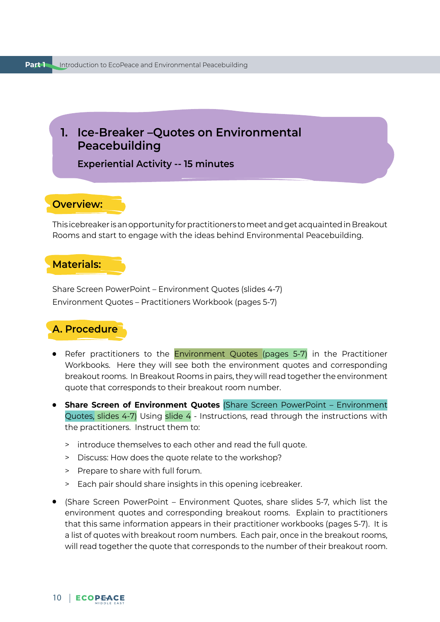<span id="page-10-0"></span>**1. Ice-Breaker –Quotes on Environmental Peacebuilding** 

**Experiential Activity -- 15 minutes**

## **Overview:**

This icebreaker is an opportunity for practitioners to meet and get acquainted in Breakout Rooms and start to engage with the ideas behind Environmental Peacebuilding.

## **Materials:**

Share Screen PowerPoint – Environment Quotes (slides 4-7) Environment Quotes – Practitioners Workbook (pages 5-7)

## **A. Procedure**

- Refer practitioners to the Environment Quotes (pages 5-7) in the Practitioner Workbooks. Here they will see both the environment quotes and corresponding breakout rooms. In Breakout Rooms in pairs, they will read together the environment quote that corresponds to their breakout room number.
- **Share Screen of Environment Quotes** (Share Screen PowerPoint Environment Quotes, slides 4-7) Using slide 4 - Instructions, read through the instructions with the practitioners. Instruct them to:
	- > introduce themselves to each other and read the full quote.
	- > Discuss: How does the quote relate to the workshop?
	- > Prepare to share with full forum.
	- > Each pair should share insights in this opening icebreaker.
- (Share Screen PowerPoint Environment Quotes, share slides 5-7, which list the environment quotes and corresponding breakout rooms. Explain to practitioners that this same information appears in their practitioner workbooks (pages 5-7). It is a list of quotes with breakout room numbers. Each pair, once in the breakout rooms, will read together the quote that corresponds to the number of their breakout room.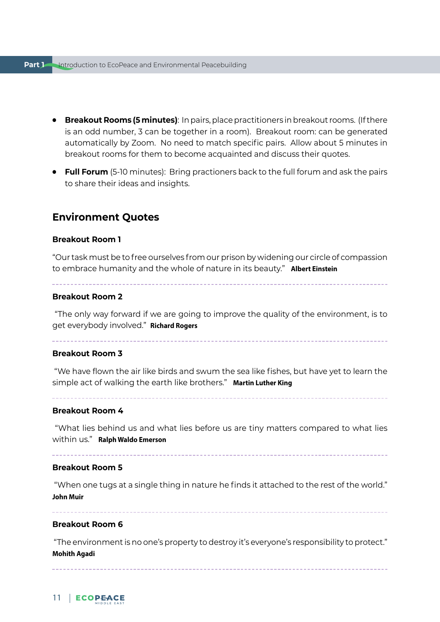- **Breakout Rooms (5 minutes)**: In pairs, place practitioners in breakout rooms. (If there is an odd number, 3 can be together in a room). Breakout room: can be generated automatically by Zoom. No need to match specific pairs. Allow about 5 minutes in breakout rooms for them to become acquainted and discuss their quotes.
- **Full Forum** (5-10 minutes): Bring practioners back to the full forum and ask the pairs to share their ideas and insights.

## **Environment Quotes**

### **Breakout Room 1**

"Our task must be to free ourselves from our prison by widening our circle of compassion to embrace humanity and the whole of nature in its beauty." **Albert Einstein**

### **Breakout Room 2**

 "The only way forward if we are going to improve the quality of the environment, is to get everybody involved." **Richard Rogers**

### **Breakout Room 3**

 "We have flown the air like birds and swum the sea like fishes, but have yet to learn the simple act of walking the earth like brothers." **Martin Luther King**

#### **Breakout Room 4**

 "What lies behind us and what lies before us are tiny matters compared to what lies within us." **Ralph Waldo Emerson**

#### **Breakout Room 5**

 "When one tugs at a single thing in nature he finds it attached to the rest of the world." **John Muir**

**Breakout Room 6**

 "The environment is no one's property to destroy it's everyone's responsibility to protect." **Mohith Agadi**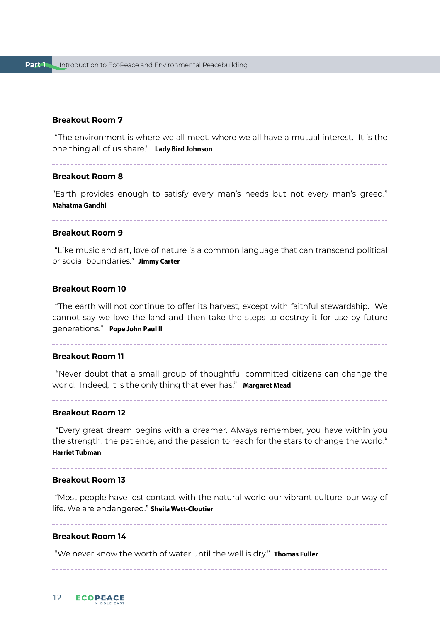#### **Breakout Room 7**

 "The environment is where we all meet, where we all have a mutual interest. It is the one thing all of us share." **Lady Bird Johnson**

#### **Breakout Room 8**

"Earth provides enough to satisfy every man's needs but not every man's greed." **Mahatma Gandhi**

#### **Breakout Room 9**

 "Like music and art, love of nature is a common language that can transcend political or social boundaries." **Jimmy Carter**

#### **Breakout Room 10**

 "The earth will not continue to offer its harvest, except with faithful stewardship. We cannot say we love the land and then take the steps to destroy it for use by future generations." **Pope John Paul II**

#### **Breakout Room 11**

 "Never doubt that a small group of thoughtful committed citizens can change the world. Indeed, it is the only thing that ever has." **Margaret Mead**

#### **Breakout Room 12**

 "Every great dream begins with a dreamer. Always remember, you have within you the strength, the patience, and the passion to reach for the stars to change the world." **Harriet Tubman**

#### **Breakout Room 13**

 "Most people have lost contact with the natural world our vibrant culture, our way of life. We are endangered." **Sheila Watt-Cloutier**

#### **Breakout Room 14**

"We never know the worth of water until the well is dry." **Thomas Fuller**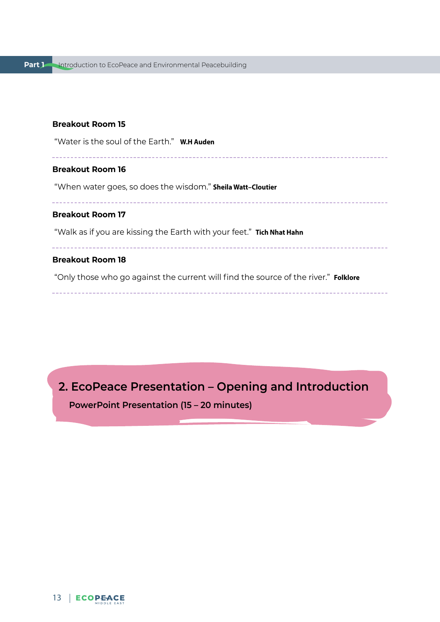#### <span id="page-13-0"></span>**Breakout Room 15**

"Water is the soul of the Earth." **W.H Auden**

\_\_\_\_\_\_\_\_\_\_\_\_\_\_\_\_

#### **Breakout Room 16**

"When water goes, so does the wisdom." **Sheila Watt–Cloutier**

#### **Breakout Room 17**

"Walk as if you are kissing the Earth with your feet." **Tich Nhat Hahn**

#### **Breakout Room 18**

"Only those who go against the current will find the source of the river." **Folklore**

**2. EcoPeace Presentation – Opening and Introduction**

**PowerPoint Presentation (15 – 20 minutes)**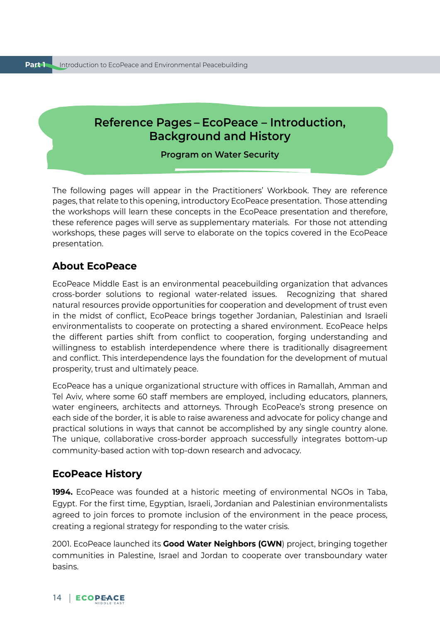## <span id="page-14-0"></span>**Reference Pages – EcoPeace – Introduction, Background and History**

#### **Program on Water Security**

The following pages will appear in the Practitioners' Workbook. They are reference pages, that relate to this opening, introductory EcoPeace presentation. Those attending the workshops will learn these concepts in the EcoPeace presentation and therefore, these reference pages will serve as supplementary materials. For those not attending workshops, these pages will serve to elaborate on the topics covered in the EcoPeace presentation.

## **About EcoPeace**

EcoPeace Middle East is an environmental peacebuilding organization that advances cross-border solutions to regional water-related issues. Recognizing that shared natural resources provide opportunities for cooperation and development of trust even in the midst of conflict, EcoPeace brings together Jordanian, Palestinian and Israeli environmentalists to cooperate on protecting a shared environment. EcoPeace helps the different parties shift from conflict to cooperation, forging understanding and willingness to establish interdependence where there is traditionally disagreement and conflict. This interdependence lays the foundation for the development of mutual prosperity, trust and ultimately peace.

EcoPeace has a unique organizational structure with offices in Ramallah, Amman and Tel Aviv, where some 60 staff members are employed, including educators, planners, water engineers, architects and attorneys. Through EcoPeace's strong presence on each side of the border, it is able to raise awareness and advocate for policy change and practical solutions in ways that cannot be accomplished by any single country alone. The unique, collaborative cross-border approach successfully integrates bottom-up community-based action with top-down research and advocacy.

## **EcoPeace History**

**1994.** EcoPeace was founded at a historic meeting of environmental NGOs in Taba, Egypt. For the first time, Egyptian, Israeli, Jordanian and Palestinian environmentalists agreed to join forces to promote inclusion of the environment in the peace process, creating a regional strategy for responding to the water crisis.

2001. EcoPeace launched its **Good Water Neighbors (GWN**) project, bringing together communities in Palestine, Israel and Jordan to cooperate over transboundary water basins.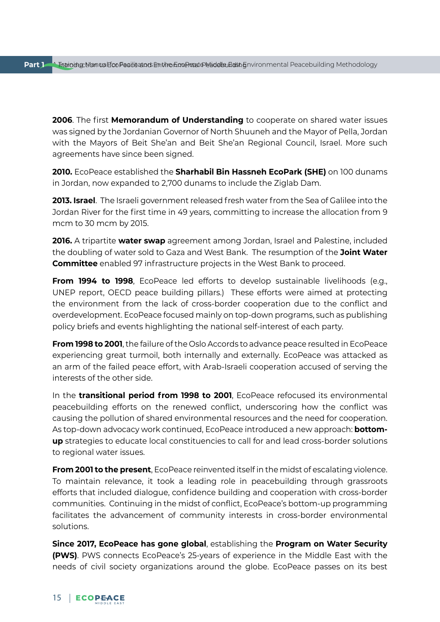**2006**. The first **Memorandum of Understanding** to cooperate on shared water issues was signed by the Jordanian Governor of North Shuuneh and the Mayor of Pella, Jordan with the Mayors of Beit She'an and Beit She'an Regional Council, Israel. More such agreements have since been signed.

**2010.** EcoPeace established the **Sharhabil Bin Hassneh EcoPark (SHE)** on 100 dunams in Jordan, now expanded to 2,700 dunams to include the Ziglab Dam.

**2013. Israel**. The Israeli government released fresh water from the Sea of Galilee into the Jordan River for the first time in 49 years, committing to increase the allocation from 9 mcm to 30 mcm by 2015.

**2016.** A tripartite **water swap** agreement among Jordan, Israel and Palestine, included the doubling of water sold to Gaza and West Bank. The resumption of the **Joint Water Committee** enabled 97 infrastructure projects in the West Bank to proceed.

**From 1994 to 1998**, EcoPeace led efforts to develop sustainable livelihoods (e.g., UNEP report, OECD peace building pillars.) These efforts were aimed at protecting the environment from the lack of cross-border cooperation due to the conflict and overdevelopment. EcoPeace focused mainly on top-down programs, such as publishing policy briefs and events highlighting the national self-interest of each party.

**From 1998 to 2001**, the failure of the Oslo Accords to advance peace resulted in EcoPeace experiencing great turmoil, both internally and externally. EcoPeace was attacked as an arm of the failed peace effort, with Arab-Israeli cooperation accused of serving the interests of the other side.

In the **transitional period from 1998 to 2001**, EcoPeace refocused its environmental peacebuilding efforts on the renewed conflict, underscoring how the conflict was causing the pollution of shared environmental resources and the need for cooperation. As top-down advocacy work continued, EcoPeace introduced a new approach: **bottomup** strategies to educate local constituencies to call for and lead cross-border solutions to regional water issues.

**From 2001 to the present**, EcoPeace reinvented itself in the midst of escalating violence. To maintain relevance, it took a leading role in peacebuilding through grassroots efforts that included dialogue, confidence building and cooperation with cross-border communities. Continuing in the midst of conflict, EcoPeace's bottom-up programming facilitates the advancement of community interests in cross-border environmental solutions.

**Since 2017, EcoPeace has gone global**, establishing the **Program on Water Security (PWS)**. PWS connects EcoPeace's 25-years of experience in the Middle East with the needs of civil society organizations around the globe. EcoPeace passes on its best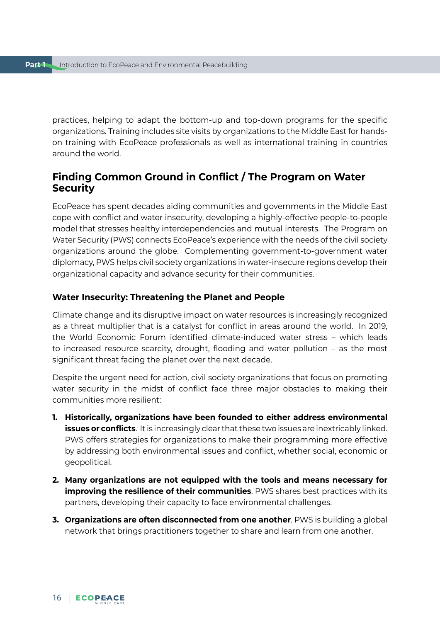practices, helping to adapt the bottom-up and top-down programs for the specific organizations. Training includes site visits by organizations to the Middle East for handson training with EcoPeace professionals as well as international training in countries around the world.

## **Finding Common Ground in Conflict / The Program on Water Security**

EcoPeace has spent decades aiding communities and governments in the Middle East cope with conflict and water insecurity, developing a highly-effective people-to-people model that stresses healthy interdependencies and mutual interests. The Program on Water Security (PWS) connects EcoPeace's experience with the needs of the civil society organizations around the globe. Complementing government-to-government water diplomacy, PWS helps civil society organizations in water-insecure regions develop their organizational capacity and advance security for their communities.

#### **Water Insecurity: Threatening the Planet and People**

Climate change and its disruptive impact on water resources is increasingly recognized as a threat multiplier that is a catalyst for conflict in areas around the world. In 2019, the World Economic Forum identified climate-induced water stress – which leads to increased resource scarcity, drought, flooding and water pollution – as the most significant threat facing the planet over the next decade.

Despite the urgent need for action, civil society organizations that focus on promoting water security in the midst of conflict face three major obstacles to making their communities more resilient:

- **1. Historically, organizations have been founded to either address environmental issues or conflicts**. It is increasingly clear that these two issues are inextricably linked. PWS offers strategies for organizations to make their programming more effective by addressing both environmental issues and conflict, whether social, economic or geopolitical.
- **2. Many organizations are not equipped with the tools and means necessary for improving the resilience of their communities**. PWS shares best practices with its partners, developing their capacity to face environmental challenges.
- **3. Organizations are often disconnected from one another**. PWS is building a global network that brings practitioners together to share and learn from one another.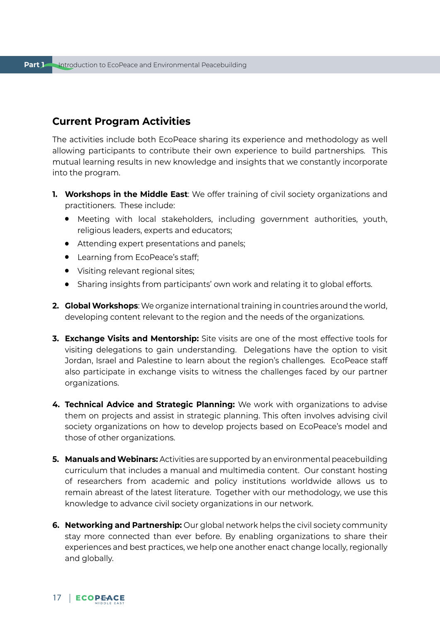## **Current Program Activities**

The activities include both EcoPeace sharing its experience and methodology as well allowing participants to contribute their own experience to build partnerships. This mutual learning results in new knowledge and insights that we constantly incorporate into the program.

- **1. Workshops in the Middle East**: We offer training of civil society organizations and practitioners. These include:
	- Meeting with local stakeholders, including government authorities, youth, religious leaders, experts and educators;
	- Attending expert presentations and panels;
	- Learning from EcoPeace's staff;
	- Visiting relevant regional sites;
	- Sharing insights from participants' own work and relating it to global efforts.
- **2. Global Workshops**: We organize international training in countries around the world, developing content relevant to the region and the needs of the organizations.
- **3. Exchange Visits and Mentorship:** Site visits are one of the most effective tools for visiting delegations to gain understanding. Delegations have the option to visit Jordan, Israel and Palestine to learn about the region's challenges. EcoPeace staff also participate in exchange visits to witness the challenges faced by our partner organizations.
- **4. Technical Advice and Strategic Planning:** We work with organizations to advise them on projects and assist in strategic planning. This often involves advising civil society organizations on how to develop projects based on EcoPeace's model and those of other organizations.
- **5. Manuals and Webinars:** Activities are supported by an environmental peacebuilding curriculum that includes a manual and multimedia content. Our constant hosting of researchers from academic and policy institutions worldwide allows us to remain abreast of the latest literature. Together with our methodology, we use this knowledge to advance civil society organizations in our network.
- **6. Networking and Partnership:** Our global network helps the civil society community stay more connected than ever before. By enabling organizations to share their experiences and best practices, we help one another enact change locally, regionally and globally.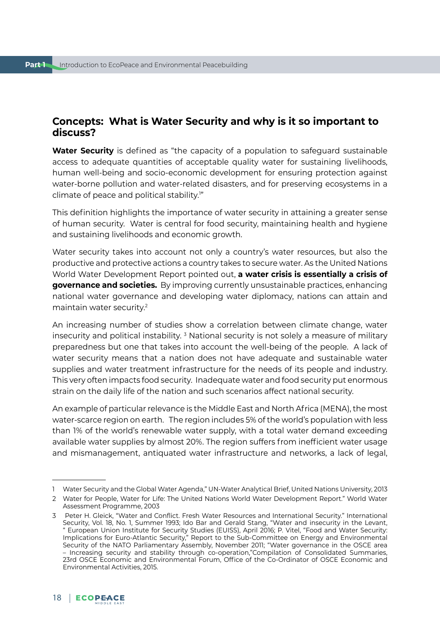## **Concepts: What is Water Security and why is it so important to discuss?**

**Water Security** is defined as "the capacity of a population to safeguard sustainable access to adequate quantities of acceptable quality water for sustaining livelihoods, human well-being and socio-economic development for ensuring protection against water-borne pollution and water-related disasters, and for preserving ecosystems in a climate of peace and political stability.1 "

This definition highlights the importance of water security in attaining a greater sense of human security. Water is central for food security, maintaining health and hygiene and sustaining livelihoods and economic growth.

Water security takes into account not only a country's water resources, but also the productive and protective actions a country takes to secure water. As the United Nations World Water Development Report pointed out, **a water crisis is essentially a crisis of governance and societies.** By improving currently unsustainable practices, enhancing national water governance and developing water diplomacy, nations can attain and maintain water security.2

An increasing number of studies show a correlation between climate change, water insecurity and political instability. <sup>3</sup> National security is not solely a measure of military preparedness but one that takes into account the well-being of the people. A lack of water security means that a nation does not have adequate and sustainable water supplies and water treatment infrastructure for the needs of its people and industry. This very often impacts food security. Inadequate water and food security put enormous strain on the daily life of the nation and such scenarios affect national security.

An example of particular relevance is the Middle East and North Africa (MENA), the most water-scarce region on earth. The region includes 5% of the world's population with less than 1% of the world's renewable water supply, with a total water demand exceeding available water supplies by almost 20%. The region suffers from inefficient water usage and mismanagement, antiquated water infrastructure and networks, a lack of legal,

<sup>1</sup> Water Security and the Global Water Agenda," UN-Water Analytical Brief, United Nations University, 2013

<sup>2</sup> Water for People, Water for Life: The United Nations World Water Development Report." World Water Assessment Programme, 2003

<sup>3</sup> Peter H. Gleick, "Water and Conflict. Fresh Water Resources and International Security." International Security, Vol. 18, No. 1, Summer 1993; Ido Bar and Gerald Stang, "Water and insecurity in the Levant, " European Union Institute for Security Studies (EUISS), April 2016; P. Vitel, "Food and Water Security: Implications for Euro-Atlantic Security," Report to the Sub-Committee on Energy and Environmental Security of the NATO Parliamentary Assembly, November 2011; "Water governance in the OSCE area – Increasing security and stability through co-operation,"Compilation of Consolidated Summaries, 23rd OSCE Economic and Environmental Forum, Office of the Co-Ordinator of OSCE Economic and Environmental Activities, 2015.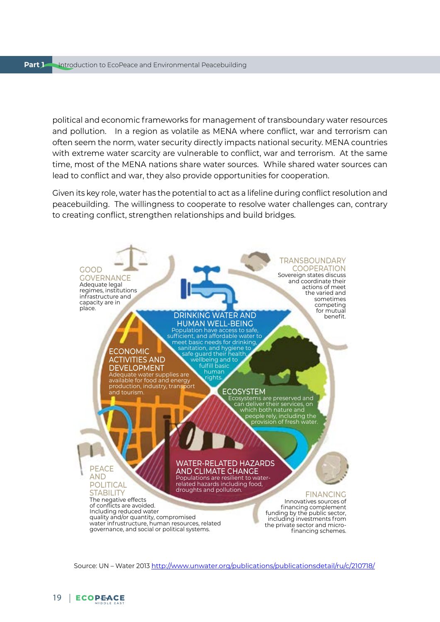political and economic frameworks for management of transboundary water resources and pollution. In a region as volatile as MENA where conflict, war and terrorism can often seem the norm, water security directly impacts national security. MENA countries with extreme water scarcity are vulnerable to conflict, war and terrorism. At the same time, most of the MENA nations share water sources. While shared water sources can lead to conflict and war, they also provide opportunities for cooperation.

Given its key role, water has the potential to act as a lifeline during conflict resolution and peacebuilding. The willingness to cooperate to resolve water challenges can, contrary to creating conflict, strengthen relationships and build bridges.



Source: UN – Water 2013 <http://www.unwater.org/publications/publicationsdetail/ru/c/210718/>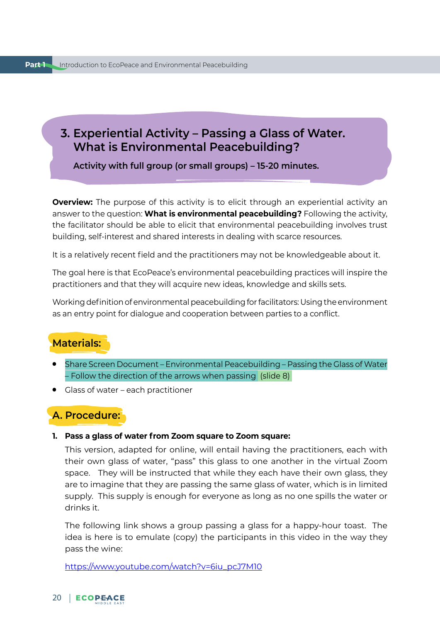## <span id="page-20-0"></span>**3. Experiential Activity – Passing a Glass of Water. What is Environmental Peacebuilding?**

**Activity with full group (or small groups) – 15-20 minutes.** 

**Overview:** The purpose of this activity is to elicit through an experiential activity an answer to the question: **What is environmental peacebuilding?** Following the activity, the facilitator should be able to elicit that environmental peacebuilding involves trust building, self-interest and shared interests in dealing with scarce resources.

It is a relatively recent field and the practitioners may not be knowledgeable about it.

The goal here is that EcoPeace's environmental peacebuilding practices will inspire the practitioners and that they will acquire new ideas, knowledge and skills sets.

Working definition of environmental peacebuilding for facilitators: Using the environment as an entry point for dialogue and cooperation between parties to a conflict.

## **Materials:**

- Share Screen Document Environmental Peacebuilding Passing the Glass of Water – Follow the direction of the arrows when passing (slide 8)
- Glass of water each practitioner

## **A. Procedure:**

**1. Pass a glass of water from Zoom square to Zoom square:** 

This version, adapted for online, will entail having the practitioners, each with their own glass of water, "pass" this glass to one another in the virtual Zoom space. They will be instructed that while they each have their own glass, they are to imagine that they are passing the same glass of water, which is in limited supply. This supply is enough for everyone as long as no one spills the water or drinks it.

The following link shows a group passing a glass for a happy-hour toast. The idea is here is to emulate (copy) the participants in this video in the way they pass the wine:

[https://www.youtube.com/watch?v=6iu\\_pcJ7M10](https://www.youtube.com/watch?v=6iu_pcJ7M10)

## 20 | ECOPEACE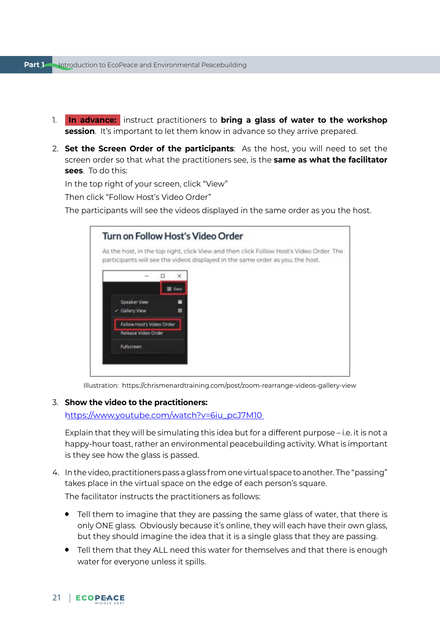- 1. **In advance:** instruct practitioners to **bring a glass of water to the workshop session**. It's important to let them know in advance so they arrive prepared.
- 2. **Set the Screen Order of the participants**: As the host, you will need to set the screen order so that what the practitioners see, is the **same as what the facilitator sees**. To do this:

In the top right of your screen, click "View"

Then click "Follow Host's Video Order"

The participants will see the videos displayed in the same order as you the host.

| As the host, in the top right, click View and then click Follow Host's Video Order. The<br>participants will see the videos displayed in the same order as you, the host. |                 |  |  |  |
|---------------------------------------------------------------------------------------------------------------------------------------------------------------------------|-----------------|--|--|--|
|                                                                                                                                                                           | ×               |  |  |  |
|                                                                                                                                                                           | <b>III</b> View |  |  |  |
| Speaker View                                                                                                                                                              |                 |  |  |  |
| - Gallery View                                                                                                                                                            | н               |  |  |  |
| Fallow Host's Video Order                                                                                                                                                 |                 |  |  |  |
| Release Video Crder                                                                                                                                                       |                 |  |  |  |
| Fullscreen                                                                                                                                                                |                 |  |  |  |

Illustration: https://chrismenardtraining.com/post/zoom-rearrange-videos-gallery-view

#### 3. **Show the video to the practitioners:**

[https://www.youtube.com/watch?v=6iu\\_pcJ7M10](https://www.youtube.com/watch?v=6iu_pcJ7M10)

Explain that they will be simulating this idea but for a different purpose – i.e. it is not a happy-hour toast, rather an environmental peacebuilding activity. What is important is they see how the glass is passed.

- 4. In the video, practitioners pass a glass from one virtual space to another. The "passing" takes place in the virtual space on the edge of each person's square. The facilitator instructs the practitioners as follows:
	- Tell them to imagine that they are passing the same glass of water, that there is only ONE glass. Obviously because it's online, they will each have their own glass, but they should imagine the idea that it is a single glass that they are passing.
	- Tell them that they ALL need this water for themselves and that there is enough water for everyone unless it spills.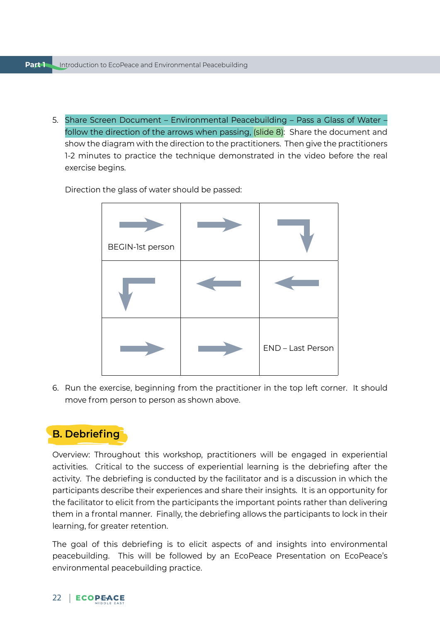5. Share Screen Document – Environmental Peacebuilding – Pass a Glass of Water – follow the direction of the arrows when passing, (slide 8): Share the document and show the diagram with the direction to the practitioners. Then give the practitioners 1-2 minutes to practice the technique demonstrated in the video before the real exercise begins.

Direction the glass of water should be passed:

| BEGIN-1st person |                   |
|------------------|-------------------|
|                  |                   |
|                  | END - Last Person |

6. Run the exercise, beginning from the practitioner in the top left corner. It should move from person to person as shown above.

## **B. Debriefing**

Overview: Throughout this workshop, practitioners will be engaged in experiential activities. Critical to the success of experiential learning is the debriefing after the activity. The debriefing is conducted by the facilitator and is a discussion in which the participants describe their experiences and share their insights. It is an opportunity for the facilitator to elicit from the participants the important points rather than delivering them in a frontal manner. Finally, the debriefing allows the participants to lock in their learning, for greater retention.

The goal of this debriefing is to elicit aspects of and insights into environmental peacebuilding. This will be followed by an EcoPeace Presentation on EcoPeace's environmental peacebuilding practice.

#### 22 | ECOPEACE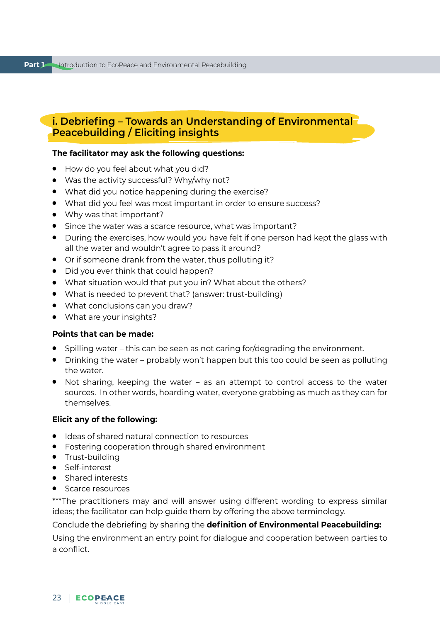## **i. Debriefing – Towards an Understanding of Environmental Peacebuilding / Eliciting insights**

#### **The facilitator may ask the following questions:**

- How do you feel about what you did?
- Was the activity successful? Why/why not?
- What did you notice happening during the exercise?
- What did you feel was most important in order to ensure success?
- Why was that important?
- Since the water was a scarce resource, what was important?
- During the exercises, how would you have felt if one person had kept the glass with all the water and wouldn't agree to pass it around?
- Or if someone drank from the water, thus polluting it?
- Did you ever think that could happen?
- What situation would that put you in? What about the others?
- What is needed to prevent that? (answer: trust-building)
- What conclusions can you draw?
- What are your insights?

#### **Points that can be made:**

- Spilling water this can be seen as not caring for/degrading the environment.
- Drinking the water probably won't happen but this too could be seen as polluting the water.
- Not sharing, keeping the water as an attempt to control access to the water sources. In other words, hoarding water, everyone grabbing as much as they can for themselves.

#### **Elicit any of the following:**

- Ideas of shared natural connection to resources
- Fostering cooperation through shared environment
- Trust-building
- Self-interest
- Shared interests
- Scarce resources

\*\*\*The practitioners may and will answer using different wording to express similar ideas; the facilitator can help guide them by offering the above terminology.

Conclude the debriefing by sharing the **definition of Environmental Peacebuilding:**

Using the environment an entry point for dialogue and cooperation between parties to a conflict.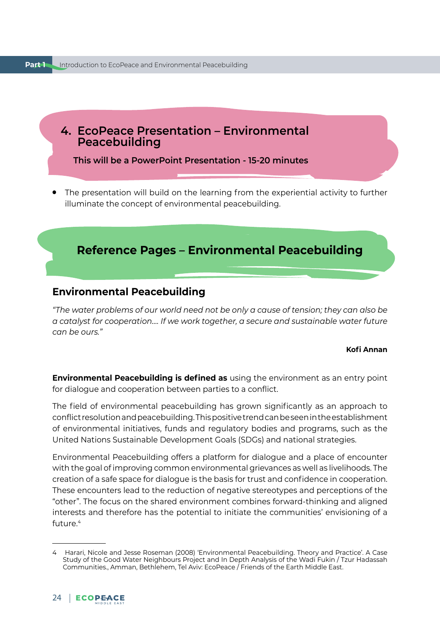<span id="page-24-0"></span>

**This will be a PowerPoint Presentation - 15-20 minutes**

The presentation will build on the learning from the experiential activity to further illuminate the concept of environmental peacebuilding.

## **Reference Pages – Environmental Peacebuilding**

## **Environmental Peacebuilding**

*"The water problems of our world need not be only a cause of tension; they can also be a catalyst for cooperation…. If we work together, a secure and sustainable water future can be ours."* 

#### **Kofi Annan**

**Environmental Peacebuilding is defined as** using the environment as an entry point for dialogue and cooperation between parties to a conflict.

The field of environmental peacebuilding has grown significantly as an approach to conflict resolution and peacebuilding. This positive trend can be seen in the establishment of environmental initiatives, funds and regulatory bodies and programs, such as the United Nations Sustainable Development Goals (SDGs) and national strategies.

Environmental Peacebuilding offers a platform for dialogue and a place of encounter with the goal of improving common environmental grievances as well as livelihoods. The creation of a safe space for dialogue is the basis for trust and confidence in cooperation. These encounters lead to the reduction of negative stereotypes and perceptions of the "other". The focus on the shared environment combines forward-thinking and aligned interests and therefore has the potential to initiate the communities' envisioning of a future  $4$ 

<sup>4</sup> Harari, Nicole and Jesse Roseman (2008) 'Environmental Peacebuilding. Theory and Practice'. A Case Study of the Good Water Neighbours Project and In Depth Analysis of the Wadi Fukin / Tzur Hadassah Communities., Amman, Bethlehem, Tel Aviv: EcoPeace / Friends of the Earth Middle East.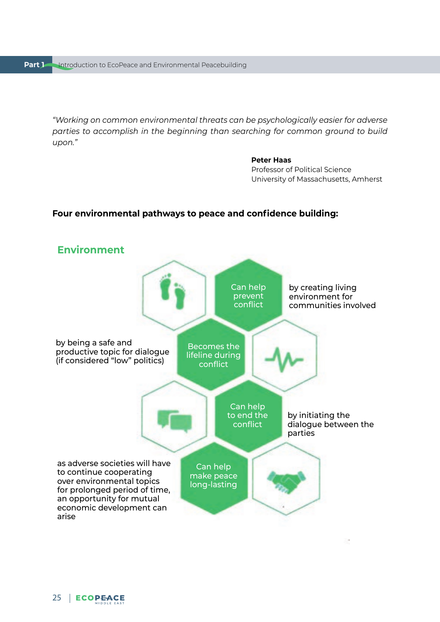*"Working on common environmental threats can be psychologically easier for adverse parties to accomplish in the beginning than searching for common ground to build upon."*

#### **Peter Haas**

Professor of Political Science University of Massachusetts, Amherst

#### **Four environmental pathways to peace and confidence building:**

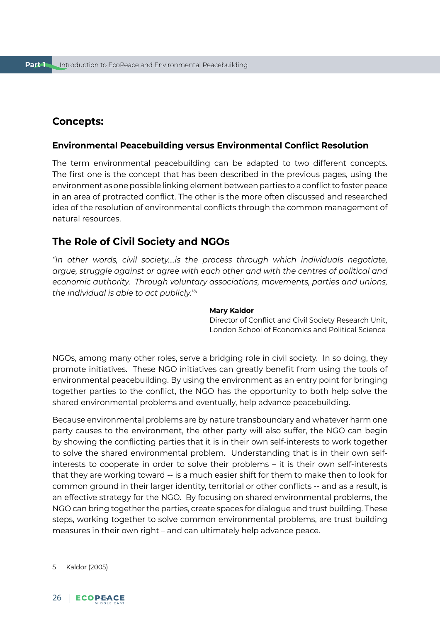## **Concepts:**

#### **Environmental Peacebuilding versus Environmental Conflict Resolution**

The term environmental peacebuilding can be adapted to two different concepts. The first one is the concept that has been described in the previous pages, using the environment as one possible linking element between parties to a conflict to foster peace in an area of protracted conflict. The other is the more often discussed and researched idea of the resolution of environmental conflicts through the common management of natural resources.

## **The Role of Civil Society and NGOs**

*"In other words, civil society….is the process through which individuals negotiate, argue, struggle against or agree with each other and with the centres of political and economic authority. Through voluntary associations, movements, parties and unions, the individual is able to act publicly."5*

#### **Mary Kaldor**

Director of Conflict and Civil Society Research Unit, London School of Economics and Political Science

NGOs, among many other roles, serve a bridging role in civil society. In so doing, they promote initiatives. These NGO initiatives can greatly benefit from using the tools of environmental peacebuilding. By using the environment as an entry point for bringing together parties to the conflict, the NGO has the opportunity to both help solve the shared environmental problems and eventually, help advance peacebuilding.

Because environmental problems are by nature transboundary and whatever harm one party causes to the environment, the other party will also suffer, the NGO can begin by showing the conflicting parties that it is in their own self-interests to work together to solve the shared environmental problem. Understanding that is in their own selfinterests to cooperate in order to solve their problems – it is their own self-interests that they are working toward -- is a much easier shift for them to make then to look for common ground in their larger identity, territorial or other conflicts -- and as a result, is an effective strategy for the NGO. By focusing on shared environmental problems, the NGO can bring together the parties, create spaces for dialogue and trust building. These steps, working together to solve common environmental problems, are trust building measures in their own right – and can ultimately help advance peace.

<sup>5</sup> Kaldor (2005)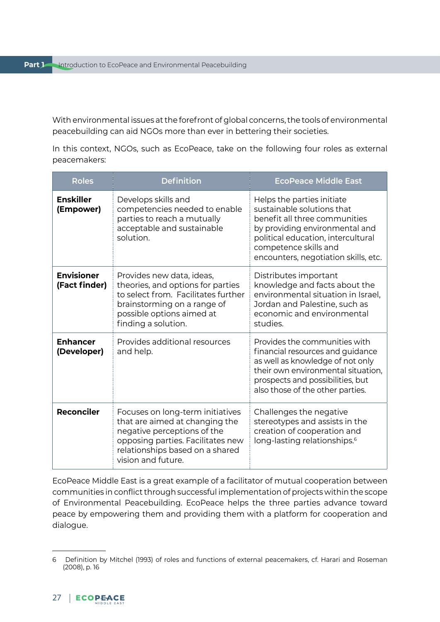With environmental issues at the forefront of global concerns, the tools of environmental peacebuilding can aid NGOs more than ever in bettering their societies.

In this context, NGOs, such as EcoPeace, take on the following four roles as external peacemakers:

| <b>Roles</b>                       | <b>Definition</b>                                                                                                                                                                               | <b>EcoPeace Middle East</b>                                                                                                                                                                                                        |
|------------------------------------|-------------------------------------------------------------------------------------------------------------------------------------------------------------------------------------------------|------------------------------------------------------------------------------------------------------------------------------------------------------------------------------------------------------------------------------------|
| <b>Enskiller</b><br>(Empower)      | Develops skills and<br>competencies needed to enable<br>parties to reach a mutually<br>acceptable and sustainable<br>solution.                                                                  | Helps the parties initiate<br>sustainable solutions that<br>benefit all three communities<br>by providing environmental and<br>political education, intercultural<br>competence skills and<br>encounters, negotiation skills, etc. |
| <b>Envisioner</b><br>(Fact finder) | Provides new data, ideas,<br>theories, and options for parties<br>to select from. Facilitates further<br>brainstorming on a range of<br>possible options aimed at<br>finding a solution.        | Distributes important<br>knowledge and facts about the<br>environmental situation in Israel.<br>Jordan and Palestine, such as<br>economic and environmental<br>studies.                                                            |
| <b>Enhancer</b><br>(Developer)     | Provides additional resources<br>and help.                                                                                                                                                      | Provides the communities with<br>financial resources and guidance<br>as well as knowledge of not only<br>their own environmental situation,<br>prospects and possibilities, but<br>also those of the other parties.                |
| <b>Reconciler</b>                  | Focuses on long-term initiatives<br>that are aimed at changing the<br>negative perceptions of the<br>opposing parties. Facilitates new<br>relationships based on a shared<br>vision and future. | Challenges the negative<br>stereotypes and assists in the<br>creation of cooperation and<br>long-lasting relationships. <sup>6</sup>                                                                                               |

EcoPeace Middle East is a great example of a facilitator of mutual cooperation between communities in conflict through successful implementation of projects within the scope of Environmental Peacebuilding. EcoPeace helps the three parties advance toward peace by empowering them and providing them with a platform for cooperation and dialogue.

<sup>6</sup> Definition by Mitchel (1993) of roles and functions of external peacemakers, cf. Harari and Roseman (2008), p. 16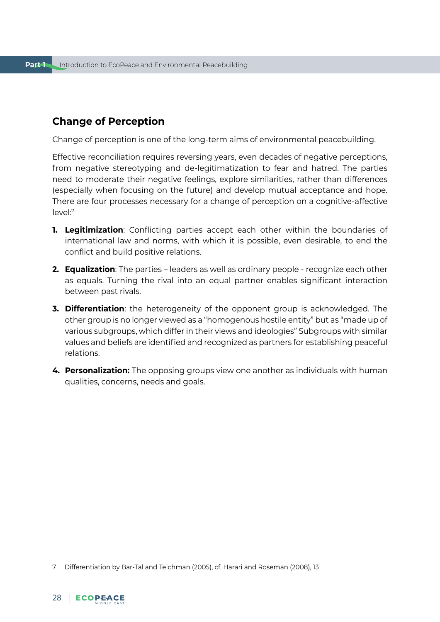## **Change of Perception**

Change of perception is one of the long-term aims of environmental peacebuilding.

Effective reconciliation requires reversing years, even decades of negative perceptions, from negative stereotyping and de-legitimatization to fear and hatred. The parties need to moderate their negative feelings, explore similarities, rather than differences (especially when focusing on the future) and develop mutual acceptance and hope. There are four processes necessary for a change of perception on a cognitive-affective level:7

- **1. Legitimization**: Conflicting parties accept each other within the boundaries of international law and norms, with which it is possible, even desirable, to end the conflict and build positive relations.
- **2. Equalization**: The parties leaders as well as ordinary people recognize each other as equals. Turning the rival into an equal partner enables significant interaction between past rivals.
- **3. Differentiation**: the heterogeneity of the opponent group is acknowledged. The other group is no longer viewed as a "homogenous hostile entity" but as "made up of various subgroups, which differ in their views and ideologies" Subgroups with similar values and beliefs are identified and recognized as partners for establishing peaceful relations.
- **4. Personalization:** The opposing groups view one another as individuals with human qualities, concerns, needs and goals.

<sup>7</sup> Differentiation by Bar-Tal and Teichman (2005), cf. Harari and Roseman (2008), 13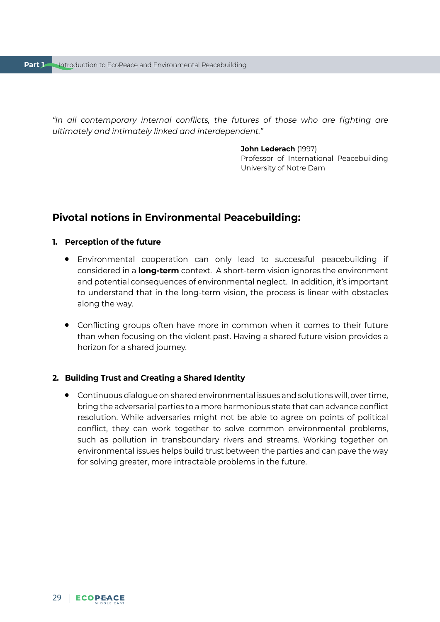*"In all contemporary internal conflicts, the futures of those who are fighting are ultimately and intimately linked and interdependent."*

#### **John Lederach** (1997)

Professor of International Peacebuilding University of Notre Dam

## **Pivotal notions in Environmental Peacebuilding:**

#### **1. Perception of the future**

- Environmental cooperation can only lead to successful peacebuilding if considered in a **long-term** context. A short-term vision ignores the environment and potential consequences of environmental neglect. In addition, it's important to understand that in the long-term vision, the process is linear with obstacles along the way.
- Conflicting groups often have more in common when it comes to their future than when focusing on the violent past. Having a shared future vision provides a horizon for a shared journey.

#### **2. Building Trust and Creating a Shared Identity**

● Continuous dialogue on shared environmental issues and solutions will, over time, bring the adversarial parties to a more harmonious state that can advance conflict resolution. While adversaries might not be able to agree on points of political conflict, they can work together to solve common environmental problems, such as pollution in transboundary rivers and streams. Working together on environmental issues helps build trust between the parties and can pave the way for solving greater, more intractable problems in the future.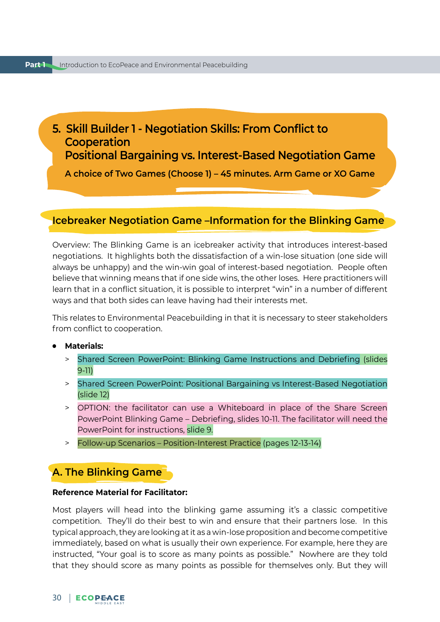## <span id="page-30-0"></span>**5. Skill Builder 1 - Negotiation Skills: From Conflict to Cooperation Positional Bargaining vs. Interest-Based Negotiation Game**

**A choice of Two Games (Choose 1) – 45 minutes. Arm Game or XO Game**

#### **Icebreaker Negotiation Game –Information for the Blinking Game**

Overview: The Blinking Game is an icebreaker activity that introduces interest-based negotiations. It highlights both the dissatisfaction of a win-lose situation (one side will always be unhappy) and the win-win goal of interest-based negotiation. People often believe that winning means that if one side wins, the other loses. Here practitioners will learn that in a conflict situation, it is possible to interpret "win" in a number of different ways and that both sides can leave having had their interests met.

This relates to Environmental Peacebuilding in that it is necessary to steer stakeholders from conflict to cooperation.

- **Materials:** 
	- > Shared Screen PowerPoint: Blinking Game Instructions and Debriefing (slides 9-11)
	- > Shared Screen PowerPoint: Positional Bargaining vs Interest-Based Negotiation (slide 12)
	- > OPTION: the facilitator can use a Whiteboard in place of the Share Screen PowerPoint Blinking Game – Debriefing, slides 10-11. The facilitator will need the PowerPoint for instructions, slide 9.
	- > Follow-up Scenarios Position-Interest Practice (pages 12-13-14)

## **A. The Blinking Game**

#### **Reference Material for Facilitator:**

Most players will head into the blinking game assuming it's a classic competitive competition. They'll do their best to win and ensure that their partners lose. In this typical approach, they are looking at it as a win-lose proposition and become competitive immediately, based on what is usually their own experience. For example, here they are instructed, "Your goal is to score as many points as possible." Nowhere are they told that they should score as many points as possible for themselves only. But they will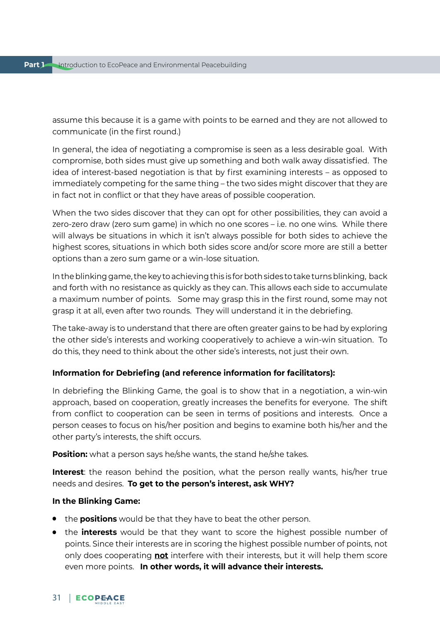assume this because it is a game with points to be earned and they are not allowed to communicate (in the first round.)

In general, the idea of negotiating a compromise is seen as a less desirable goal. With compromise, both sides must give up something and both walk away dissatisfied. The idea of interest-based negotiation is that by first examining interests – as opposed to immediately competing for the same thing – the two sides might discover that they are in fact not in conflict or that they have areas of possible cooperation.

When the two sides discover that they can opt for other possibilities, they can avoid a zero-zero draw (zero sum game) in which no one scores – i.e. no one wins. While there will always be situations in which it isn't always possible for both sides to achieve the highest scores, situations in which both sides score and/or score more are still a better options than a zero sum game or a win-lose situation.

In the blinking game, the key to achieving this is for both sides to take turns blinking, back and forth with no resistance as quickly as they can. This allows each side to accumulate a maximum number of points. Some may grasp this in the first round, some may not grasp it at all, even after two rounds. They will understand it in the debriefing.

The take-away is to understand that there are often greater gains to be had by exploring the other side's interests and working cooperatively to achieve a win-win situation. To do this, they need to think about the other side's interests, not just their own.

#### **Information for Debriefing (and reference information for facilitators):**

In debriefing the Blinking Game, the goal is to show that in a negotiation, a win-win approach, based on cooperation, greatly increases the benefits for everyone. The shift from conflict to cooperation can be seen in terms of positions and interests. Once a person ceases to focus on his/her position and begins to examine both his/her and the other party's interests, the shift occurs.

**Position:** what a person says he/she wants, the stand he/she takes.

**Interest**: the reason behind the position, what the person really wants, his/her true needs and desires. **To get to the person's interest, ask WHY?**

#### **In the Blinking Game:**

- the **positions** would be that they have to beat the other person.
- the **interests** would be that they want to score the highest possible number of points. Since their interests are in scoring the highest possible number of points, not only does cooperating **not** interfere with their interests, but it will help them score even more points. **In other words, it will advance their interests.**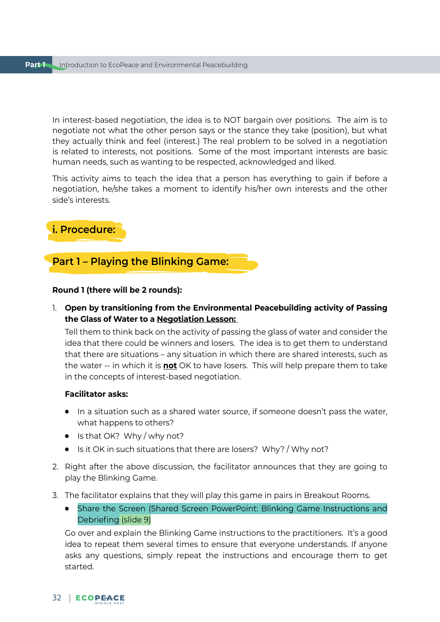In interest-based negotiation, the idea is to NOT bargain over positions. The aim is to negotiate not what the other person says or the stance they take (position), but what they actually think and feel (interest.) The real problem to be solved in a negotiation is related to interests, not positions. Some of the most important interests are basic human needs, such as wanting to be respected, acknowledged and liked.

This activity aims to teach the idea that a person has everything to gain if before a negotiation, he/she takes a moment to identify his/her own interests and the other side's interests.

## **i. Procedure:**

## **Part 1 – Playing the Blinking Game:**

#### **Round 1 (there will be 2 rounds):**

1. **Open by transitioning from the Environmental Peacebuilding activity of Passing the Glass of Water to a Negotiation Lesson:**

Tell them to think back on the activity of passing the glass of water and consider the idea that there could be winners and losers. The idea is to get them to understand that there are situations – any situation in which there are shared interests, such as the water -- in which it is **not** OK to have losers. This will help prepare them to take in the concepts of interest-based negotiation.

#### **Facilitator asks:**

- In a situation such as a shared water source, if someone doesn't pass the water, what happens to others?
- Is that OK? Why / why not?
- Is it OK in such situations that there are losers? Why? / Why not?
- 2. Right after the above discussion, the facilitator announces that they are going to play the Blinking Game.
- 3. The facilitator explains that they will play this game in pairs in Breakout Rooms.
	- Share the Screen (Shared Screen PowerPoint: Blinking Game Instructions and Debriefing (slide 9)

Go over and explain the Blinking Game instructions to the practitioners. It's a good idea to repeat them several times to ensure that everyone understands. If anyone asks any questions, simply repeat the instructions and encourage them to get started.

## 32 | ECOPEACE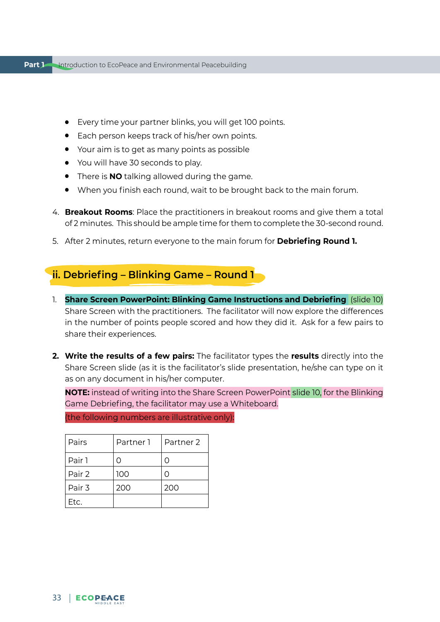- Every time your partner blinks, you will get 100 points.
- Each person keeps track of his/her own points.
- Your aim is to get as many points as possible
- You will have 30 seconds to play.
- There is **NO** talking allowed during the game.
- When you finish each round, wait to be brought back to the main forum.
- 4. **Breakout Rooms**: Place the practitioners in breakout rooms and give them a total of 2 minutes. This should be ample time for them to complete the 30-second round.
- 5. After 2 minutes, return everyone to the main forum for **Debriefing Round 1.**

## **ii. Debriefing – Blinking Game – Round 1**

- 1. **Share Screen PowerPoint: Blinking Game Instructions and Debriefing** (slide 10) Share Screen with the practitioners. The facilitator will now explore the differences in the number of points people scored and how they did it. Ask for a few pairs to share their experiences.
- **2. Write the results of a few pairs:** The facilitator types the **results** directly into the Share Screen slide (as it is the facilitator's slide presentation, he/she can type on it as on any document in his/her computer.

**NOTE:** instead of writing into the Share Screen PowerPoint slide 10, for the Blinking Game Debriefing, the facilitator may use a Whiteboard.

| Pairs  | Partner 1 | Partner 2 |
|--------|-----------|-----------|
| Pair 1 |           | ( )       |
| Pair 2 | 100       | ( )       |
| Pair 3 | 200       | 200       |
| Etc.   |           |           |

(the following numbers are illustrative only):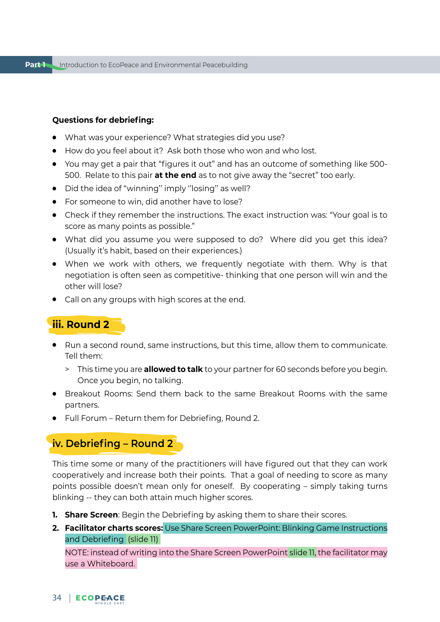#### **Questions for debriefing:**

- What was your experience? What strategies did you use?
- How do you feel about it? Ask both those who won and who lost.
- You may get a pair that "figures it out" and has an outcome of something like 500- 500. Relate to this pair **at the end** as to not give away the "secret" too early.
- Did the idea of "winning" imply "losing" as well?
- For someone to win, did another have to lose?
- Check if they remember the instructions. The exact instruction was: "Your goal is to score as many points as possible."
- What did you assume you were supposed to do? Where did you get this idea? (Usually it's habit, based on their experiences.)
- When we work with others, we frequently negotiate with them. Why is that negotiation is often seen as competitive- thinking that one person will win and the other will lose?
- Call on any groups with high scores at the end.

## **iii. Round 2**

- Run a second round, same instructions, but this time, allow them to communicate. Tell them:
	- > This time you are **allowed to talk** to your partner for 60 seconds before you begin. Once you begin, no talking.
- Breakout Rooms: Send them back to the same Breakout Rooms with the same partners.
- Full Forum Return them for Debriefing, Round 2.

## **iv. Debriefing – Round 2**

This time some or many of the practitioners will have figured out that they can work cooperatively and increase both their points. That a goal of needing to score as many points possible doesn't mean only for oneself. By cooperating – simply taking turns blinking -- they can both attain much higher scores.

- **1. Share Screen**: Begin the Debriefing by asking them to share their scores.
- **2. Facilitator charts scores:** Use Share Screen PowerPoint: Blinking Game Instructions and Debriefing (slide 11)

NOTE: instead of writing into the Share Screen PowerPoint slide 11, the facilitator may use a Whiteboard.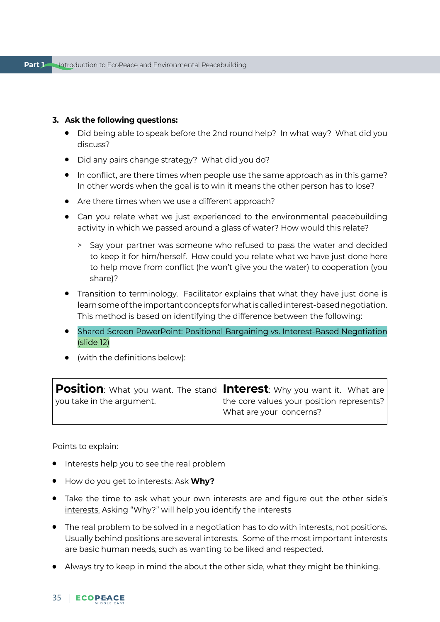#### **3. Ask the following questions:**

- Did being able to speak before the 2nd round help? In what way? What did you discuss?
- Did any pairs change strategy? What did you do?
- In conflict, are there times when people use the same approach as in this game? In other words when the goal is to win it means the other person has to lose?
- Are there times when we use a different approach?
- Can you relate what we just experienced to the environmental peacebuilding activity in which we passed around a glass of water? How would this relate?
	- > Say your partner was someone who refused to pass the water and decided to keep it for him/herself. How could you relate what we have just done here to help move from conflict (he won't give you the water) to cooperation (you share)?
- Transition to terminology. Facilitator explains that what they have just done is learn some of the important concepts for what is called interest-based negotiation. This method is based on identifying the difference between the following:
- Shared Screen PowerPoint: Positional Bargaining vs. Interest-Based Negotiation (slide 12)
- (with the definitions below):

|                           | $\mid$ Position: What you want. The stand $\mid$ Interest: Why you want it. What are $\mid$ |
|---------------------------|---------------------------------------------------------------------------------------------|
| you take in the argument. | the core values your position represents?                                                   |
|                           | What are your concerns?                                                                     |
|                           |                                                                                             |

Points to explain:

- Interests help you to see the real problem
- How do you get to interests: Ask **Why?**
- Take the time to ask what your own interests are and figure out the other side's interests. Asking "Why?" will help you identify the interests
- The real problem to be solved in a negotiation has to do with interests, not positions. Usually behind positions are several interests. Some of the most important interests are basic human needs, such as wanting to be liked and respected.
- Always try to keep in mind the about the other side, what they might be thinking.

#### 35 | ECOPEACE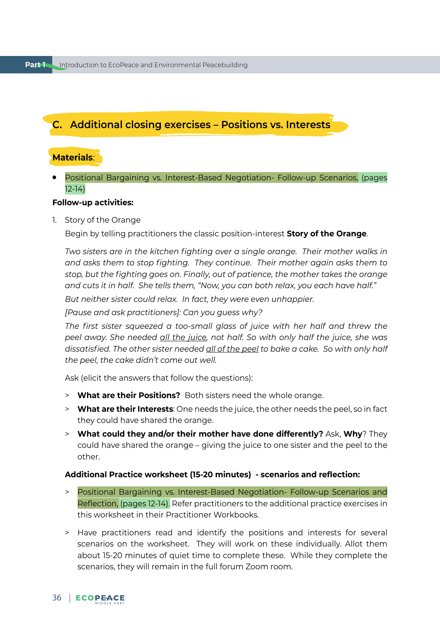# **C. Additional closing exercises – Positions vs. Interests**

# **Materials**:

Positional Bargaining vs. Interest-Based Negotiation- Follow-up Scenarios, (pages 12-14)

### **Follow-up activities:**

1. Story of the Orange

Begin by telling practitioners the classic position-interest **Story of the Orange**.

*Two sisters are in the kitchen fighting over a single orange. Their mother walks in and asks them to stop fighting. They continue. Their mother again asks them to stop, but the fighting goes on. Finally, out of patience, the mother takes the orange and cuts it in half. She tells them, "Now, you can both relax, you each have half."*

*But neither sister could relax. In fact, they were even unhappier.*

*[Pause and ask practitioners]: Can you guess why?*

*The first sister squeezed a too-small glass of juice with her half and threw the peel away. She needed all the juice, not half. So with only half the juice, she was dissatisfied. The other sister needed all of the peel to bake a cake. So with only half the peel, the cake didn't come out well.* 

Ask (elicit the answers that follow the questions):

- > **What are their Positions?** Both sisters need the whole orange.
- > **What are their Interests**: One needs the juice, the other needs the peel, so in fact they could have shared the orange.
- > **What could they and/or their mother have done differently?** Ask, **Why**? They could have shared the orange – giving the juice to one sister and the peel to the other.

#### **Additional Practice worksheet (15-20 minutes) - scenarios and reflection:**

- > Positional Bargaining vs. Interest-Based Negotiation- Follow-up Scenarios and Reflection, (pages 12-14). Refer practitioners to the additional practice exercises in this worksheet in their Practitioner Workbooks.
- > Have practitioners read and identify the positions and interests for several scenarios on the worksheet. They will work on these individually. Allot them about 15-20 minutes of quiet time to complete these. While they complete the scenarios, they will remain in the full forum Zoom room.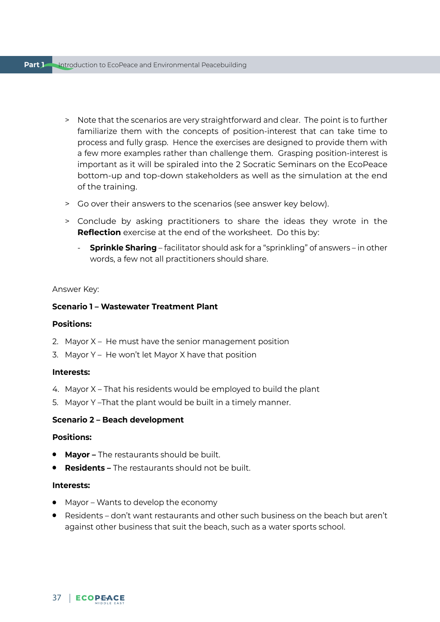- > Note that the scenarios are very straightforward and clear. The point is to further familiarize them with the concepts of position-interest that can take time to process and fully grasp. Hence the exercises are designed to provide them with a few more examples rather than challenge them. Grasping position-interest is important as it will be spiraled into the 2 Socratic Seminars on the EcoPeace bottom-up and top-down stakeholders as well as the simulation at the end of the training.
- > Go over their answers to the scenarios (see answer key below).
- > Conclude by asking practitioners to share the ideas they wrote in the **Reflection** exercise at the end of the worksheet. Do this by:
	- **Sprinkle Sharing** facilitator should ask for a "sprinkling" of answers in other words, a few not all practitioners should share.

#### Answer Key:

### **Scenario 1 – Wastewater Treatment Plant**

#### **Positions:**

- 2. Mayor X He must have the senior management position
- 3. Mayor Y He won't let Mayor X have that position

#### **Interests:**

- 4. Mayor X That his residents would be employed to build the plant
- 5. Mayor Y –That the plant would be built in a timely manner.

### **Scenario 2 – Beach development**

### **Positions:**

- **Mayor –** The restaurants should be built.
- **Residents** The restaurants should not be built.

#### **Interests:**

- Mayor Wants to develop the economy
- Residents don't want restaurants and other such business on the beach but aren't against other business that suit the beach, such as a water sports school.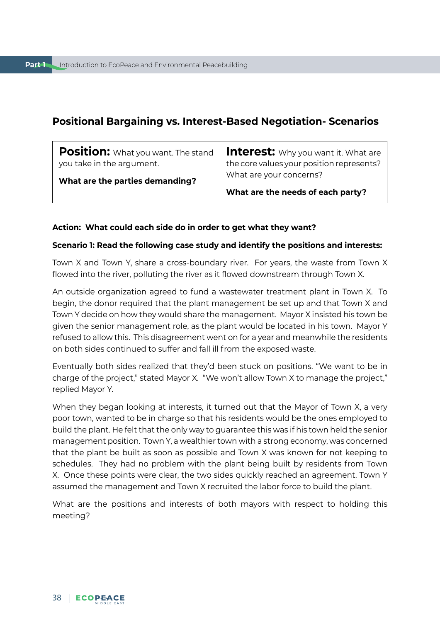# **Positional Bargaining vs. Interest-Based Negotiation- Scenarios**

| <b>Position:</b> What you want. The stand<br>you take in the argument. | <b>Interest:</b> Why you want it. What are<br>the core values your position represents? |
|------------------------------------------------------------------------|-----------------------------------------------------------------------------------------|
| What are the parties demanding?                                        | What are your concerns?                                                                 |
|                                                                        | What are the needs of each party?                                                       |

#### **Action: What could each side do in order to get what they want?**

#### **Scenario 1: Read the following case study and identify the positions and interests:**

Town X and Town Y, share a cross-boundary river. For years, the waste from Town X flowed into the river, polluting the river as it flowed downstream through Town X.

An outside organization agreed to fund a wastewater treatment plant in Town X. To begin, the donor required that the plant management be set up and that Town X and Town Y decide on how they would share the management. Mayor X insisted his town be given the senior management role, as the plant would be located in his town. Mayor Y refused to allow this. This disagreement went on for a year and meanwhile the residents on both sides continued to suffer and fall ill from the exposed waste.

Eventually both sides realized that they'd been stuck on positions. "We want to be in charge of the project," stated Mayor X. "We won't allow Town X to manage the project," replied Mayor Y.

When they began looking at interests, it turned out that the Mayor of Town X, a very poor town, wanted to be in charge so that his residents would be the ones employed to build the plant. He felt that the only way to guarantee this was if his town held the senior management position. Town Y, a wealthier town with a strong economy, was concerned that the plant be built as soon as possible and Town X was known for not keeping to schedules. They had no problem with the plant being built by residents from Town X. Once these points were clear, the two sides quickly reached an agreement. Town Y assumed the management and Town X recruited the labor force to build the plant.

What are the positions and interests of both mayors with respect to holding this meeting?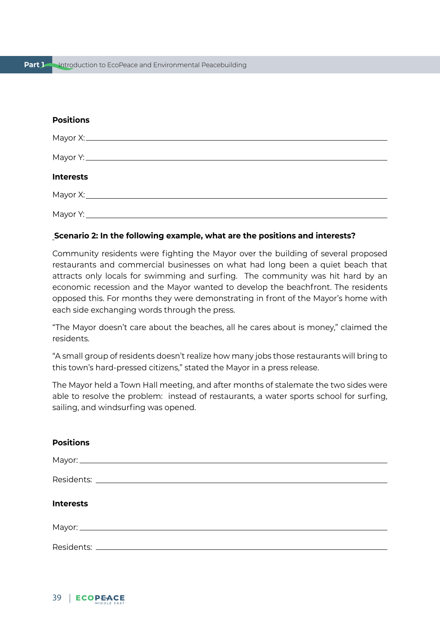## **Positions**

| <b>Interests</b> |  |  |  |
|------------------|--|--|--|
|                  |  |  |  |
|                  |  |  |  |

#### **Scenario 2: In the following example, what are the positions and interests?**

Community residents were fighting the Mayor over the building of several proposed restaurants and commercial businesses on what had long been a quiet beach that attracts only locals for swimming and surfing. The community was hit hard by an economic recession and the Mayor wanted to develop the beachfront. The residents opposed this. For months they were demonstrating in front of the Mayor's home with each side exchanging words through the press.

"The Mayor doesn't care about the beaches, all he cares about is money," claimed the residents.

"A small group of residents doesn't realize how many jobs those restaurants will bring to this town's hard-pressed citizens," stated the Mayor in a press release.

The Mayor held a Town Hall meeting, and after months of stalemate the two sides were able to resolve the problem: instead of restaurants, a water sports school for surfing, sailing, and windsurfing was opened.

| <b>Positions</b> |  |  |
|------------------|--|--|
|                  |  |  |
|                  |  |  |
| <b>Interests</b> |  |  |
|                  |  |  |
|                  |  |  |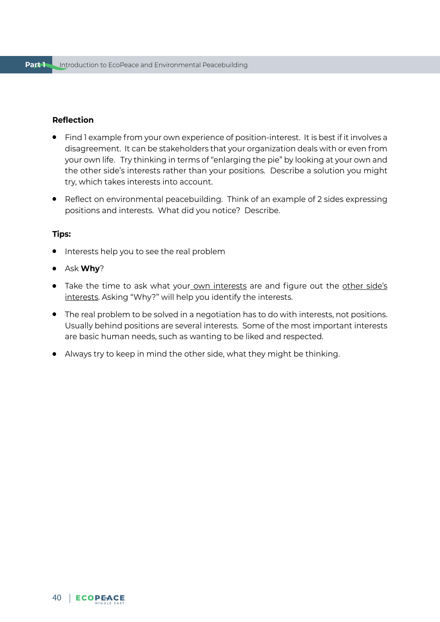## **Reflection**

- Find 1 example from your own experience of position-interest. It is best if it involves a disagreement. It can be stakeholders that your organization deals with or even from your own life. Try thinking in terms of "enlarging the pie" by looking at your own and the other side's interests rather than your positions. Describe a solution you might try, which takes interests into account.
- Reflect on environmental peacebuilding. Think of an example of 2 sides expressing positions and interests. What did you notice? Describe.

#### **Tips:**

- Interests help you to see the real problem
- Ask **Why**?
- Take the time to ask what your own interests are and figure out the other side's interests. Asking "Why?" will help you identify the interests.
- The real problem to be solved in a negotiation has to do with interests, not positions. Usually behind positions are several interests. Some of the most important interests are basic human needs, such as wanting to be liked and respected.
- Always try to keep in mind the other side, what they might be thinking.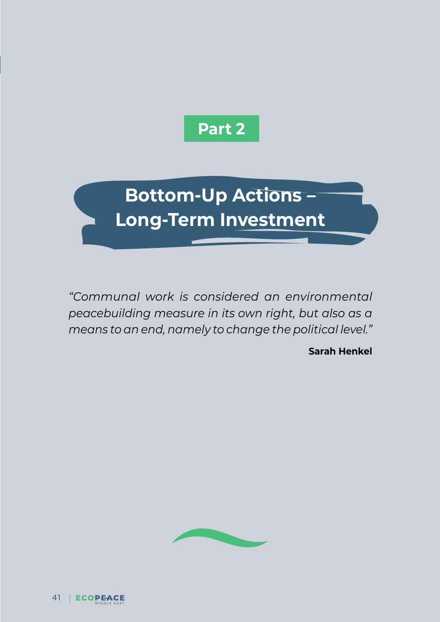

**Bottom-Up Actions – Long-Term Investment**

*"Communal work is considered an environmental peacebuilding measure in its own right, but also as a means to an end, namely to change the political level."*

**Sarah Henkel**

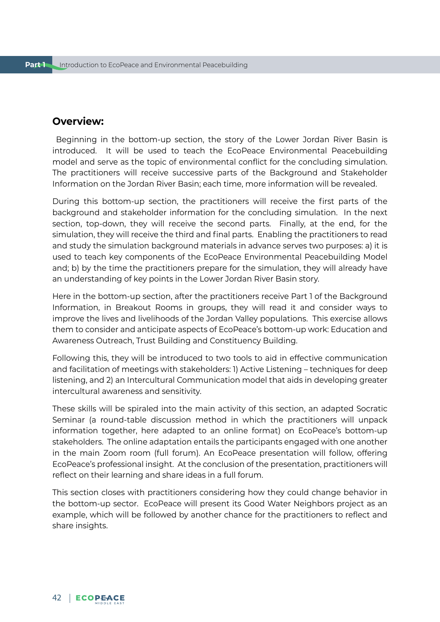# **Overview:**

 Beginning in the bottom-up section, the story of the Lower Jordan River Basin is introduced. It will be used to teach the EcoPeace Environmental Peacebuilding model and serve as the topic of environmental conflict for the concluding simulation. The practitioners will receive successive parts of the Background and Stakeholder Information on the Jordan River Basin; each time, more information will be revealed.

During this bottom-up section, the practitioners will receive the first parts of the background and stakeholder information for the concluding simulation. In the next section, top-down, they will receive the second parts. Finally, at the end, for the simulation, they will receive the third and final parts. Enabling the practitioners to read and study the simulation background materials in advance serves two purposes: a) it is used to teach key components of the EcoPeace Environmental Peacebuilding Model and; b) by the time the practitioners prepare for the simulation, they will already have an understanding of key points in the Lower Jordan River Basin story.

Here in the bottom-up section, after the practitioners receive Part 1 of the Background Information, in Breakout Rooms in groups, they will read it and consider ways to improve the lives and livelihoods of the Jordan Valley populations. This exercise allows them to consider and anticipate aspects of EcoPeace's bottom-up work: Education and Awareness Outreach, Trust Building and Constituency Building.

Following this, they will be introduced to two tools to aid in effective communication and facilitation of meetings with stakeholders: 1) Active Listening – techniques for deep listening, and 2) an Intercultural Communication model that aids in developing greater intercultural awareness and sensitivity.

These skills will be spiraled into the main activity of this section, an adapted Socratic Seminar (a round-table discussion method in which the practitioners will unpack information together, here adapted to an online format) on EcoPeace's bottom-up stakeholders. The online adaptation entails the participants engaged with one another in the main Zoom room (full forum). An EcoPeace presentation will follow, offering EcoPeace's professional insight. At the conclusion of the presentation, practitioners will reflect on their learning and share ideas in a full forum.

This section closes with practitioners considering how they could change behavior in the bottom-up sector. EcoPeace will present its Good Water Neighbors project as an example, which will be followed by another chance for the practitioners to reflect and share insights.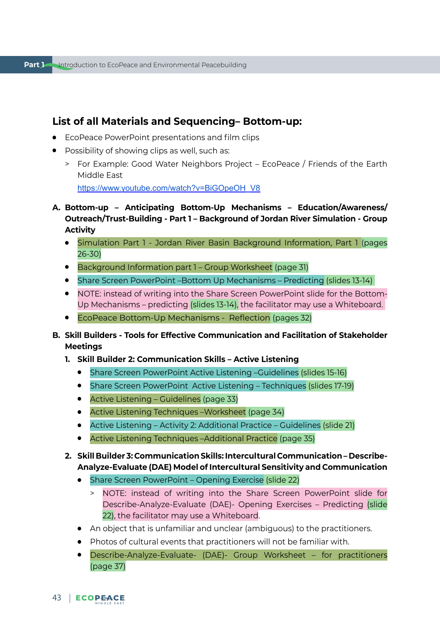# **List of all Materials and Sequencing– Bottom-up:**

- EcoPeace PowerPoint presentations and film clips
- Possibility of showing clips as well, such as:
	- > For Example: Good Water Neighbors Project EcoPeace / Friends of the Earth Middle East

[https://www.youtube.com/watch?v=BiGOpeOH\\_V8](https://www.youtube.com/watch?v=BiGOpeOH_V8)

- **A. Bottom-up Anticipating Bottom-Up Mechanisms Education/Awareness/ Outreach/Trust-Building - Part 1 – Background of Jordan River Simulation - Group Activity**
	- Simulation Part 1 Jordan River Basin Background Information, Part 1 (pages 26-30)
	- Background Information part 1 Group Worksheet (page 31)
	- Share Screen PowerPoint –Bottom Up Mechanisms Predicting (slides 13-14)
	- NOTE: instead of writing into the Share Screen PowerPoint slide for the Bottom-Up Mechanisms – predicting (slides 13-14), the facilitator may use a Whiteboard.
	- EcoPeace Bottom-Up Mechanisms Reflection (pages 32)
- **B. Skill Builders Tools for Effective Communication and Facilitation of Stakeholder Meetings**
	- **1. Skill Builder 2: Communication Skills Active Listening**
		- Share Screen PowerPoint Active Listening –Guidelines (slides 15-16)
		- Share Screen PowerPoint Active Listening Techniques (slides 17-19)
		- Active Listening Guidelines (page 33)
		- Active Listening Techniques Worksheet (page 34)
		- Active Listening Activity 2: Additional Practice Guidelines (slide 21)
		- Active Listening Techniques Additional Practice (page 35)
	- **2. Skill Builder 3: Communication Skills: Intercultural Communication Describe-Analyze-Evaluate (DAE) Model of Intercultural Sensitivity and Communication**
		- Share Screen PowerPoint Opening Exercise (slide 22)
			- > NOTE: instead of writing into the Share Screen PowerPoint slide for Describe-Analyze-Evaluate (DAE)- Opening Exercises – Predicting (slide 22), the facilitator may use a Whiteboard.
		- An object that is unfamiliar and unclear (ambiguous) to the practitioners.
		- Photos of cultural events that practitioners will not be familiar with.
		- Describe-Analyze-Evaluate- (DAE)- Group Worksheet for practitioners (page 37)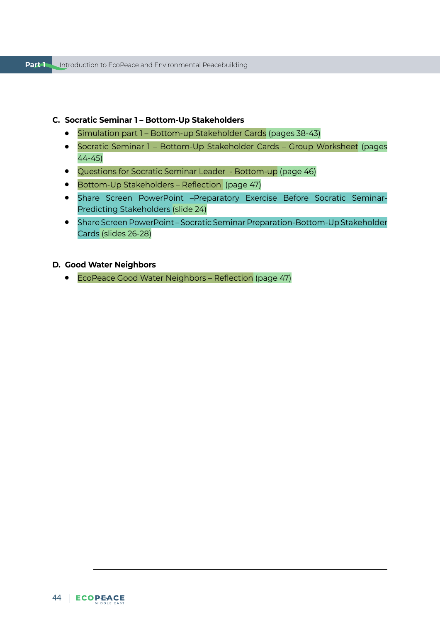#### **C. Socratic Seminar 1 – Bottom-Up Stakeholders**

- Simulation part 1 Bottom-up Stakeholder Cards (pages 38-43)
- Socratic Seminar 1 Bottom-Up Stakeholder Cards Group Worksheet (pages 44-45)
- Questions for Socratic Seminar Leader Bottom-up (page 46)
- Bottom-Up Stakeholders Reflection (page 47)
- Share Screen PowerPoint –Preparatory Exercise Before Socratic Seminar-Predicting Stakeholders (slide 24)
- Share Screen PowerPoint Socratic Seminar Preparation-Bottom-Up Stakeholder Cards (slides 26-28)

## **D. Good Water Neighbors**

● EcoPeace Good Water Neighbors – Reflection (page 47)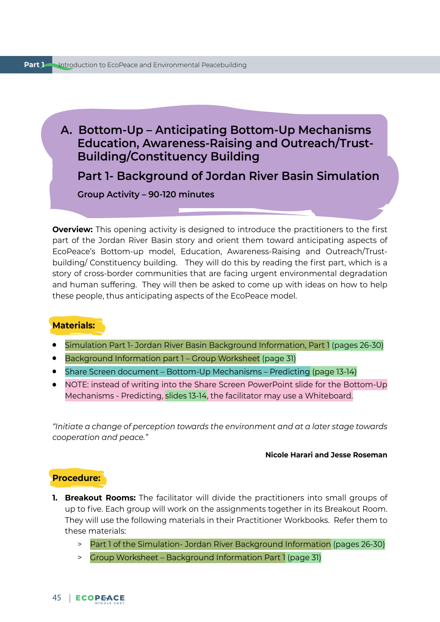# **A. Bottom-Up – Anticipating Bottom-Up Mechanisms Education, Awareness-Raising and Outreach/Trust-Building/Constituency Building**

**Part 1- Background of Jordan River Basin Simulation** 

**Group Activity – 90-120 minutes** 

**Overview:** This opening activity is designed to introduce the practitioners to the first part of the Jordan River Basin story and orient them toward anticipating aspects of EcoPeace's Bottom-up model, Education, Awareness-Raising and Outreach/Trustbuilding/ Constituency building. They will do this by reading the first part, which is a story of cross-border communities that are facing urgent environmental degradation and human suffering. They will then be asked to come up with ideas on how to help these people, thus anticipating aspects of the EcoPeace model.

# **Materials:**

- Simulation Part 1- Jordan River Basin Background Information, Part 1 (pages 26-30)
- Background Information part 1 Group Worksheet (page 31)
- Share Screen document Bottom-Up Mechanisms Predicting (page 13-14)
- NOTE: instead of writing into the Share Screen PowerPoint slide for the Bottom-Up Mechanisms - Predicting, slides 13-14, the facilitator may use a Whiteboard.

*"Initiate a change of perception towards the environment and at a later stage towards cooperation and peace."* 

#### **Nicole Harari and Jesse Roseman**

#### **Procedure:**

- **1. Breakout Rooms:** The facilitator will divide the practitioners into small groups of up to five. Each group will work on the assignments together in its Breakout Room. They will use the following materials in their Practitioner Workbooks. Refer them to these materials:
	- > Part 1 of the Simulation- Jordan River Background Information (pages 26-30)
	- > Group Worksheet Background Information Part 1 (page 31)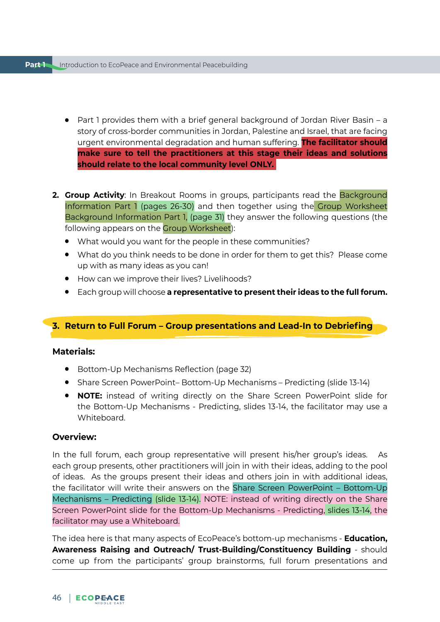- Part 1 provides them with a brief general background of Jordan River Basin a story of cross-border communities in Jordan, Palestine and Israel, that are facing urgent environmental degradation and human suffering. **The facilitator should make sure to tell the practitioners at this stage their ideas and solutions should relate to the local community level ONLY.**
- **2. Group Activity:** In Breakout Rooms in groups, participants read the **Background** Information Part 1 (pages 26-30) and then together using the Group Worksheet Background Information Part 1, (page 31) they answer the following questions (the following appears on the Group Worksheet):
	- What would you want for the people in these communities?
	- What do you think needs to be done in order for them to get this? Please come up with as many ideas as you can!
	- How can we improve their lives? Livelihoods?
	- Each group will choose **a representative to present their ideas to the full forum.**

# **3. Return to Full Forum – Group presentations and Lead-In to Debriefing**

# **Materials:**

- Bottom-Up Mechanisms Reflection (page 32)
- Share Screen PowerPoint– Bottom-Up Mechanisms Predicting (slide 13-14)
- **NOTE:** instead of writing directly on the Share Screen PowerPoint slide for the Bottom-Up Mechanisms - Predicting, slides 13-14, the facilitator may use a Whiteboard.

# **Overview:**

In the full forum, each group representative will present his/her group's ideas. As each group presents, other practitioners will join in with their ideas, adding to the pool of ideas. As the groups present their ideas and others join in with additional ideas, the facilitator will write their answers on the Share Screen PowerPoint – Bottom-Up Mechanisms – Predicting (slide 13-14). NOTE: instead of writing directly on the Share Screen PowerPoint slide for the Bottom-Up Mechanisms - Predicting, slides 13-14, the facilitator may use a Whiteboard.

The idea here is that many aspects of EcoPeace's bottom-up mechanisms - **Education, Awareness Raising and Outreach/ Trust-Building/Constituency Building** - should come up from the participants' group brainstorms, full forum presentations and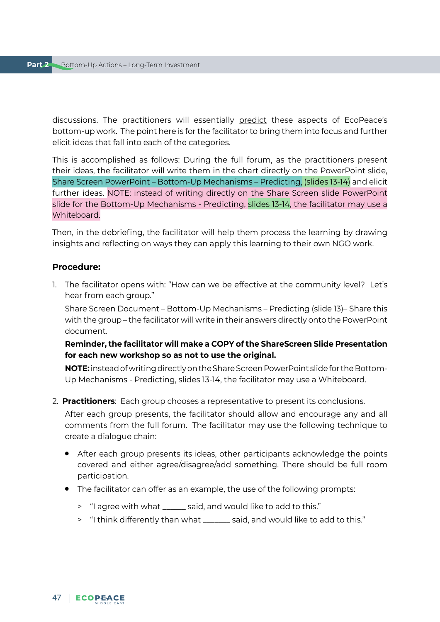discussions. The practitioners will essentially predict these aspects of EcoPeace's bottom-up work. The point here is for the facilitator to bring them into focus and further elicit ideas that fall into each of the categories.

This is accomplished as follows: During the full forum, as the practitioners present their ideas, the facilitator will write them in the chart directly on the PowerPoint slide, Share Screen PowerPoint – Bottom-Up Mechanisms – Predicting, (slides 13-14) and elicit further ideas. NOTE: instead of writing directly on the Share Screen slide PowerPoint slide for the Bottom-Up Mechanisms - Predicting, slides 13-14, the facilitator may use a Whiteboard.

Then, in the debriefing, the facilitator will help them process the learning by drawing insights and reflecting on ways they can apply this learning to their own NGO work.

### **Procedure:**

1. The facilitator opens with: "How can we be effective at the community level? Let's hear from each group."

Share Screen Document – Bottom-Up Mechanisms – Predicting (slide 13)– Share this with the group – the facilitator will write in their answers directly onto the PowerPoint document.

# **Reminder, the facilitator will make a COPY of the ShareScreen Slide Presentation for each new workshop so as not to use the original.**

**NOTE:** instead of writing directly on the Share Screen PowerPoint slide for the Bottom-Up Mechanisms - Predicting, slides 13-14, the facilitator may use a Whiteboard.

2. **Practitioners**: Each group chooses a representative to present its conclusions.

After each group presents, the facilitator should allow and encourage any and all comments from the full forum. The facilitator may use the following technique to create a dialogue chain:

- After each group presents its ideas, other participants acknowledge the points covered and either agree/disagree/add something. There should be full room participation.
- The facilitator can offer as an example, the use of the following prompts:
	- > "I agree with what \_\_\_\_\_\_ said, and would like to add to this."
	- > "I think differently than what \_\_\_\_\_\_\_ said, and would like to add to this."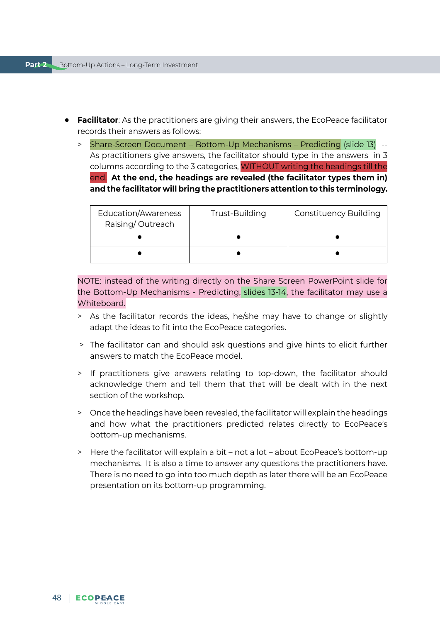- **Facilitator**: As the practitioners are giving their answers, the EcoPeace facilitator records their answers as follows:
	- > Share-Screen Document Bottom-Up Mechanisms Predicting (slide 13) -- As practitioners give answers, the facilitator should type in the answers in 3 columns according to the 3 categories, WITHOUT writing the headings till the end. **At the end, the headings are revealed (the facilitator types them in) and the facilitator will bring the practitioners attention to this terminology.**

| Education/Awareness<br>Raising/Outreach | Trust-Building | <b>Constituency Building</b> |
|-----------------------------------------|----------------|------------------------------|
|                                         |                |                              |
|                                         |                |                              |

NOTE: instead of the writing directly on the Share Screen PowerPoint slide for the Bottom-Up Mechanisms - Predicting, slides 13-14, the facilitator may use a Whiteboard.

- > As the facilitator records the ideas, he/she may have to change or slightly adapt the ideas to fit into the EcoPeace categories.
- > The facilitator can and should ask questions and give hints to elicit further answers to match the EcoPeace model.
- > If practitioners give answers relating to top-down, the facilitator should acknowledge them and tell them that that will be dealt with in the next section of the workshop.
- > Once the headings have been revealed, the facilitator will explain the headings and how what the practitioners predicted relates directly to EcoPeace's bottom-up mechanisms.
- > Here the facilitator will explain a bit not a lot about EcoPeace's bottom-up mechanisms. It is also a time to answer any questions the practitioners have. There is no need to go into too much depth as later there will be an EcoPeace presentation on its bottom-up programming.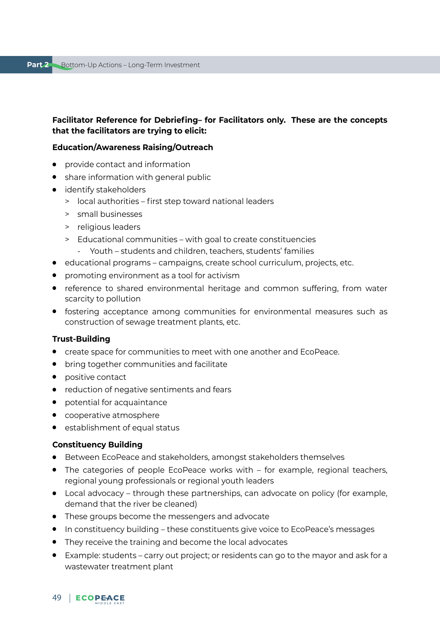## **Facilitator Reference for Debriefing– for Facilitators only. These are the concepts that the facilitators are trying to elicit:**

#### **Education/Awareness Raising/Outreach**

- provide contact and information
- share information with general public
- identify stakeholders
	- > local authorities first step toward national leaders
	- > small businesses
	- > religious leaders
	- > Educational communities with goal to create constituencies
		- Youth students and children, teachers, students' families
- educational programs campaigns, create school curriculum, projects, etc.
- promoting environment as a tool for activism
- reference to shared environmental heritage and common suffering, from water scarcity to pollution
- fostering acceptance among communities for environmental measures such as construction of sewage treatment plants, etc.

#### **Trust-Building**

- create space for communities to meet with one another and EcoPeace.
- bring together communities and facilitate
- positive contact
- reduction of negative sentiments and fears
- potential for acquaintance
- cooperative atmosphere
- establishment of equal status

#### **Constituency Building**

- Between EcoPeace and stakeholders, amongst stakeholders themselves
- The categories of people EcoPeace works with for example, regional teachers, regional young professionals or regional youth leaders
- Local advocacy through these partnerships, can advocate on policy (for example, demand that the river be cleaned)
- These groups become the messengers and advocate
- In constituency building these constituents give voice to EcoPeace's messages
- They receive the training and become the local advocates
- Example: students carry out project; or residents can go to the mayor and ask for a wastewater treatment plant

# 49 | ECOPEACE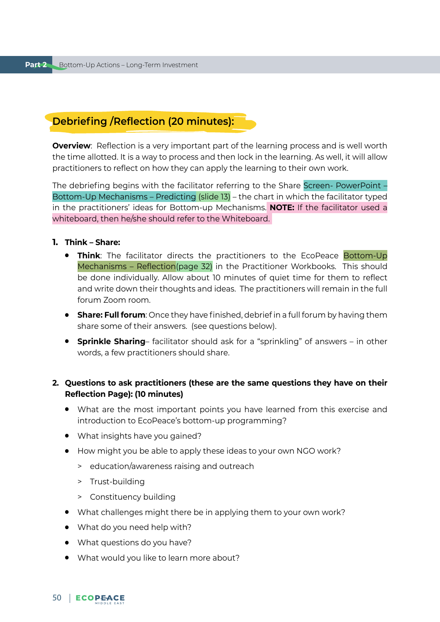# **Debriefing /Reflection (20 minutes):**

**Overview**: Reflection is a very important part of the learning process and is well worth the time allotted. It is a way to process and then lock in the learning. As well, it will allow practitioners to reflect on how they can apply the learning to their own work.

The debriefing begins with the facilitator referring to the Share Screen- PowerPoint – Bottom-Up Mechanisms – Predicting (slide 13) – the chart in which the facilitator typed in the practitioners' ideas for Bottom-up Mechanisms. **NOTE:** If the facilitator used a whiteboard, then he/she should refer to the Whiteboard.

#### **1. Think – Share:**

- **Think**: The facilitator directs the practitioners to the EcoPeace Bottom-Up Mechanisms – Reflection(page 32) in the Practitioner Workbooks. This should be done individually. Allow about 10 minutes of quiet time for them to reflect and write down their thoughts and ideas. The practitioners will remain in the full forum Zoom room.
- **Share: Full forum**: Once they have finished, debrief in a full forum by having them share some of their answers. (see questions below).
- **Sprinkle Sharing** facilitator should ask for a "sprinkling" of answers in other words, a few practitioners should share.

## **2. Questions to ask practitioners (these are the same questions they have on their Reflection Page): (10 minutes)**

- What are the most important points you have learned from this exercise and introduction to EcoPeace's bottom-up programming?
- What insights have you gained?
- How might you be able to apply these ideas to your own NGO work?
	- > education/awareness raising and outreach
	- > Trust-building
	- > Constituency building
- What challenges might there be in applying them to your own work?
- What do you need help with?
- What questions do you have?
- What would you like to learn more about?

## 50 | ECOPEACE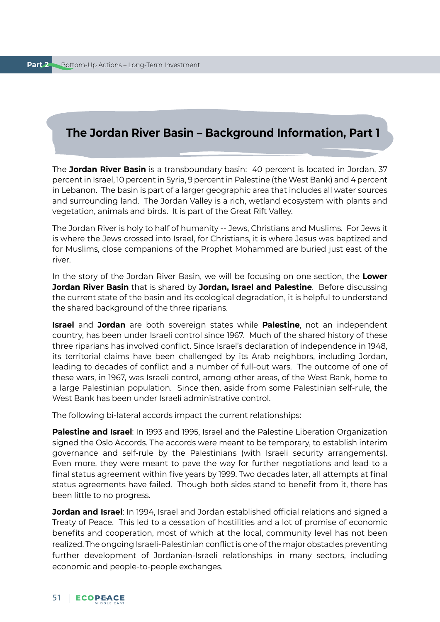# **The Jordan River Basin – Background Information, Part 1**

The **Jordan River Basin** is a transboundary basin: 40 percent is located in Jordan, 37 percent in Israel, 10 percent in Syria, 9 percent in Palestine (the West Bank) and 4 percent in Lebanon. The basin is part of a larger geographic area that includes all water sources and surrounding land. The Jordan Valley is a rich, wetland ecosystem with plants and vegetation, animals and birds. It is part of the Great Rift Valley.

The Jordan River is holy to half of humanity -- Jews, Christians and Muslims. For Jews it is where the Jews crossed into Israel, for Christians, it is where Jesus was baptized and for Muslims, close companions of the Prophet Mohammed are buried just east of the river.

In the story of the Jordan River Basin, we will be focusing on one section, the **Lower Jordan River Basin** that is shared by **Jordan, Israel and Palestine**. Before discussing the current state of the basin and its ecological degradation, it is helpful to understand the shared background of the three riparians.

**Israel** and **Jordan** are both sovereign states while **Palestine**, not an independent country, has been under Israeli control since 1967. Much of the shared history of these three riparians has involved conflict. Since Israel's declaration of independence in 1948, its territorial claims have been challenged by its Arab neighbors, including Jordan, leading to decades of conflict and a number of full-out wars. The outcome of one of these wars, in 1967, was Israeli control, among other areas, of the West Bank, home to a large Palestinian population. Since then, aside from some Palestinian self-rule, the West Bank has been under Israeli administrative control.

The following bi-lateral accords impact the current relationships:

**Palestine and Israel**: In 1993 and 1995, Israel and the Palestine Liberation Organization signed the Oslo Accords. The accords were meant to be temporary, to establish interim governance and self-rule by the Palestinians (with Israeli security arrangements). Even more, they were meant to pave the way for further negotiations and lead to a final status agreement within five years by 1999. Two decades later, all attempts at final status agreements have failed. Though both sides stand to benefit from it, there has been little to no progress.

**Jordan and Israel**: In 1994, Israel and Jordan established official relations and signed a Treaty of Peace. This led to a cessation of hostilities and a lot of promise of economic benefits and cooperation, most of which at the local, community level has not been realized. The ongoing Israeli-Palestinian conflict is one of the major obstacles preventing further development of Jordanian-Israeli relationships in many sectors, including economic and people-to-people exchanges.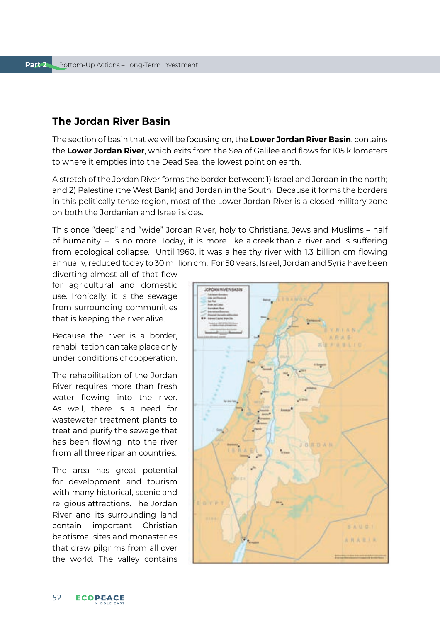# **The Jordan River Basin**

The section of basin that we will be focusing on, the **Lower Jordan River Basin**, contains the **Lower Jordan River**, which exits from the Sea of Galilee and flows for 105 kilometers to where it empties into the Dead Sea, the lowest point on earth.

A stretch of the Jordan River forms the border between: 1) Israel and Jordan in the north; and 2) Palestine (the West Bank) and Jordan in the South. Because it forms the borders in this politically tense region, most of the Lower Jordan River is a closed military zone on both the Jordanian and Israeli sides.

This once "deep" and "wide" Jordan River, holy to Christians, Jews and Muslims – half of humanity -- is no more. Today, it is more like a creek than a river and is suffering from ecological collapse. Until 1960, it was a healthy river with 1.3 billion cm flowing annually, reduced today to 30 million cm. For 50 years, Israel, Jordan and Syria have been

diverting almost all of that flow for agricultural and domestic use. Ironically, it is the sewage from surrounding communities that is keeping the river alive.

Because the river is a border, rehabilitation can take place only under conditions of cooperation.

The rehabilitation of the Jordan River requires more than fresh water flowing into the river. As well, there is a need for wastewater treatment plants to treat and purify the sewage that has been flowing into the river from all three riparian countries.

The area has great potential for development and tourism with many historical, scenic and religious attractions. The Jordan River and its surrounding land contain important Christian baptismal sites and monasteries that draw pilgrims from all over the world. The valley contains

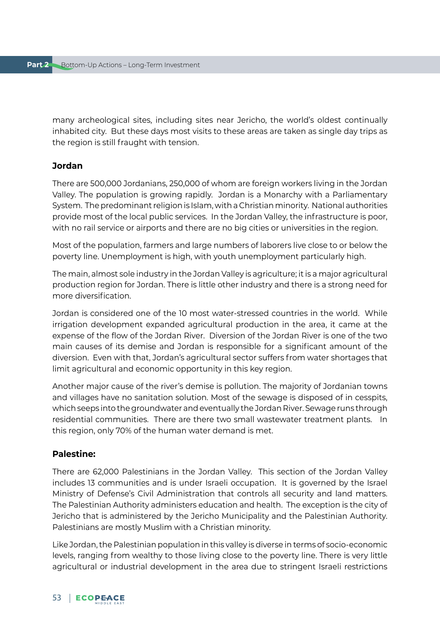many archeological sites, including sites near Jericho, the world's oldest continually inhabited city. But these days most visits to these areas are taken as single day trips as the region is still fraught with tension.

## **Jordan**

There are 500,000 Jordanians, 250,000 of whom are foreign workers living in the Jordan Valley. The population is growing rapidly. Jordan is a Monarchy with a Parliamentary System. The predominant religion is Islam, with a Christian minority. National authorities provide most of the local public services. In the Jordan Valley, the infrastructure is poor, with no rail service or airports and there are no big cities or universities in the region.

Most of the population, farmers and large numbers of laborers live close to or below the poverty line. Unemployment is high, with youth unemployment particularly high.

The main, almost sole industry in the Jordan Valley is agriculture; it is a major agricultural production region for Jordan. There is little other industry and there is a strong need for more diversification.

Jordan is considered one of the 10 most water-stressed countries in the world. While irrigation development expanded agricultural production in the area, it came at the expense of the flow of the Jordan River. Diversion of the Jordan River is one of the two main causes of its demise and Jordan is responsible for a significant amount of the diversion. Even with that, Jordan's agricultural sector suffers from water shortages that limit agricultural and economic opportunity in this key region.

Another major cause of the river's demise is pollution. The majority of Jordanian towns and villages have no sanitation solution. Most of the sewage is disposed of in cesspits, which seeps into the groundwater and eventually the Jordan River. Sewage runs through residential communities. There are there two small wastewater treatment plants. In this region, only 70% of the human water demand is met.

# **Palestine:**

There are 62,000 Palestinians in the Jordan Valley. This section of the Jordan Valley includes 13 communities and is under Israeli occupation. It is governed by the Israel Ministry of Defense's Civil Administration that controls all security and land matters. The Palestinian Authority administers education and health. The exception is the city of Jericho that is administered by the Jericho Municipality and the Palestinian Authority. Palestinians are mostly Muslim with a Christian minority.

Like Jordan, the Palestinian population in this valley is diverse in terms of socio-economic levels, ranging from wealthy to those living close to the poverty line. There is very little agricultural or industrial development in the area due to stringent Israeli restrictions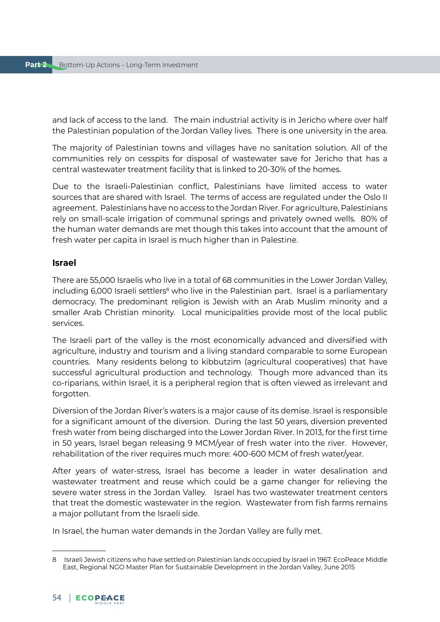and lack of access to the land. The main industrial activity is in Jericho where over half the Palestinian population of the Jordan Valley lives. There is one university in the area.

The majority of Palestinian towns and villages have no sanitation solution. All of the communities rely on cesspits for disposal of wastewater save for Jericho that has a central wastewater treatment facility that is linked to 20-30% of the homes.

Due to the Israeli-Palestinian conflict, Palestinians have limited access to water sources that are shared with Israel. The terms of access are regulated under the Oslo II agreement. Palestinians have no access to the Jordan River. For agriculture, Palestinians rely on small-scale irrigation of communal springs and privately owned wells. 80% of the human water demands are met though this takes into account that the amount of fresh water per capita in Israel is much higher than in Palestine.

## **Israel**

There are 55,000 Israelis who live in a total of 68 communities in the Lower Jordan Valley, including 6,000 Israeli settlers<sup>8</sup> who live in the Palestinian part. Israel is a parliamentary democracy. The predominant religion is Jewish with an Arab Muslim minority and a smaller Arab Christian minority. Local municipalities provide most of the local public services.

The Israeli part of the valley is the most economically advanced and diversified with agriculture, industry and tourism and a living standard comparable to some European countries. Many residents belong to kibbutzim (agricultural cooperatives) that have successful agricultural production and technology. Though more advanced than its co-riparians, within Israel, it is a peripheral region that is often viewed as irrelevant and forgotten.

Diversion of the Jordan River's waters is a major cause of its demise. Israel is responsible for a significant amount of the diversion. During the last 50 years, diversion prevented fresh water from being discharged into the Lower Jordan River. In 2013, for the first time in 50 years, Israel began releasing 9 MCM/year of fresh water into the river. However, rehabilitation of the river requires much more: 400-600 MCM of fresh water/year.

After years of water-stress, Israel has become a leader in water desalination and wastewater treatment and reuse which could be a game changer for relieving the severe water stress in the Jordan Valley. Israel has two wastewater treatment centers that treat the domestic wastewater in the region. Wastewater from fish farms remains a major pollutant from the Israeli side.

In Israel, the human water demands in the Jordan Valley are fully met.

<sup>8</sup> Israeli Jewish citizens who have settled on Palestinian lands occupied by Israel in 1967. EcoPeace Middle East, Regional NGO Master Plan for Sustainable Development in the Jordan Valley, June 2015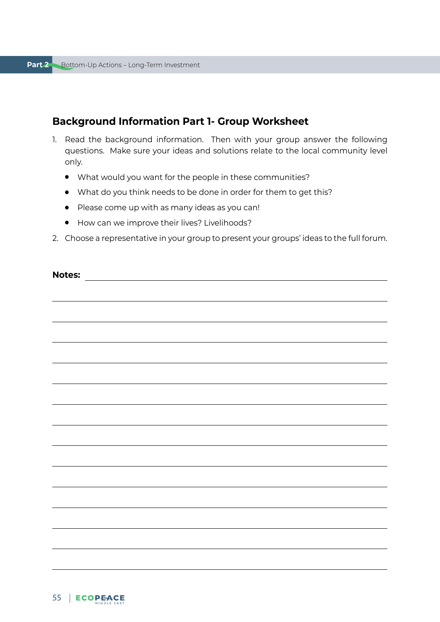# **Background Information Part 1- Group Worksheet**

- 1. Read the background information. Then with your group answer the following questions. Make sure your ideas and solutions relate to the local community level only.
	- What would you want for the people in these communities?
	- What do you think needs to be done in order for them to get this?
	- Please come up with as many ideas as you can!
	- How can we improve their lives? Livelihoods?
- 2. Choose a representative in your group to present your groups' ideas to the full forum.

| <b>Notes:</b><br><u> 1989 - Johann Barn, fransk politik fotograf (</u> |  |
|------------------------------------------------------------------------|--|
|                                                                        |  |
|                                                                        |  |
|                                                                        |  |
|                                                                        |  |
|                                                                        |  |
|                                                                        |  |
|                                                                        |  |
|                                                                        |  |
|                                                                        |  |
|                                                                        |  |
|                                                                        |  |
|                                                                        |  |
|                                                                        |  |
|                                                                        |  |
|                                                                        |  |
|                                                                        |  |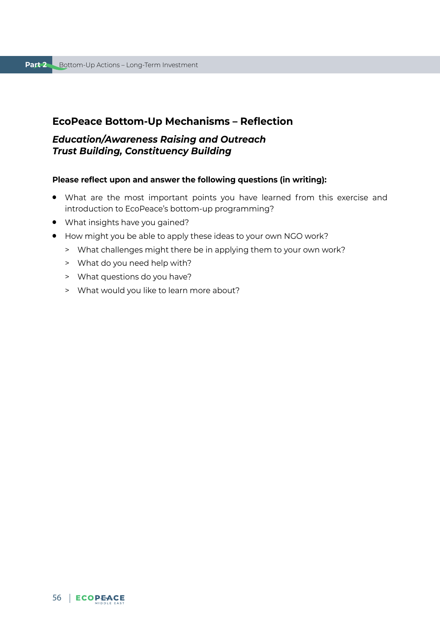# **EcoPeace Bottom-Up Mechanisms – Reflection**

# *Education/Awareness Raising and Outreach Trust Building, Constituency Building*

#### **Please reflect upon and answer the following questions (in writing):**

- What are the most important points you have learned from this exercise and introduction to EcoPeace's bottom-up programming?
- What insights have you gained?
- How might you be able to apply these ideas to your own NGO work?
	- > What challenges might there be in applying them to your own work?
	- > What do you need help with?
	- > What questions do you have?
	- > What would you like to learn more about?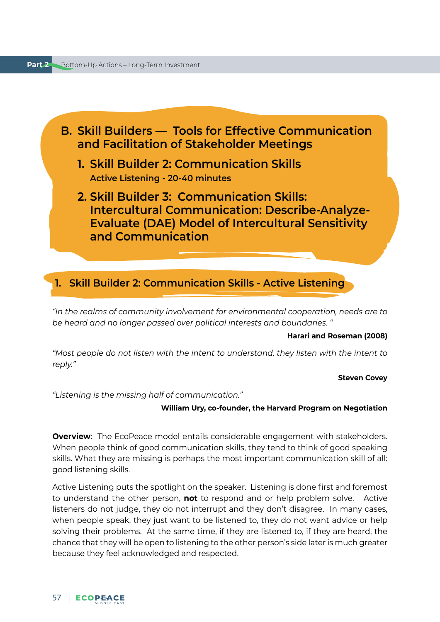

*"In the realms of community involvement for environmental cooperation, needs are to be heard and no longer passed over political interests and boundaries. "* 

#### **Harari and Roseman (2008)**

*"Most people do not listen with the intent to understand, they listen with the intent to reply."*

#### **Steven Covey**

*"Listening is the missing half of communication."*

#### **William Ury, co-founder, the Harvard Program on Negotiation**

**Overview**: The EcoPeace model entails considerable engagement with stakeholders. When people think of good communication skills, they tend to think of good speaking skills. What they are missing is perhaps the most important communication skill of all: good listening skills.

Active Listening puts the spotlight on the speaker. Listening is done first and foremost to understand the other person, **not** to respond and or help problem solve. Active listeners do not judge, they do not interrupt and they don't disagree. In many cases, when people speak, they just want to be listened to, they do not want advice or help solving their problems. At the same time, if they are listened to, if they are heard, the chance that they will be open to listening to the other person's side later is much greater because they feel acknowledged and respected.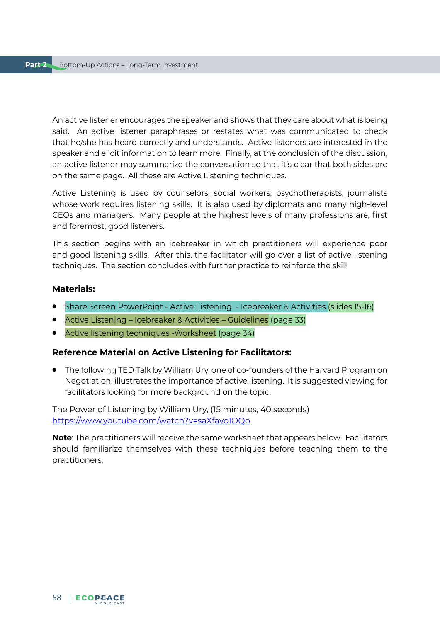An active listener encourages the speaker and shows that they care about what is being said. An active listener paraphrases or restates what was communicated to check that he/she has heard correctly and understands. Active listeners are interested in the speaker and elicit information to learn more. Finally, at the conclusion of the discussion, an active listener may summarize the conversation so that it's clear that both sides are on the same page. All these are Active Listening techniques.

Active Listening is used by counselors, social workers, psychotherapists, journalists whose work requires listening skills. It is also used by diplomats and many high-level CEOs and managers. Many people at the highest levels of many professions are, first and foremost, good listeners.

This section begins with an icebreaker in which practitioners will experience poor and good listening skills. After this, the facilitator will go over a list of active listening techniques. The section concludes with further practice to reinforce the skill.

## **Materials:**

- Share Screen PowerPoint Active Listening Icebreaker & Activities (slides 15-16)
- Active Listening Icebreaker & Activities Guidelines (page 33)
- Active listening techniques -Worksheet (page 34)

## **Reference Material on Active Listening for Facilitators:**

● The following TED Talk by William Ury, one of co-founders of the Harvard Program on Negotiation, illustrates the importance of active listening. It is suggested viewing for facilitators looking for more background on the topic.

The Power of Listening by William Ury, (15 minutes, 40 seconds) <https://www.youtube.com/watch?v=saXfavo1OQo>

**Note**: The practitioners will receive the same worksheet that appears below. Facilitators should familiarize themselves with these techniques before teaching them to the practitioners.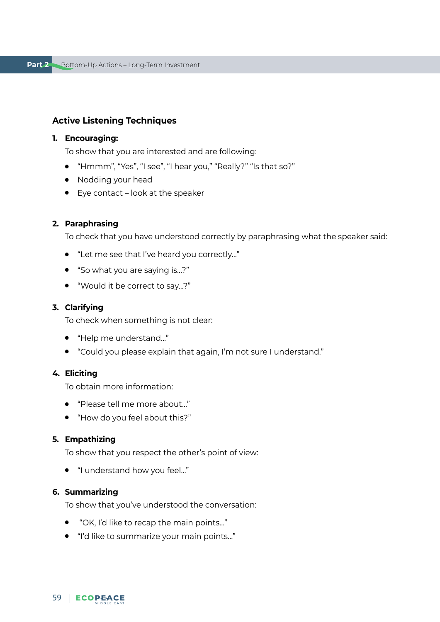# **Active Listening Techniques**

#### **1. Encouraging:**

To show that you are interested and are following:

- "Hmmm", "Yes", "I see", "I hear you," "Really?" "Is that so?"
- Nodding your head
- Eye contact look at the speaker

## **2. Paraphrasing**

To check that you have understood correctly by paraphrasing what the speaker said:

- "Let me see that I've heard you correctly..."
- "So what you are saying is...?"
- "Would it be correct to say...?"

#### **3. Clarifying**

To check when something is not clear:

- "Help me understand…"
- "Could you please explain that again, I'm not sure I understand."

# **4. Eliciting**

To obtain more information:

- "Please tell me more about…"
- "How do you feel about this?"

### **5. Empathizing**

To show that you respect the other's point of view:

● "I understand how you feel…"

#### **6. Summarizing**

To show that you've understood the conversation:

- "OK, I'd like to recap the main points..."
- "I'd like to summarize your main points…"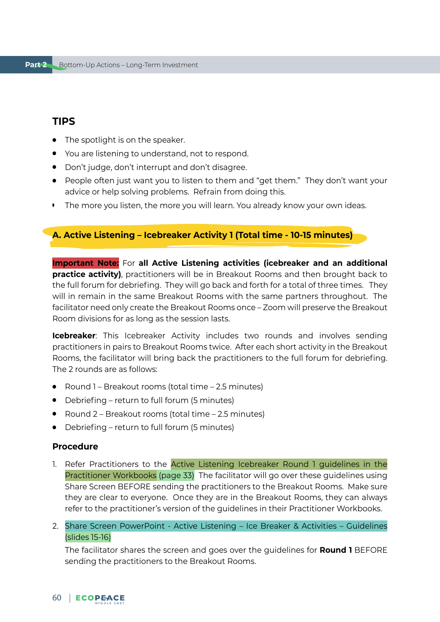# **TIPS**

- The spotlight is on the speaker.
- You are listening to understand, not to respond.
- Don't judge, don't interrupt and don't disagree.
- People often just want you to listen to them and "get them." They don't want your advice or help solving problems. Refrain from doing this.
- The more you listen, the more you will learn. You already know your own ideas.

# **A. Active Listening – Icebreaker Activity 1 (Total time - 10-15 minutes)**

**Important Note:** For **all Active Listening activities (icebreaker and an additional practice activity)**, practitioners will be in Breakout Rooms and then brought back to the full forum for debriefing. They will go back and forth for a total of three times. They will in remain in the same Breakout Rooms with the same partners throughout. The facilitator need only create the Breakout Rooms once – Zoom will preserve the Breakout Room divisions for as long as the session lasts.

**Icebreaker**: This Icebreaker Activity includes two rounds and involves sending practitioners in pairs to Breakout Rooms twice. After each short activity in the Breakout Rooms, the facilitator will bring back the practitioners to the full forum for debriefing. The 2 rounds are as follows:

- Round 1 Breakout rooms (total time 2.5 minutes)
- Debriefing return to full forum (5 minutes)
- Round 2 Breakout rooms (total time 2.5 minutes)
- Debriefing return to full forum (5 minutes)

### **Procedure**

- 1. Refer Practitioners to the Active Listening Icebreaker Round 1 guidelines in the Practitioner Workbooks (page 33) The facilitator will go over these guidelines using Share Screen BEFORE sending the practitioners to the Breakout Rooms. Make sure they are clear to everyone. Once they are in the Breakout Rooms, they can always refer to the practitioner's version of the guidelines in their Practitioner Workbooks.
- 2. Share Screen PowerPoint Active Listening Ice Breaker & Activities Guidelines (slides 15-16)

The facilitator shares the screen and goes over the guidelines for **Round 1** BEFORE sending the practitioners to the Breakout Rooms.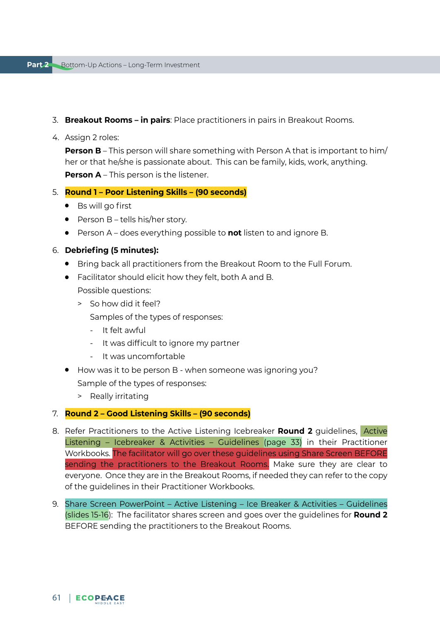### 3. **Breakout Rooms – in pairs**: Place practitioners in pairs in Breakout Rooms.

4. Assign 2 roles:

**Person B** – This person will share something with Person A that is important to him/ her or that he/she is passionate about. This can be family, kids, work, anything. **Person A** – This person is the listener.

5. **Round 1 – Poor Listening Skills – (90 seconds)**

- Bs will go first
- $\bullet$  Person B tells his/her story.
- Person A does everything possible to **not** listen to and ignore B.

## 6. **Debriefing (5 minutes):**

- Bring back all practitioners from the Breakout Room to the Full Forum.
- Facilitator should elicit how they felt, both A and B.

Possible questions:

> So how did it feel?

Samples of the types of responses:

- It felt awful
- It was difficult to ignore my partner
- It was uncomfortable
- How was it to be person B when someone was ignoring you? Sample of the types of responses:
	- > Really irritating

#### 7. **Round 2 – Good Listening Skills – (90 seconds)**

- 8. Refer Practitioners to the Active Listening Icebreaker **Round 2** guidelines, Active Listening – Icebreaker & Activities – Guidelines (page 33) in their Practitioner Workbooks. The facilitator will go over these guidelines using Share Screen BEFORE sending the practitioners to the Breakout Rooms. Make sure they are clear to everyone. Once they are in the Breakout Rooms, if needed they can refer to the copy of the guidelines in their Practitioner Workbooks.
- 9. Share Screen PowerPoint Active Listening Ice Breaker & Activities Guidelines (slides 15-16): The facilitator shares screen and goes over the guidelines for **Round 2** BEFORE sending the practitioners to the Breakout Rooms.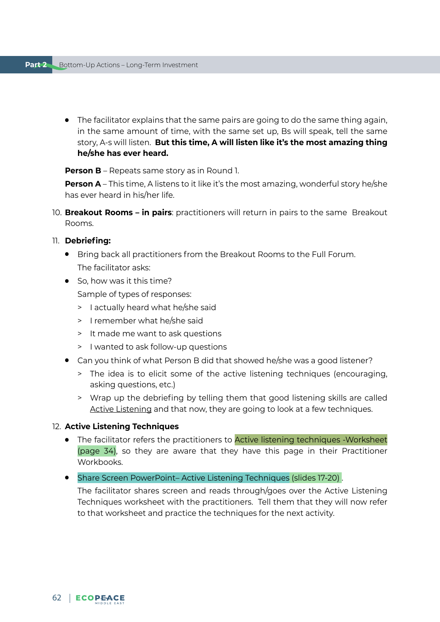● The facilitator explains that the same pairs are going to do the same thing again, in the same amount of time, with the same set up, Bs will speak, tell the same story, A-s will listen. **But this time, A will listen like it's the most amazing thing he/she has ever heard.** 

**Person B** – Repeats same story as in Round 1.

**Person A** – This time, A listens to it like it's the most amazing, wonderful story he/she has ever heard in his/her life.

10. **Breakout Rooms – in pairs**: practitioners will return in pairs to the same Breakout Rooms.

# 11. **Debriefing:**

- Bring back all practitioners from the Breakout Rooms to the Full Forum. The facilitator asks:
- So, how was it this time?

Sample of types of responses:

- > I actually heard what he/she said
- > I remember what he/she said
- > It made me want to ask questions
- > I wanted to ask follow-up questions
- Can you think of what Person B did that showed he/she was a good listener?
	- > The idea is to elicit some of the active listening techniques (encouraging, asking questions, etc.)
	- > Wrap up the debriefing by telling them that good listening skills are called Active Listening and that now, they are going to look at a few techniques.

# 12. **Active Listening Techniques**

- The facilitator refers the practitioners to **Active listening techniques -Worksheet** (page 34), so they are aware that they have this page in their Practitioner Workbooks.
- Share Screen PowerPoint-Active Listening Techniques (slides 17-20).

The facilitator shares screen and reads through/goes over the Active Listening Techniques worksheet with the practitioners. Tell them that they will now refer to that worksheet and practice the techniques for the next activity.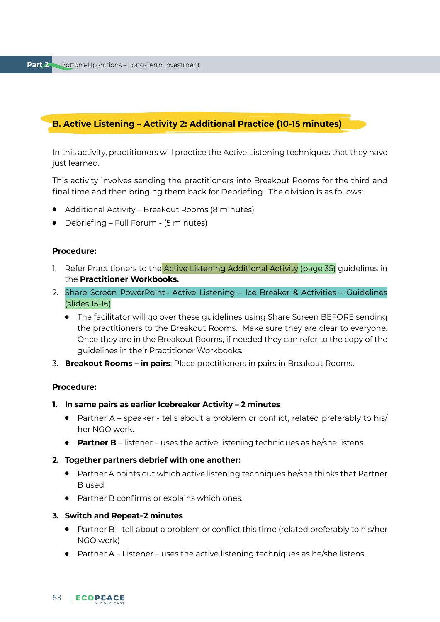# **B. Active Listening – Activity 2: Additional Practice (10-15 minutes)**

In this activity, practitioners will practice the Active Listening techniques that they have just learned.

This activity involves sending the practitioners into Breakout Rooms for the third and final time and then bringing them back for Debriefing. The division is as follows:

- Additional Activity Breakout Rooms (8 minutes)
- Debriefing Full Forum (5 minutes)

#### **Procedure:**

- 1. Refer Practitioners to the **Active Listening Additional Activity (page 35)** guidelines in the **Practitioner Workbooks.**
- 2. Share Screen PowerPoint– Active Listening Ice Breaker & Activities Guidelines (slides 15-16).
	- The facilitator will go over these guidelines using Share Screen BEFORE sending the practitioners to the Breakout Rooms. Make sure they are clear to everyone. Once they are in the Breakout Rooms, if needed they can refer to the copy of the guidelines in their Practitioner Workbooks.
- 3. **Breakout Rooms in pairs**: Place practitioners in pairs in Breakout Rooms.

#### **Procedure:**

- **1. In same pairs as earlier Icebreaker Activity 2 minutes**
	- Partner A speaker tells about a problem or conflict, related preferably to his/ her NGO work.
	- **Partner B** listener uses the active listening techniques as he/she listens.
- **2. Together partners debrief with one another:**
	- Partner A points out which active listening techniques he/she thinks that Partner B used.
	- Partner B confirms or explains which ones.

#### **3. Switch and Repeat–2 minutes**

- Partner B tell about a problem or conflict this time (related preferably to his/her NGO work)
- $\bullet$  Partner A Listener uses the active listening techniques as he/she listens.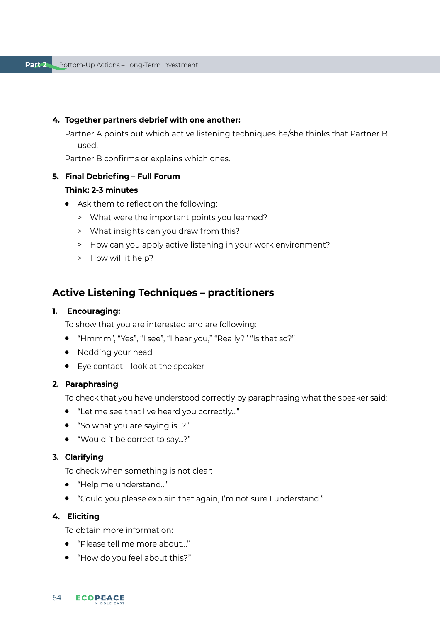#### **4. Together partners debrief with one another:**

Partner A points out which active listening techniques he/she thinks that Partner B used.

Partner B confirms or explains which ones.

#### **5. Final Debriefing – Full Forum**

### **Think: 2-3 minutes**

- Ask them to reflect on the following:
	- > What were the important points you learned?
	- > What insights can you draw from this?
	- > How can you apply active listening in your work environment?
	- > How will it help?

# **Active Listening Techniques – practitioners**

#### **1. Encouraging:**

To show that you are interested and are following:

- "Hmmm", "Yes", "I see", "I hear you," "Really?" "Is that so?"
- Nodding your head
- Eye contact look at the speaker

## **2. Paraphrasing**

To check that you have understood correctly by paraphrasing what the speaker said:

- "Let me see that I've heard you correctly..."
- "So what you are saying is...?"
- "Would it be correct to say...?"

## **3. Clarifying**

To check when something is not clear:

- "Help me understand…"
- "Could you please explain that again, I'm not sure I understand."

### **4. Eliciting**

To obtain more information:

- "Please tell me more about…"
- "How do you feel about this?"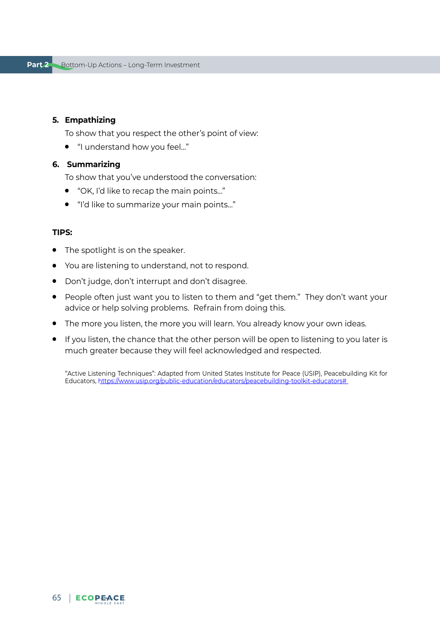### **5. Empathizing**

To show that you respect the other's point of view:

● "I understand how you feel…"

#### **6. Summarizing**

To show that you've understood the conversation:

- "OK, I'd like to recap the main points..."
- "I'd like to summarize your main points…"

#### **TIPS:**

- The spotlight is on the speaker.
- You are listening to understand, not to respond.
- Don't judge, don't interrupt and don't disagree.
- People often just want you to listen to them and "get them." They don't want your advice or help solving problems. Refrain from doing this.
- The more you listen, the more you will learn. You already know your own ideas.
- If you listen, the chance that the other person will be open to listening to you later is much greater because they will feel acknowledged and respected.

"Active Listening Techniques": Adapted from United States Institute for Peace (USIP), Peacebuilding Kit for Educators, [https://www.usip.org/public-education/educators/peacebuilding-toolkit-educators#](https://www.usip.org/public-education/educators/peacebuilding-toolkit-educators)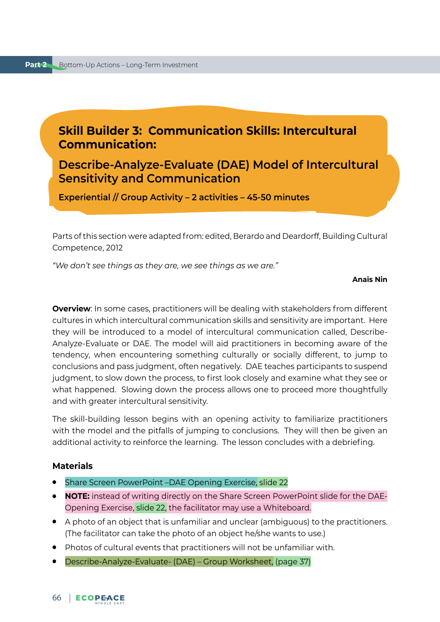# **Skill Builder 3: Communication Skills: Intercultural Communication:**

**Describe-Analyze-Evaluate (DAE) Model of Intercultural Sensitivity and Communication**

**Experiential // Group Activity – 2 activities – 45-50 minutes**

Parts of this section were adapted from: edited, Berardo and Deardorff, Building Cultural Competence, 2012

*"We don't see things as they are, we see things as we are."* 

#### **Anaïs Nin**

**Overview**: In some cases, practitioners will be dealing with stakeholders from different cultures in which intercultural communication skills and sensitivity are important. Here they will be introduced to a model of intercultural communication called, Describe-Analyze-Evaluate or DAE. The model will aid practitioners in becoming aware of the tendency, when encountering something culturally or socially different, to jump to conclusions and pass judgment, often negatively. DAE teaches participants to suspend judgment, to slow down the process, to first look closely and examine what they see or what happened. Slowing down the process allows one to proceed more thoughtfully and with greater intercultural sensitivity.

The skill-building lesson begins with an opening activity to familiarize practitioners with the model and the pitfalls of jumping to conclusions. They will then be given an additional activity to reinforce the learning. The lesson concludes with a debriefing.

### **Materials**

- Share Screen PowerPoint –DAE Opening Exercise, slide 22
- **NOTE:** instead of writing directly on the Share Screen PowerPoint slide for the DAE-Opening Exercise, slide 22, the facilitator may use a Whiteboard.
- A photo of an object that is unfamiliar and unclear (ambiguous) to the practitioners. (The facilitator can take the photo of an object he/she wants to use.)
- Photos of cultural events that practitioners will not be unfamiliar with.
- Describe-Analyze-Evaluate- (DAE) Group Worksheet, (page 37)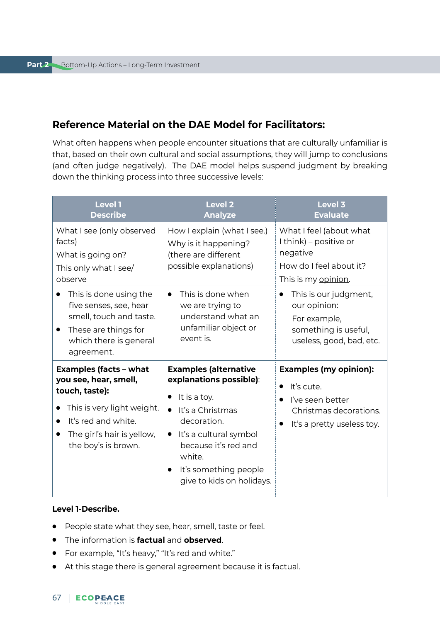# **Reference Material on the DAE Model for Facilitators:**

What often happens when people encounter situations that are culturally unfamiliar is that, based on their own cultural and social assumptions, they will jump to conclusions (and often judge negatively). The DAE model helps suspend judgment by breaking down the thinking process into three successive levels:

| <b>Level 1</b><br><b>Describe</b>                                                                                                                                                                            | <b>Level 2</b><br><b>Analyze</b>                                                                                                                                                                                                                                      | Level 3<br><b>Evaluate</b>                                                                                              |
|--------------------------------------------------------------------------------------------------------------------------------------------------------------------------------------------------------------|-----------------------------------------------------------------------------------------------------------------------------------------------------------------------------------------------------------------------------------------------------------------------|-------------------------------------------------------------------------------------------------------------------------|
| What I see (only observed<br>facts)<br>What is going on?<br>This only what I see/<br>observe                                                                                                                 | How I explain (what I see.)<br>Why is it happening?<br>(there are different<br>possible explanations)                                                                                                                                                                 | What I feel (about what<br>I think) – positive or<br>negative<br>How do I feel about it?<br>This is my opinion.         |
| This is done using the<br>$\bullet$<br>five senses, see, hear<br>smell, touch and taste.<br>These are things for<br>which there is general<br>agreement.                                                     | This is done when<br>$\bullet$<br>we are trying to<br>understand what an<br>unfamiliar object or<br>event is.                                                                                                                                                         | This is our judgment,<br>$\bullet$<br>our opinion:<br>For example,<br>something is useful,<br>useless, good, bad, etc.  |
| <b>Examples (facts - what</b><br>you see, hear, smell,<br>touch, taste):<br>This is very light weight.<br>$\bullet$<br>It's red and white.<br>$\bullet$<br>The girl's hair is yellow,<br>the boy's is brown. | <b>Examples (alternative</b><br>explanations possible):<br>It is a toy.<br>$\bullet$<br>It's a Christmas<br>$\bullet$<br>decoration.<br>· It's a cultural symbol<br>because it's red and<br>white.<br>It's something people<br>$\bullet$<br>give to kids on holidays. | <b>Examples (my opinion):</b><br>It's cute.<br>I've seen better<br>Christmas decorations.<br>It's a pretty useless toy. |

#### **Level 1-Describe.**

- People state what they see, hear, smell, taste or feel.
- The information is **factual** and **observed**.
- For example, "It's heavy," "It's red and white."
- At this stage there is general agreement because it is factual.

# 67 | ECOPEACE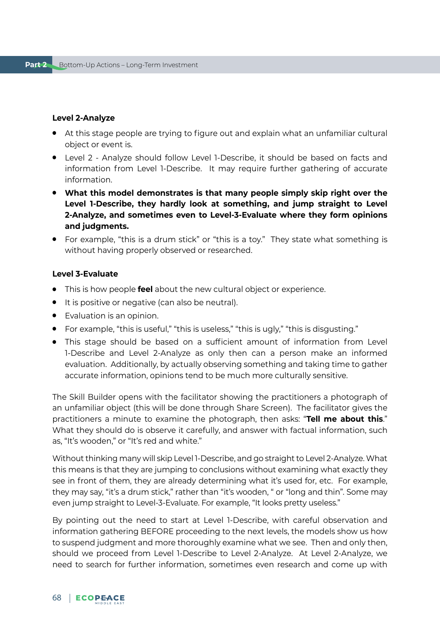#### **Level 2-Analyze**

- At this stage people are trying to figure out and explain what an unfamiliar cultural object or event is.
- Level 2 Analyze should follow Level 1-Describe, it should be based on facts and information from Level 1-Describe. It may require further gathering of accurate information.
- **What this model demonstrates is that many people simply skip right over the Level 1-Describe, they hardly look at something, and jump straight to Level 2-Analyze, and sometimes even to Level-3-Evaluate where they form opinions and judgments.**
- For example, "this is a drum stick" or "this is a toy." They state what something is without having properly observed or researched.

### **Level 3-Evaluate**

- This is how people **feel** about the new cultural object or experience.
- It is positive or negative (can also be neutral).
- Evaluation is an opinion.
- For example, "this is useful," "this is useless," "this is ugly," "this is disgusting."
- This stage should be based on a sufficient amount of information from Level 1-Describe and Level 2-Analyze as only then can a person make an informed evaluation. Additionally, by actually observing something and taking time to gather accurate information, opinions tend to be much more culturally sensitive.

The Skill Builder opens with the facilitator showing the practitioners a photograph of an unfamiliar object (this will be done through Share Screen). The facilitator gives the practitioners a minute to examine the photograph, then asks: "**Tell me about this**." What they should do is observe it carefully, and answer with factual information, such as, "It's wooden," or "It's red and white."

Without thinking many will skip Level 1-Describe, and go straight to Level 2-Analyze. What this means is that they are jumping to conclusions without examining what exactly they see in front of them, they are already determining what it's used for, etc. For example, they may say, "it's a drum stick," rather than "it's wooden, " or "long and thin". Some may even jump straight to Level-3-Evaluate. For example, "It looks pretty useless."

By pointing out the need to start at Level 1-Describe, with careful observation and information gathering BEFORE proceeding to the next levels, the models show us how to suspend judgment and more thoroughly examine what we see. Then and only then, should we proceed from Level 1-Describe to Level 2-Analyze. At Level 2-Analyze, we need to search for further information, sometimes even research and come up with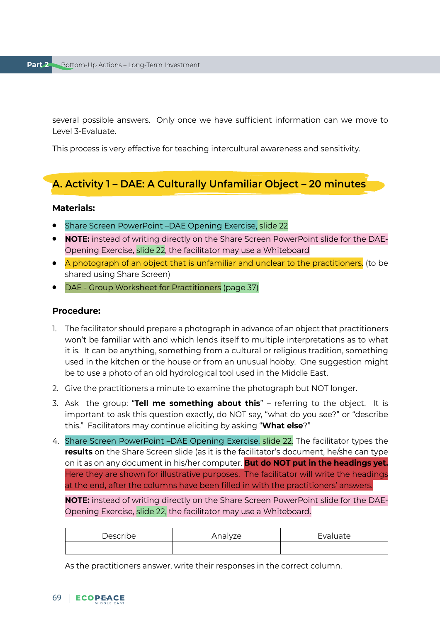several possible answers. Only once we have sufficient information can we move to Level 3-Evaluate.

This process is very effective for teaching intercultural awareness and sensitivity.

# **A. Activity 1 – DAE: A Culturally Unfamiliar Object – 20 minutes**

# **Materials:**

- Share Screen PowerPoint -DAE Opening Exercise, slide 22
- **NOTE:** instead of writing directly on the Share Screen PowerPoint slide for the DAE-Opening Exercise, slide 22, the facilitator may use a Whiteboard
- A photograph of an object that is unfamiliar and unclear to the practitioners. (to be shared using Share Screen)
- DAE Group Worksheet for Practitioners (page 37)

#### **Procedure:**

- 1. The facilitator should prepare a photograph in advance of an object that practitioners won't be familiar with and which lends itself to multiple interpretations as to what it is. It can be anything, something from a cultural or religious tradition, something used in the kitchen or the house or from an unusual hobby. One suggestion might be to use a photo of an old hydrological tool used in the Middle East.
- 2. Give the practitioners a minute to examine the photograph but NOT longer.
- 3. Ask the group: "**Tell me something about this**" referring to the object. It is important to ask this question exactly, do NOT say, "what do you see?" or "describe this." Facilitators may continue eliciting by asking "**What else**?"
- 4. Share Screen PowerPoint –DAE Opening Exercise, slide 22. The facilitator types the **results** on the Share Screen slide (as it is the facilitator's document, he/she can type on it as on any document in his/her computer. **But do NOT put in the headings yet.**  Here they are shown for illustrative purposes. The facilitator will write the headings at the end, after the columns have been filled in with the practitioners' answers.

**NOTE:** instead of writing directly on the Share Screen PowerPoint slide for the DAE-Opening Exercise, slide 22, the facilitator may use a Whiteboard.

| Describe | Analyze | Evaluate |
|----------|---------|----------|
|          |         |          |

As the practitioners answer, write their responses in the correct column.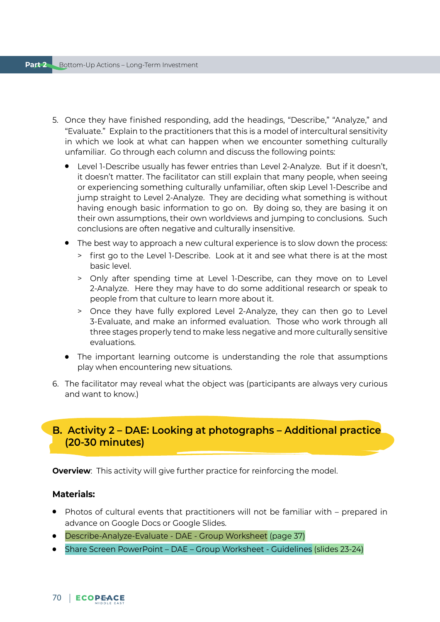- 5. Once they have finished responding, add the headings, "Describe," "Analyze," and "Evaluate." Explain to the practitioners that this is a model of intercultural sensitivity in which we look at what can happen when we encounter something culturally unfamiliar. Go through each column and discuss the following points:
	- Level 1-Describe usually has fewer entries than Level 2-Analyze. But if it doesn't, it doesn't matter. The facilitator can still explain that many people, when seeing or experiencing something culturally unfamiliar, often skip Level 1-Describe and jump straight to Level 2-Analyze. They are deciding what something is without having enough basic information to go on. By doing so, they are basing it on their own assumptions, their own worldviews and jumping to conclusions. Such conclusions are often negative and culturally insensitive.
	- The best way to approach a new cultural experience is to slow down the process:
		- > first go to the Level 1-Describe. Look at it and see what there is at the most basic level.
		- > Only after spending time at Level 1-Describe, can they move on to Level 2-Analyze. Here they may have to do some additional research or speak to people from that culture to learn more about it.
		- > Once they have fully explored Level 2-Analyze, they can then go to Level 3-Evaluate, and make an informed evaluation. Those who work through all three stages properly tend to make less negative and more culturally sensitive evaluations.
	- The important learning outcome is understanding the role that assumptions play when encountering new situations.
- 6. The facilitator may reveal what the object was (participants are always very curious and want to know.)

# **B. Activity 2 – DAE: Looking at photographs – Additional practice (20-30 minutes)**

**Overview**: This activity will give further practice for reinforcing the model.

### **Materials:**

- Photos of cultural events that practitioners will not be familiar with prepared in advance on Google Docs or Google Slides.
- Describe-Analyze-Evaluate DAE Group Worksheet (page 37)
- Share Screen PowerPoint DAE Group Worksheet Guidelines (slides 23-24)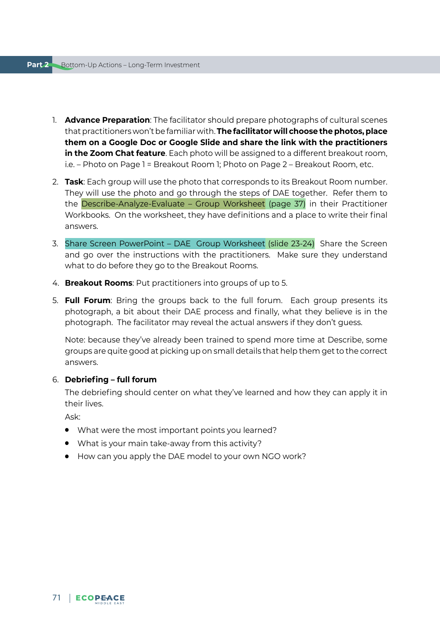- 1. **Advance Preparation**: The facilitator should prepare photographs of cultural scenes that practitioners won't be familiar with. **The facilitator will choose the photos, place them on a Google Doc or Google Slide and share the link with the practitioners in the Zoom Chat feature**. Each photo will be assigned to a different breakout room, i.e. – Photo on Page 1 = Breakout Room 1; Photo on Page 2 – Breakout Room, etc.
- 2. **Task**: Each group will use the photo that corresponds to its Breakout Room number. They will use the photo and go through the steps of DAE together. Refer them to the Describe-Analyze-Evaluate – Group Worksheet (page 37) in their Practitioner Workbooks. On the worksheet, they have definitions and a place to write their final answers.
- 3. Share Screen PowerPoint DAE Group Worksheet (slide 23-24) Share the Screen and go over the instructions with the practitioners. Make sure they understand what to do before they go to the Breakout Rooms.
- 4. **Breakout Rooms**: Put practitioners into groups of up to 5.
- 5. **Full Forum**: Bring the groups back to the full forum. Each group presents its photograph, a bit about their DAE process and finally, what they believe is in the photograph. The facilitator may reveal the actual answers if they don't guess.

Note: because they've already been trained to spend more time at Describe, some groups are quite good at picking up on small details that help them get to the correct answers.

### 6. **Debriefing – full forum**

The debriefing should center on what they've learned and how they can apply it in their lives.

Ask:

- What were the most important points you learned?
- What is your main take-away from this activity?
- How can you apply the DAE model to your own NGO work?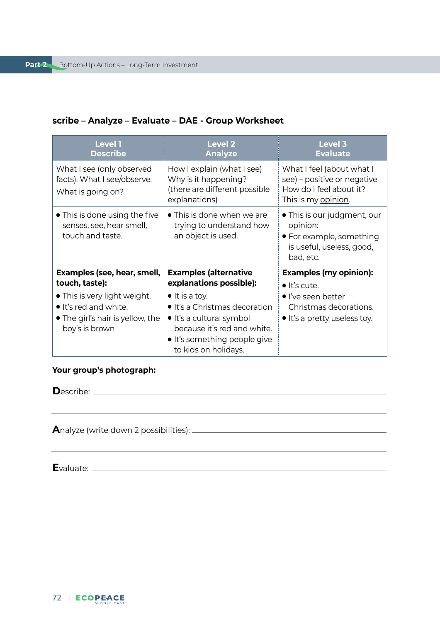## **scribe – Analyze – Evaluate – DAE - Group Worksheet**

| <b>Level 1</b><br><b>Describe</b>                                                                                                                            | <b>Level 2</b><br><b>Analyze</b>                                                                                                                                                                                                      | Level 3<br><b>Evaluate</b>                                                                                                                    |
|--------------------------------------------------------------------------------------------------------------------------------------------------------------|---------------------------------------------------------------------------------------------------------------------------------------------------------------------------------------------------------------------------------------|-----------------------------------------------------------------------------------------------------------------------------------------------|
| What I see (only observed<br>facts). What I see/observe.<br>What is going on?                                                                                | How I explain (what I see)<br>Why is it happening?<br>(there are different possible<br>explanations)                                                                                                                                  | What I feel (about what I<br>see) – positive or negative<br>How do I feel about it?<br>This is my <u>opinion</u> .                            |
| • This is done using the five<br>senses, see, hear smell,<br>touch and taste.                                                                                | • This is done when we are<br>trying to understand how<br>an object is used.                                                                                                                                                          | • This is our judgment, our<br>opinion:<br>• For example, something<br>is useful, useless, good,<br>bad, etc.                                 |
| Examples (see, hear, smell,<br>touch, taste):<br>• This is very light weight.<br>• It's red and white.<br>• The girl's hair is yellow, the<br>boy's is brown | <b>Examples (alternative</b><br>explanations possible):<br>$\bullet$ It is a toy.<br>• It's a Christmas decoration<br>• It's a cultural symbol<br>because it's red and white.<br>• It's something people give<br>to kids on holidays. | <b>Examples (my opinion):</b><br>$\bullet$ It's cute.<br>$\bullet$ I've seen better<br>Christmas decorations.<br>• It's a pretty useless toy. |

### **Your group's photograph:**

**D**escribe:

**A**nalyze (write down 2 possibilities):

**E**valuate: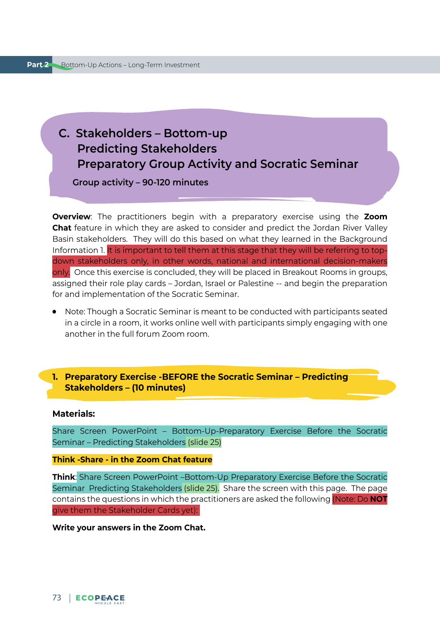## **C. Stakeholders – Bottom-up Predicting Stakeholders Preparatory Group Activity and Socratic Seminar**

 **Group activity – 90-120 minutes**

**Overview**: The practitioners begin with a preparatory exercise using the **Zoom Chat** feature in which they are asked to consider and predict the Jordan River Valley Basin stakeholders. They will do this based on what they learned in the Background Information 1. It is important to tell them at this stage that they will be referring to topdown stakeholders only, in other words, national and international decision-makers only. Once this exercise is concluded, they will be placed in Breakout Rooms in groups, assigned their role play cards – Jordan, Israel or Palestine -- and begin the preparation for and implementation of the Socratic Seminar.

● Note: Though a Socratic Seminar is meant to be conducted with participants seated in a circle in a room, it works online well with participants simply engaging with one another in the full forum Zoom room.

## **1. Preparatory Exercise -BEFORE the Socratic Seminar – Predicting Stakeholders – (10 minutes)**

#### **Materials:**

Share Screen PowerPoint – Bottom-Up-Preparatory Exercise Before the Socratic Seminar – Predicting Stakeholders (slide 25)

#### **Think -Share - in the Zoom Chat feature**

**Think**: Share Screen PowerPoint –Bottom-Up Preparatory Exercise Before the Socratic Seminar Predicting Stakeholders (slide 25). Share the screen with this page. The page contains the questions in which the practitioners are asked the following (Note: Do **NOT** give them the Stakeholder Cards yet):

#### **Write your answers in the Zoom Chat.**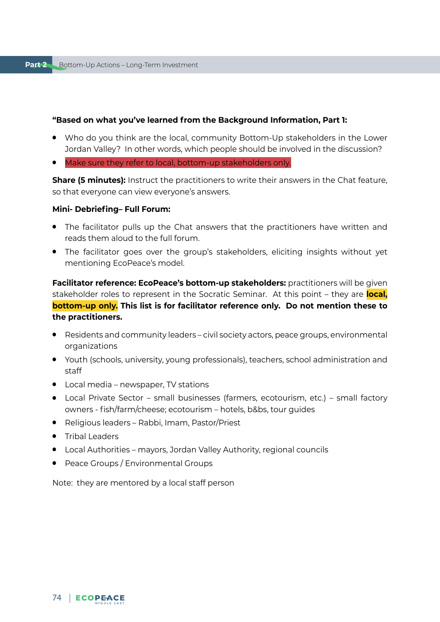#### **"Based on what you've learned from the Background Information, Part 1:**

- Who do you think are the local, community Bottom-Up stakeholders in the Lower Jordan Valley? In other words, which people should be involved in the discussion?
- Make sure they refer to local, bottom-up stakeholders only.

**Share (5 minutes):** Instruct the practitioners to write their answers in the Chat feature, so that everyone can view everyone's answers.

#### **Mini- Debriefing– Full Forum:**

- The facilitator pulls up the Chat answers that the practitioners have written and reads them aloud to the full forum.
- The facilitator goes over the group's stakeholders, eliciting insights without yet mentioning EcoPeace's model.

**Facilitator reference: EcoPeace's bottom-up stakeholders:** practitioners will be given stakeholder roles to represent in the Socratic Seminar. At this point – they are **local, bottom-up only. This list is for facilitator reference only. Do not mention these to the practitioners.**

- Residents and community leaders civil society actors, peace groups, environmental organizations
- Youth (schools, university, young professionals), teachers, school administration and staff
- Local media newspaper, TV stations
- Local Private Sector small businesses (farmers, ecotourism, etc.) small factory owners - fish/farm/cheese; ecotourism – hotels, b&bs, tour guides
- Religious leaders Rabbi, Imam, Pastor/Priest
- Tribal Leaders
- Local Authorities mayors, Jordan Valley Authority, regional councils
- Peace Groups / Environmental Groups

Note: they are mentored by a local staff person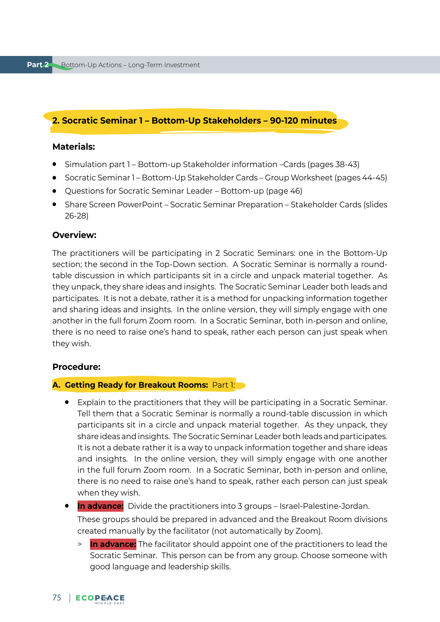## **2. Socratic Seminar 1 – Bottom-Up Stakeholders – 90-120 minutes**

#### **Materials:**

- Simulation part 1 Bottom-up Stakeholder information –Cards (pages 38-43)
- Socratic Seminar 1 Bottom-Up Stakeholder Cards Group Worksheet (pages 44-45)
- Ouestions for Socratic Seminar Leader Bottom-up (page 46)
- Share Screen PowerPoint Socratic Seminar Preparation Stakeholder Cards (slides 26-28)

#### **Overview:**

The practitioners will be participating in 2 Socratic Seminars: one in the Bottom-Up section; the second in the Top-Down section. A Socratic Seminar is normally a roundtable discussion in which participants sit in a circle and unpack material together. As they unpack, they share ideas and insights. The Socratic Seminar Leader both leads and participates. It is not a debate, rather it is a method for unpacking information together and sharing ideas and insights. In the online version, they will simply engage with one another in the full forum Zoom room. In a Socratic Seminar, both in-person and online, there is no need to raise one's hand to speak, rather each person can just speak when they wish.

#### **Procedure:**

#### **A. Getting Ready for Breakout Rooms:** Part 1:

● Explain to the practitioners that they will be participating in a Socratic Seminar. Tell them that a Socratic Seminar is normally a round-table discussion in which participants sit in a circle and unpack material together. As they unpack, they share ideas and insights. The Socratic Seminar Leader both leads and participates. It is not a debate rather it is a way to unpack information together and share ideas and insights. In the online version, they will simply engage with one another in the full forum Zoom room. In a Socratic Seminar, both in-person and online, there is no need to raise one's hand to speak, rather each person can just speak when they wish.

## ● **In advance:** Divide the practitioners into 3 groups – Israel-Palestine-Jordan. These groups should be prepared in advanced and the Breakout Room divisions created manually by the facilitator (not automatically by Zoom).

> **In advance:** The facilitator should appoint one of the practitioners to lead the Socratic Seminar. This person can be from any group. Choose someone with good language and leadership skills.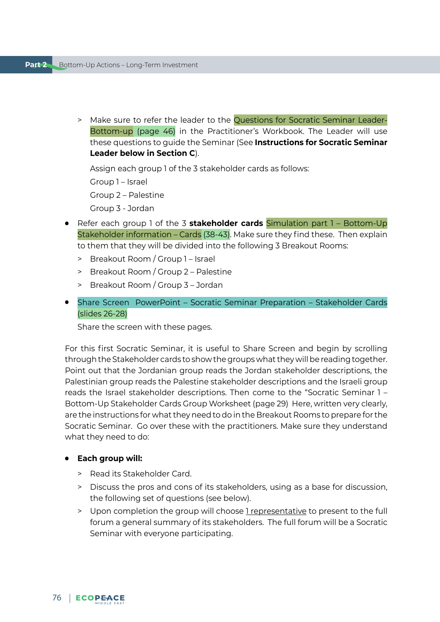> Make sure to refer the leader to the Questions for Socratic Seminar Leader-Bottom-up (page 46) in the Practitioner's Workbook. The Leader will use these questions to guide the Seminar (See **Instructions for Socratic Seminar Leader below in Section C**).

Assign each group 1 of the 3 stakeholder cards as follows:

Group 1 – Israel

Group 2 – Palestine

- Group 3 Jordan
- Refer each group 1 of the 3 **stakeholder cards** Simulation part 1 Bottom-Up Stakeholder information – Cards (38-43). Make sure they find these. Then explain to them that they will be divided into the following 3 Breakout Rooms:
	- > Breakout Room / Group 1 Israel
	- > Breakout Room / Group 2 Palestine
	- > Breakout Room / Group 3 Jordan
- Share Screen PowerPoint Socratic Seminar Preparation Stakeholder Cards (slides 26-28)

Share the screen with these pages.

For this first Socratic Seminar, it is useful to Share Screen and begin by scrolling through the Stakeholder cards to show the groups what they will be reading together. Point out that the Jordanian group reads the Jordan stakeholder descriptions, the Palestinian group reads the Palestine stakeholder descriptions and the Israeli group reads the Israel stakeholder descriptions. Then come to the "Socratic Seminar 1 – Bottom-Up Stakeholder Cards Group Worksheet (page 29) Here, written very clearly, are the instructions for what they need to do in the Breakout Rooms to prepare for the Socratic Seminar. Go over these with the practitioners. Make sure they understand what they need to do:

#### ● **Each group will:**

- > Read its Stakeholder Card.
- > Discuss the pros and cons of its stakeholders, using as a base for discussion, the following set of questions (see below).
- > Upon completion the group will choose I representative to present to the full forum a general summary of its stakeholders. The full forum will be a Socratic Seminar with everyone participating.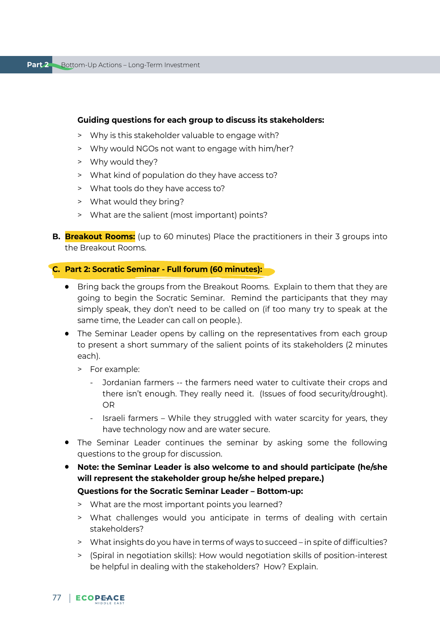#### **Guiding questions for each group to discuss its stakeholders:**

- > Why is this stakeholder valuable to engage with?
- > Why would NGOs not want to engage with him/her?
- > Why would they?
- > What kind of population do they have access to?
- > What tools do they have access to?
- > What would they bring?
- > What are the salient (most important) points?
- **B. Breakout Rooms:** (up to 60 minutes) Place the practitioners in their 3 groups into the Breakout Rooms.

#### **C. Part 2: Socratic Seminar - Full forum (60 minutes):**

- Bring back the groups from the Breakout Rooms. Explain to them that they are going to begin the Socratic Seminar. Remind the participants that they may simply speak, they don't need to be called on (if too many try to speak at the same time, the Leader can call on people.).
- The Seminar Leader opens by calling on the representatives from each group to present a short summary of the salient points of its stakeholders (2 minutes each).
	- > For example:
		- Jordanian farmers -- the farmers need water to cultivate their crops and there isn't enough. They really need it. (Issues of food security/drought). OR
		- Israeli farmers While they struggled with water scarcity for years, they have technology now and are water secure.
- The Seminar Leader continues the seminar by asking some the following questions to the group for discussion.
- **Note: the Seminar Leader is also welcome to and should participate (he/she will represent the stakeholder group he/she helped prepare.)**
	- **Questions for the Socratic Seminar Leader Bottom-up:**
	- > What are the most important points you learned?
	- > What challenges would you anticipate in terms of dealing with certain stakeholders?
	- > What insights do you have in terms of ways to succeed in spite of difficulties?
	- > (Spiral in negotiation skills): How would negotiation skills of position-interest be helpful in dealing with the stakeholders? How? Explain.
- 77 | ECOPEACE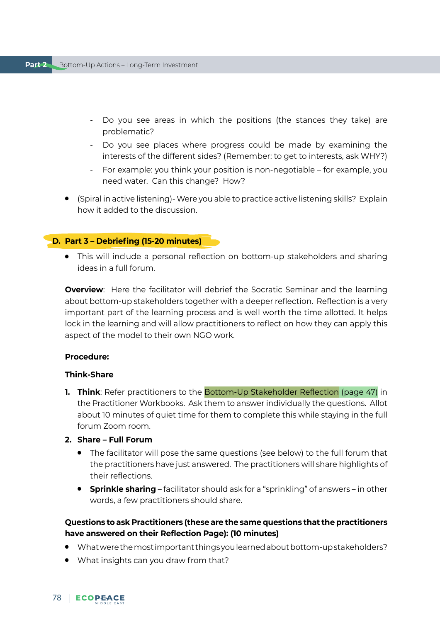- Do you see areas in which the positions (the stances they take) are problematic?
- Do you see places where progress could be made by examining the interests of the different sides? (Remember: to get to interests, ask WHY?)
- For example: you think your position is non-negotiable for example, you need water. Can this change? How?
- (Spiral in active listening)- Were you able to practice active listening skills? Explain how it added to the discussion.

#### **D. Part 3 – Debriefing (15-20 minutes)**

● This will include a personal reflection on bottom-up stakeholders and sharing ideas in a full forum.

**Overview**: Here the facilitator will debrief the Socratic Seminar and the learning about bottom-up stakeholders together with a deeper reflection. Reflection is a very important part of the learning process and is well worth the time allotted. It helps lock in the learning and will allow practitioners to reflect on how they can apply this aspect of the model to their own NGO work.

#### **Procedure:**

#### **Think-Share**

- **1. Think**: Refer practitioners to the Bottom-Up Stakeholder Reflection (page 47) in the Practitioner Workbooks. Ask them to answer individually the questions. Allot about 10 minutes of quiet time for them to complete this while staying in the full forum Zoom room.
- **2. Share Full Forum**
	- The facilitator will pose the same questions (see below) to the full forum that the practitioners have just answered. The practitioners will share highlights of their reflections.
	- **Sprinkle sharing** facilitator should ask for a "sprinkling" of answers in other words, a few practitioners should share.

#### **Questions to ask Practitioners (these are the same questions that the practitioners have answered on their Reflection Page): (10 minutes)**

- What were the most important things you learned about bottom-up stakeholders?
- What insights can you draw from that?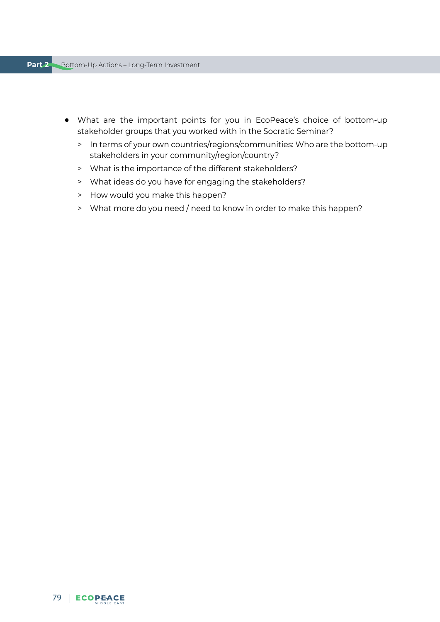- What are the important points for you in EcoPeace's choice of bottom-up stakeholder groups that you worked with in the Socratic Seminar?
	- > In terms of your own countries/regions/communities: Who are the bottom-up stakeholders in your community/region/country?
	- > What is the importance of the different stakeholders?
	- > What ideas do you have for engaging the stakeholders?
	- > How would you make this happen?
	- > What more do you need / need to know in order to make this happen?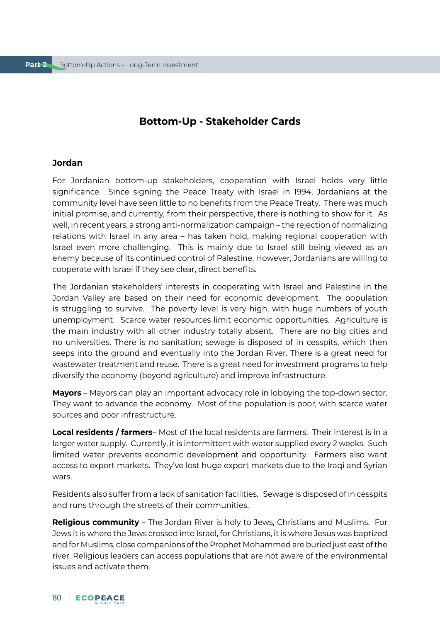## **Bottom-Up - Stakeholder Cards**

#### **Jordan**

For Jordanian bottom-up stakeholders, cooperation with Israel holds very little significance. Since signing the Peace Treaty with Israel in 1994, Jordanians at the community level have seen little to no benefits from the Peace Treaty. There was much initial promise, and currently, from their perspective, there is nothing to show for it. As well, in recent years, a strong anti-normalization campaign – the rejection of normalizing relations with Israel in any area – has taken hold, making regional cooperation with Israel even more challenging. This is mainly due to Israel still being viewed as an enemy because of its continued control of Palestine. However, Jordanians are willing to cooperate with Israel if they see clear, direct benefits.

The Jordanian stakeholders' interests in cooperating with Israel and Palestine in the Jordan Valley are based on their need for economic development. The population is struggling to survive. The poverty level is very high, with huge numbers of youth unemployment. Scarce water resources limit economic opportunities. Agriculture is the main industry with all other industry totally absent. There are no big cities and no universities. There is no sanitation; sewage is disposed of in cesspits, which then seeps into the ground and eventually into the Jordan River. There is a great need for wastewater treatment and reuse. There is a great need for investment programs to help diversify the economy (beyond agriculture) and improve infrastructure.

**Mayors** – Mayors can play an important advocacy role in lobbying the top-down sector. They want to advance the economy. Most of the population is poor, with scarce water sources and poor infrastructure.

**Local residents / farmers**– Most of the local residents are farmers. Their interest is in a larger water supply. Currently, it is intermittent with water supplied every 2 weeks. Such limited water prevents economic development and opportunity. Farmers also want access to export markets. They've lost huge export markets due to the Iraqi and Syrian wars.

Residents also suffer from a lack of sanitation facilities. Sewage is disposed of in cesspits and runs through the streets of their communities.

**Religious community** – The Jordan River is holy to Jews, Christians and Muslims. For Jews it is where the Jews crossed into Israel, for Christians, it is where Jesus was baptized and for Muslims, close companions of the Prophet Mohammed are buried just east of the river. Religious leaders can access populations that are not aware of the environmental issues and activate them.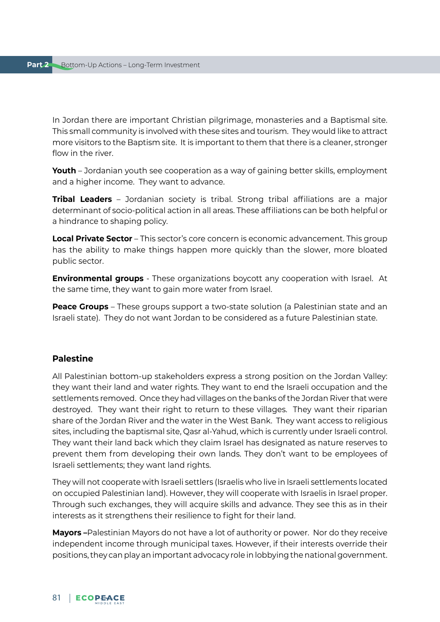In Jordan there are important Christian pilgrimage, monasteries and a Baptismal site. This small community is involved with these sites and tourism. They would like to attract more visitors to the Baptism site. It is important to them that there is a cleaner, stronger flow in the river.

**Youth** – Jordanian youth see cooperation as a way of gaining better skills, employment and a higher income. They want to advance.

**Tribal Leaders** – Jordanian society is tribal. Strong tribal affiliations are a major determinant of socio-political action in all areas. These affiliations can be both helpful or a hindrance to shaping policy.

**Local Private Sector** – This sector's core concern is economic advancement. This group has the ability to make things happen more quickly than the slower, more bloated public sector.

**Environmental groups** - These organizations boycott any cooperation with Israel. At the same time, they want to gain more water from Israel.

**Peace Groups** – These groups support a two-state solution (a Palestinian state and an Israeli state). They do not want Jordan to be considered as a future Palestinian state.

#### **Palestine**

All Palestinian bottom-up stakeholders express a strong position on the Jordan Valley: they want their land and water rights. They want to end the Israeli occupation and the settlements removed. Once they had villages on the banks of the Jordan River that were destroyed. They want their right to return to these villages. They want their riparian share of the Jordan River and the water in the West Bank. They want access to religious sites, including the baptismal site, Qasr al-Yahud, which is currently under Israeli control. They want their land back which they claim Israel has designated as nature reserves to prevent them from developing their own lands. They don't want to be employees of Israeli settlements; they want land rights.

They will not cooperate with Israeli settlers (Israelis who live in Israeli settlements located on occupied Palestinian land). However, they will cooperate with Israelis in Israel proper. Through such exchanges, they will acquire skills and advance. They see this as in their interests as it strengthens their resilience to fight for their land.

**Mayors –**Palestinian Mayors do not have a lot of authority or power. Nor do they receive independent income through municipal taxes. However, if their interests override their positions, they can play an important advocacy role in lobbying the national government.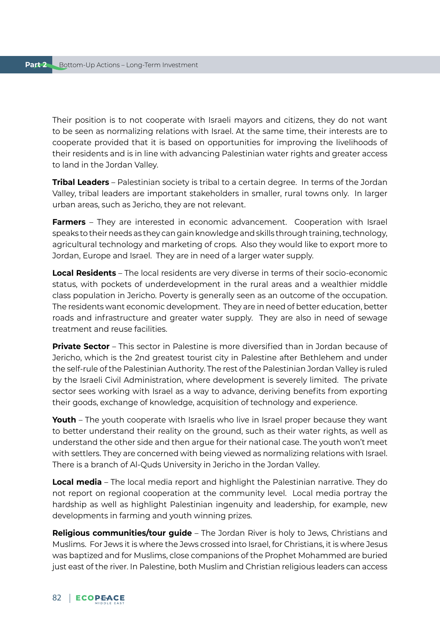Their position is to not cooperate with Israeli mayors and citizens, they do not want to be seen as normalizing relations with Israel. At the same time, their interests are to cooperate provided that it is based on opportunities for improving the livelihoods of their residents and is in line with advancing Palestinian water rights and greater access to land in the Jordan Valley.

**Tribal Leaders** – Palestinian society is tribal to a certain degree. In terms of the Jordan Valley, tribal leaders are important stakeholders in smaller, rural towns only. In larger urban areas, such as Jericho, they are not relevant.

**Farmers** – They are interested in economic advancement. Cooperation with Israel speaks to their needs as they can gain knowledge and skills through training, technology, agricultural technology and marketing of crops. Also they would like to export more to Jordan, Europe and Israel. They are in need of a larger water supply.

**Local Residents** – The local residents are very diverse in terms of their socio-economic status, with pockets of underdevelopment in the rural areas and a wealthier middle class population in Jericho. Poverty is generally seen as an outcome of the occupation. The residents want economic development. They are in need of better education, better roads and infrastructure and greater water supply. They are also in need of sewage treatment and reuse facilities.

**Private Sector** – This sector in Palestine is more diversified than in Jordan because of Jericho, which is the 2nd greatest tourist city in Palestine after Bethlehem and under the self-rule of the Palestinian Authority. The rest of the Palestinian Jordan Valley is ruled by the Israeli Civil Administration, where development is severely limited. The private sector sees working with Israel as a way to advance, deriving benefits from exporting their goods, exchange of knowledge, acquisition of technology and experience.

**Youth** – The youth cooperate with Israelis who live in Israel proper because they want to better understand their reality on the ground, such as their water rights, as well as understand the other side and then argue for their national case. The youth won't meet with settlers. They are concerned with being viewed as normalizing relations with Israel. There is a branch of Al-Quds University in Jericho in the Jordan Valley.

**Local media** – The local media report and highlight the Palestinian narrative. They do not report on regional cooperation at the community level. Local media portray the hardship as well as highlight Palestinian ingenuity and leadership, for example, new developments in farming and youth winning prizes.

**Religious communities/tour guide** – The Jordan River is holy to Jews, Christians and Muslims. For Jews it is where the Jews crossed into Israel, for Christians, it is where Jesus was baptized and for Muslims, close companions of the Prophet Mohammed are buried just east of the river. In Palestine, both Muslim and Christian religious leaders can access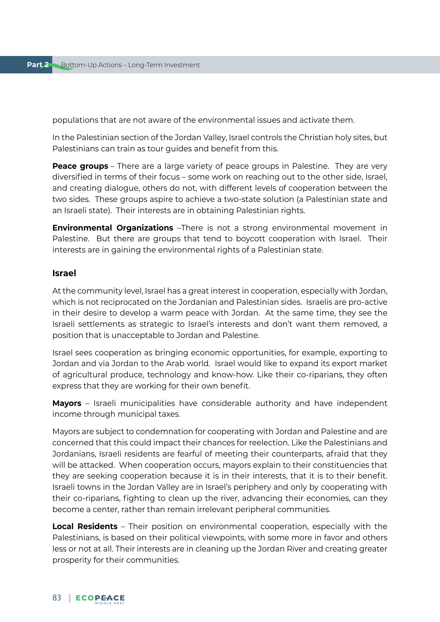populations that are not aware of the environmental issues and activate them.

In the Palestinian section of the Jordan Valley, Israel controls the Christian holy sites, but Palestinians can train as tour guides and benefit from this.

**Peace groups** – There are a large variety of peace groups in Palestine. They are very diversified in terms of their focus – some work on reaching out to the other side, Israel, and creating dialogue, others do not, with different levels of cooperation between the two sides. These groups aspire to achieve a two-state solution (a Palestinian state and an Israeli state). Their interests are in obtaining Palestinian rights.

**Environmental Organizations** –There is not a strong environmental movement in Palestine. But there are groups that tend to boycott cooperation with Israel. Their interests are in gaining the environmental rights of a Palestinian state.

#### **Israel**

At the community level, Israel has a great interest in cooperation, especially with Jordan, which is not reciprocated on the Jordanian and Palestinian sides. Israelis are pro-active in their desire to develop a warm peace with Jordan. At the same time, they see the Israeli settlements as strategic to Israel's interests and don't want them removed, a position that is unacceptable to Jordan and Palestine.

Israel sees cooperation as bringing economic opportunities, for example, exporting to Jordan and via Jordan to the Arab world. Israel would like to expand its export market of agricultural produce, technology and know-how. Like their co-riparians, they often express that they are working for their own benefit.

**Mayors** – Israeli municipalities have considerable authority and have independent income through municipal taxes.

Mayors are subject to condemnation for cooperating with Jordan and Palestine and are concerned that this could impact their chances for reelection. Like the Palestinians and Jordanians, Israeli residents are fearful of meeting their counterparts, afraid that they will be attacked. When cooperation occurs, mayors explain to their constituencies that they are seeking cooperation because it is in their interests, that it is to their benefit. Israeli towns in the Jordan Valley are in Israel's periphery and only by cooperating with their co-riparians, fighting to clean up the river, advancing their economies, can they become a center, rather than remain irrelevant peripheral communities.

**Local Residents** – Their position on environmental cooperation, especially with the Palestinians, is based on their political viewpoints, with some more in favor and others less or not at all. Their interests are in cleaning up the Jordan River and creating greater prosperity for their communities.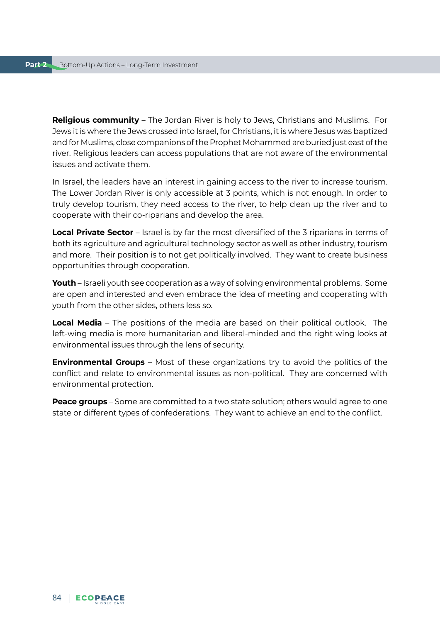**Religious community** – The Jordan River is holy to Jews, Christians and Muslims. For Jews it is where the Jews crossed into Israel, for Christians, it is where Jesus was baptized and for Muslims, close companions of the Prophet Mohammed are buried just east of the river. Religious leaders can access populations that are not aware of the environmental issues and activate them.

In Israel, the leaders have an interest in gaining access to the river to increase tourism. The Lower Jordan River is only accessible at 3 points, which is not enough. In order to truly develop tourism, they need access to the river, to help clean up the river and to cooperate with their co-riparians and develop the area.

**Local Private Sector** – Israel is by far the most diversified of the 3 riparians in terms of both its agriculture and agricultural technology sector as well as other industry, tourism and more. Their position is to not get politically involved. They want to create business opportunities through cooperation.

**Youth** – Israeli youth see cooperation as a way of solving environmental problems. Some are open and interested and even embrace the idea of meeting and cooperating with youth from the other sides, others less so.

**Local Media** – The positions of the media are based on their political outlook. The left-wing media is more humanitarian and liberal-minded and the right wing looks at environmental issues through the lens of security.

**Environmental Groups** – Most of these organizations try to avoid the politics of the conflict and relate to environmental issues as non-political. They are concerned with environmental protection.

**Peace groups** – Some are committed to a two state solution; others would agree to one state or different types of confederations. They want to achieve an end to the conflict.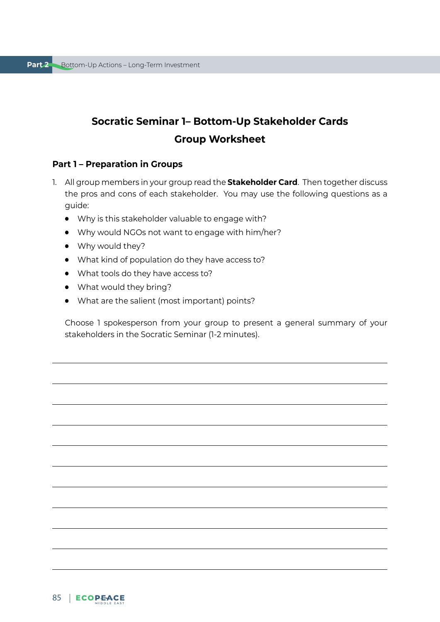## **Socratic Seminar 1– Bottom-Up Stakeholder Cards Group Worksheet**

#### **Part 1 – Preparation in Groups**

- 1. All group members in your group read the **Stakeholder Card**. Then together discuss the pros and cons of each stakeholder. You may use the following questions as a guide:
	- Why is this stakeholder valuable to engage with?
	- Why would NGOs not want to engage with him/her?
	- Why would they?
	- What kind of population do they have access to?
	- What tools do they have access to?
	- What would they bring?
	- What are the salient (most important) points?

Choose 1 spokesperson from your group to present a general summary of your stakeholders in the Socratic Seminar (1-2 minutes).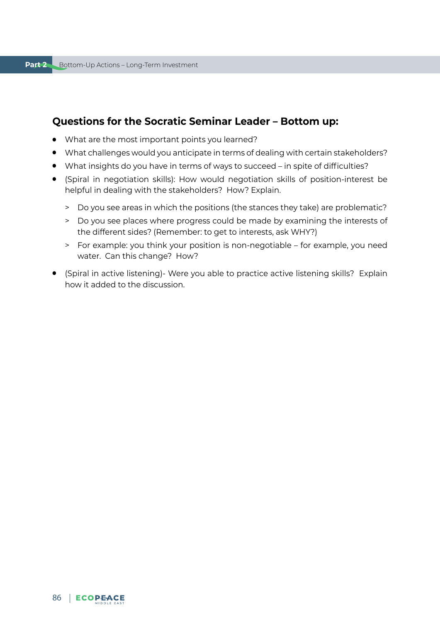## **Questions for the Socratic Seminar Leader – Bottom up:**

- What are the most important points you learned?
- What challenges would you anticipate in terms of dealing with certain stakeholders?
- What insights do you have in terms of ways to succeed in spite of difficulties?
- (Spiral in negotiation skills): How would negotiation skills of position-interest be helpful in dealing with the stakeholders? How? Explain.
	- > Do you see areas in which the positions (the stances they take) are problematic?
	- > Do you see places where progress could be made by examining the interests of the different sides? (Remember: to get to interests, ask WHY?)
	- > For example: you think your position is non-negotiable for example, you need water. Can this change? How?
- (Spiral in active listening)- Were you able to practice active listening skills? Explain how it added to the discussion.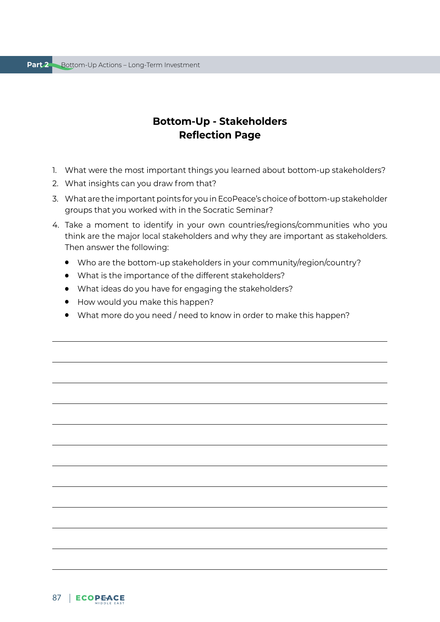## **Bottom-Up - Stakeholders Reflection Page**

- 1. What were the most important things you learned about bottom-up stakeholders?
- 2. What insights can you draw from that?
- 3. What are the important points for you in EcoPeace's choice of bottom-up stakeholder groups that you worked with in the Socratic Seminar?
- 4. Take a moment to identify in your own countries/regions/communities who you think are the major local stakeholders and why they are important as stakeholders. Then answer the following:
	- Who are the bottom-up stakeholders in your community/region/country?
	- What is the importance of the different stakeholders?
	- What ideas do you have for engaging the stakeholders?
	- How would you make this happen?
	- What more do you need / need to know in order to make this happen?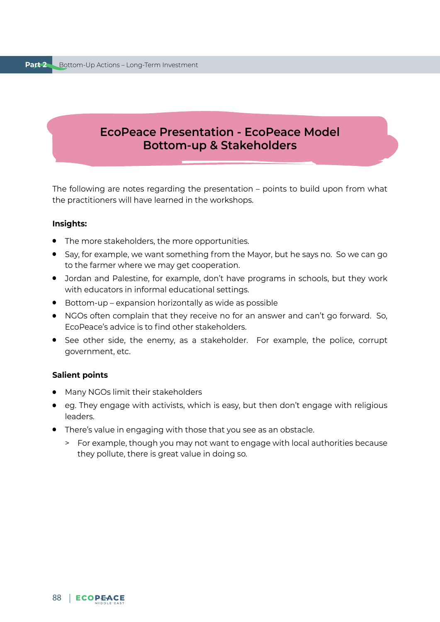## **EcoPeace Presentation - EcoPeace Model Bottom-up & Stakeholders**

The following are notes regarding the presentation – points to build upon from what the practitioners will have learned in the workshops.

#### **Insights:**

- The more stakeholders, the more opportunities.
- Say, for example, we want something from the Mayor, but he says no. So we can go to the farmer where we may get cooperation.
- Jordan and Palestine, for example, don't have programs in schools, but they work with educators in informal educational settings.
- Bottom-up expansion horizontally as wide as possible
- NGOs often complain that they receive no for an answer and can't go forward. So, EcoPeace's advice is to find other stakeholders.
- See other side, the enemy, as a stakeholder. For example, the police, corrupt government, etc.

#### **Salient points**

- Many NGOs limit their stakeholders
- eg. They engage with activists, which is easy, but then don't engage with religious leaders.
- There's value in engaging with those that you see as an obstacle.
	- > For example, though you may not want to engage with local authorities because they pollute, there is great value in doing so.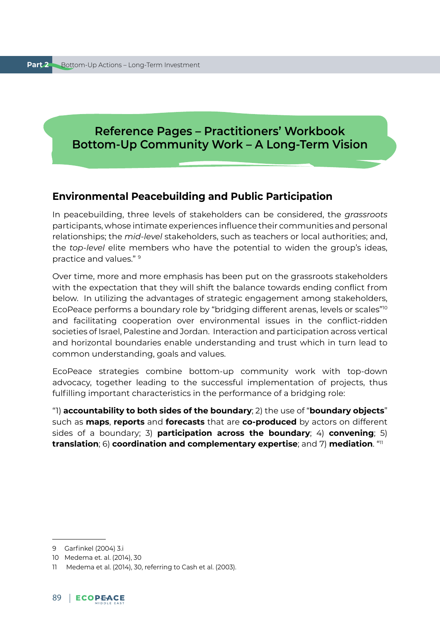## **Reference Pages – Practitioners' Workbook Bottom-Up Community Work – A Long-Term Vision**

## **Environmental Peacebuilding and Public Participation**

In peacebuilding, three levels of stakeholders can be considered, the *grassroots*  participants, whose intimate experiences influence their communities and personal relationships; the *mid-level* stakeholders, such as teachers or local authorities; and, the *top-level* elite members who have the potential to widen the group's ideas, practice and values." 9

Over time, more and more emphasis has been put on the grassroots stakeholders with the expectation that they will shift the balance towards ending conflict from below. In utilizing the advantages of strategic engagement among stakeholders, EcoPeace performs a boundary role by "bridging different arenas, levels or scales"<sup>10</sup> and facilitating cooperation over environmental issues in the conflict-ridden societies of Israel, Palestine and Jordan. Interaction and participation across vertical and horizontal boundaries enable understanding and trust which in turn lead to common understanding, goals and values.

EcoPeace strategies combine bottom-up community work with top-down advocacy, together leading to the successful implementation of projects, thus fulfilling important characteristics in the performance of a bridging role:

"1) **accountability to both sides of the boundary**; 2) the use of "**boundary objects**" such as **maps**, **reports** and **forecasts** that are **co-produced** by actors on different sides of a boundary; 3) **participation across the boundary**; 4) **convening**; 5) **translation**; 6) **coordination and complementary expertise**; and 7) **mediation**. "11

<sup>9</sup> Garfinkel (2004) 3.i

<sup>10</sup> Medema et. al. (2014), 30

<sup>11</sup> Medema et al. (2014), 30, referring to Cash et al. (2003).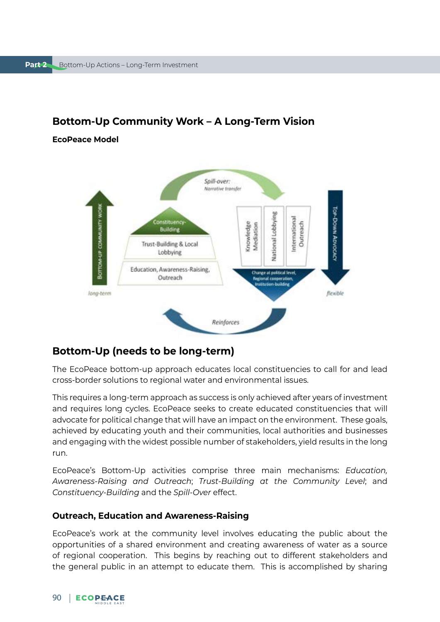

## **Bottom-Up Community Work – A Long-Term Vision**

**EcoPeace Model** 

## **Bottom-Up (needs to be long-term)**

The EcoPeace bottom-up approach educates local constituencies to call for and lead cross-border solutions to regional water and environmental issues.

This requires a long-term approach as success is only achieved after years of investment and requires long cycles. EcoPeace seeks to create educated constituencies that will advocate for political change that will have an impact on the environment. These goals, achieved by educating youth and their communities, local authorities and businesses and engaging with the widest possible number of stakeholders, yield results in the long run.

EcoPeace's Bottom-Up activities comprise three main mechanisms: *Education, Awareness-Raising and Outreach*; *Trust-Building at the Community Level*; and *Constituency-Building* and the *Spill-Over* effect.

#### **Outreach, Education and Awareness-Raising**

EcoPeace's work at the community level involves educating the public about the opportunities of a shared environment and creating awareness of water as a source of regional cooperation. This begins by reaching out to different stakeholders and the general public in an attempt to educate them. This is accomplished by sharing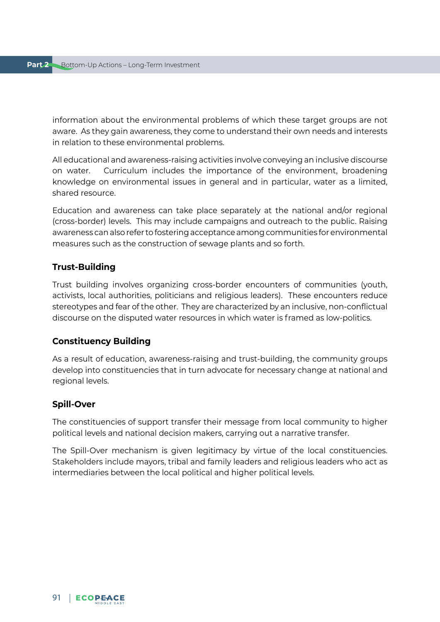information about the environmental problems of which these target groups are not aware. As they gain awareness, they come to understand their own needs and interests in relation to these environmental problems.

All educational and awareness-raising activities involve conveying an inclusive discourse on water. Curriculum includes the importance of the environment, broadening knowledge on environmental issues in general and in particular, water as a limited, shared resource.

Education and awareness can take place separately at the national and/or regional (cross-border) levels. This may include campaigns and outreach to the public. Raising awareness can also refer to fostering acceptance among communities for environmental measures such as the construction of sewage plants and so forth.

#### **Trust-Building**

Trust building involves organizing cross-border encounters of communities (youth, activists, local authorities, politicians and religious leaders). These encounters reduce stereotypes and fear of the other. They are characterized by an inclusive, non-conflictual discourse on the disputed water resources in which water is framed as low-politics.

#### **Constituency Building**

As a result of education, awareness-raising and trust-building, the community groups develop into constituencies that in turn advocate for necessary change at national and regional levels.

#### **Spill-Over**

The constituencies of support transfer their message from local community to higher political levels and national decision makers, carrying out a narrative transfer.

The Spill-Over mechanism is given legitimacy by virtue of the local constituencies. Stakeholders include mayors, tribal and family leaders and religious leaders who act as intermediaries between the local political and higher political levels.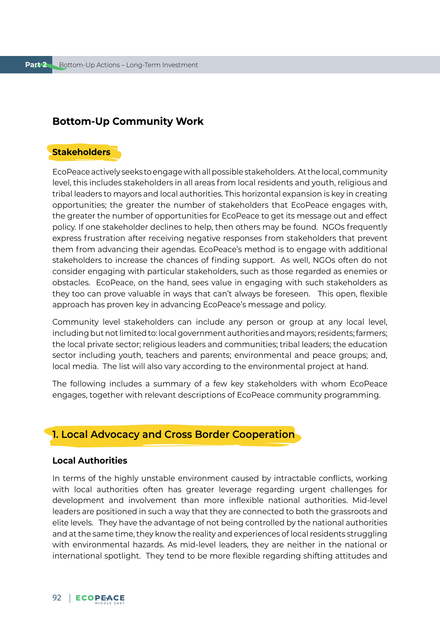## **Bottom-Up Community Work**

## **Stakeholders**

EcoPeace actively seeks to engage with all possible stakeholders. At the local, community level, this includes stakeholders in all areas from local residents and youth, religious and tribal leaders to mayors and local authorities. This horizontal expansion is key in creating opportunities; the greater the number of stakeholders that EcoPeace engages with, the greater the number of opportunities for EcoPeace to get its message out and effect policy. If one stakeholder declines to help, then others may be found. NGOs frequently express frustration after receiving negative responses from stakeholders that prevent them from advancing their agendas. EcoPeace's method is to engage with additional stakeholders to increase the chances of finding support. As well, NGOs often do not consider engaging with particular stakeholders, such as those regarded as enemies or obstacles. EcoPeace, on the hand, sees value in engaging with such stakeholders as they too can prove valuable in ways that can't always be foreseen. This open, flexible approach has proven key in advancing EcoPeace's message and policy.

Community level stakeholders can include any person or group at any local level, including but not limited to: local government authorities and mayors; residents; farmers; the local private sector; religious leaders and communities; tribal leaders; the education sector including youth, teachers and parents; environmental and peace groups; and, local media. The list will also vary according to the environmental project at hand.

The following includes a summary of a few key stakeholders with whom EcoPeace engages, together with relevant descriptions of EcoPeace community programming.

## **1. Local Advocacy and Cross Border Cooperation**

#### **Local Authorities**

In terms of the highly unstable environment caused by intractable conflicts, working with local authorities often has greater leverage regarding urgent challenges for development and involvement than more inflexible national authorities. Mid-level leaders are positioned in such a way that they are connected to both the grassroots and elite levels. They have the advantage of not being controlled by the national authorities and at the same time, they know the reality and experiences of local residents struggling with environmental hazards. As mid-level leaders, they are neither in the national or international spotlight. They tend to be more flexible regarding shifting attitudes and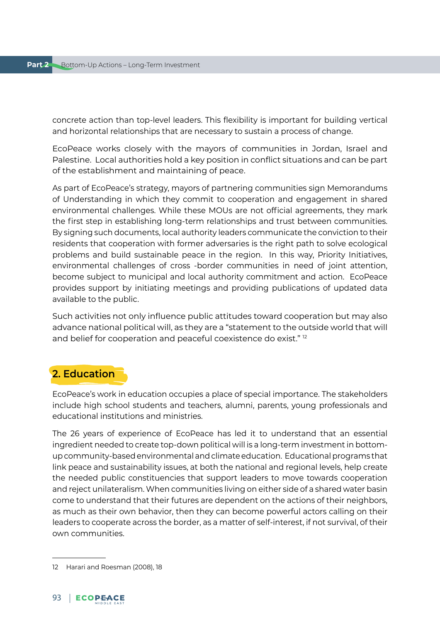concrete action than top-level leaders. This flexibility is important for building vertical and horizontal relationships that are necessary to sustain a process of change.

EcoPeace works closely with the mayors of communities in Jordan, Israel and Palestine. Local authorities hold a key position in conflict situations and can be part of the establishment and maintaining of peace.

As part of EcoPeace's strategy, mayors of partnering communities sign Memorandums of Understanding in which they commit to cooperation and engagement in shared environmental challenges. While these MOUs are not official agreements, they mark the first step in establishing long-term relationships and trust between communities. By signing such documents, local authority leaders communicate the conviction to their residents that cooperation with former adversaries is the right path to solve ecological problems and build sustainable peace in the region. In this way, Priority Initiatives, environmental challenges of cross -border communities in need of joint attention, become subject to municipal and local authority commitment and action. EcoPeace provides support by initiating meetings and providing publications of updated data available to the public.

Such activities not only influence public attitudes toward cooperation but may also advance national political will, as they are a "statement to the outside world that will and belief for cooperation and peaceful coexistence do exist."<sup>12</sup>

## **2. Education**

EcoPeace's work in education occupies a place of special importance. The stakeholders include high school students and teachers, alumni, parents, young professionals and educational institutions and ministries.

The 26 years of experience of EcoPeace has led it to understand that an essential ingredient needed to create top-down political will is a long-term investment in bottomup community-based environmental and climate education. Educational programs that link peace and sustainability issues, at both the national and regional levels, help create the needed public constituencies that support leaders to move towards cooperation and reject unilateralism. When communities living on either side of a shared water basin come to understand that their futures are dependent on the actions of their neighbors, as much as their own behavior, then they can become powerful actors calling on their leaders to cooperate across the border, as a matter of self-interest, if not survival, of their own communities.

<sup>12</sup> Harari and Roesman (2008), 18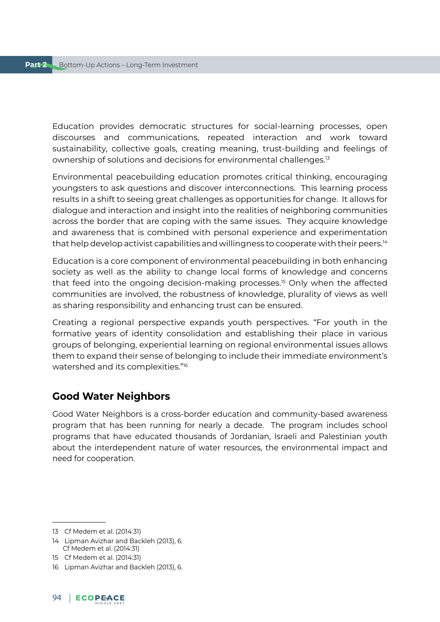Education provides democratic structures for social-learning processes, open discourses and communications, repeated interaction and work toward sustainability, collective goals, creating meaning, trust-building and feelings of ownership of solutions and decisions for environmental challenges.13

Environmental peacebuilding education promotes critical thinking, encouraging youngsters to ask questions and discover interconnections. This learning process results in a shift to seeing great challenges as opportunities for change. It allows for dialogue and interaction and insight into the realities of neighboring communities across the border that are coping with the same issues. They acquire knowledge and awareness that is combined with personal experience and experimentation that help develop activist capabilities and willingness to cooperate with their peers.14

Education is a core component of environmental peacebuilding in both enhancing society as well as the ability to change local forms of knowledge and concerns that feed into the ongoing decision-making processes.15 Only when the affected communities are involved, the robustness of knowledge, plurality of views as well as sharing responsibility and enhancing trust can be ensured.

Creating a regional perspective expands youth perspectives. "For youth in the formative years of identity consolidation and establishing their place in various groups of belonging, experiential learning on regional environmental issues allows them to expand their sense of belonging to include their immediate environment's watershed and its complexities."16

## **Good Water Neighbors**

Good Water Neighbors is a cross-border education and community-based awareness program that has been running for nearly a decade. The program includes school programs that have educated thousands of Jordanian, Israeli and Palestinian youth about the interdependent nature of water resources, the environmental impact and need for cooperation.

<sup>13</sup> Cf Medem et al. (2014:31)

<sup>14</sup> Lipman Avizhar and Backleh (2013), 6. Cf Medem et al. (2014:31)

<sup>15</sup> Cf Medem et al. (2014:31)

<sup>16</sup> Lipman Avizhar and Backleh (2013), 6.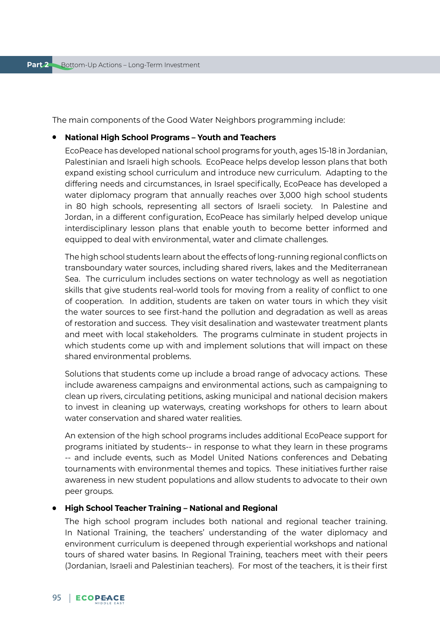The main components of the Good Water Neighbors programming include:

#### ● **National High School Programs – Youth and Teachers**

EcoPeace has developed national school programs for youth, ages 15-18 in Jordanian, Palestinian and Israeli high schools. EcoPeace helps develop lesson plans that both expand existing school curriculum and introduce new curriculum. Adapting to the differing needs and circumstances, in Israel specifically, EcoPeace has developed a water diplomacy program that annually reaches over 3,000 high school students in 80 high schools, representing all sectors of Israeli society. In Palestine and Jordan, in a different configuration, EcoPeace has similarly helped develop unique interdisciplinary lesson plans that enable youth to become better informed and equipped to deal with environmental, water and climate challenges.

The high school students learn about the effects of long-running regional conflicts on transboundary water sources, including shared rivers, lakes and the Mediterranean Sea. The curriculum includes sections on water technology as well as negotiation skills that give students real-world tools for moving from a reality of conflict to one of cooperation. In addition, students are taken on water tours in which they visit the water sources to see first-hand the pollution and degradation as well as areas of restoration and success. They visit desalination and wastewater treatment plants and meet with local stakeholders. The programs culminate in student projects in which students come up with and implement solutions that will impact on these shared environmental problems.

Solutions that students come up include a broad range of advocacy actions. These include awareness campaigns and environmental actions, such as campaigning to clean up rivers, circulating petitions, asking municipal and national decision makers to invest in cleaning up waterways, creating workshops for others to learn about water conservation and shared water realities.

An extension of the high school programs includes additional EcoPeace support for programs initiated by students-- in response to what they learn in these programs -- and include events, such as Model United Nations conferences and Debating tournaments with environmental themes and topics. These initiatives further raise awareness in new student populations and allow students to advocate to their own peer groups.

#### ● **High School Teacher Training – National and Regional**

The high school program includes both national and regional teacher training. In National Training, the teachers' understanding of the water diplomacy and environment curriculum is deepened through experiential workshops and national tours of shared water basins. In Regional Training, teachers meet with their peers (Jordanian, Israeli and Palestinian teachers). For most of the teachers, it is their first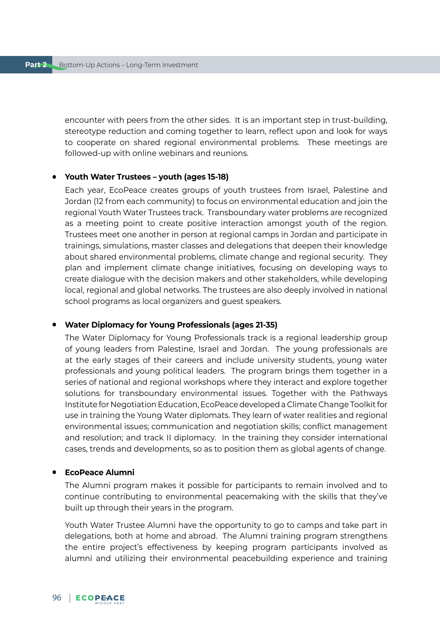encounter with peers from the other sides. It is an important step in trust-building, stereotype reduction and coming together to learn, reflect upon and look for ways to cooperate on shared regional environmental problems. These meetings are followed-up with online webinars and reunions.

#### ● **Youth Water Trustees – youth (ages 15-18)**

Each year, EcoPeace creates groups of youth trustees from Israel, Palestine and Jordan (12 from each community) to focus on environmental education and join the regional Youth Water Trustees track. Transboundary water problems are recognized as a meeting point to create positive interaction amongst youth of the region. Trustees meet one another in person at regional camps in Jordan and participate in trainings, simulations, master classes and delegations that deepen their knowledge about shared environmental problems, climate change and regional security. They plan and implement climate change initiatives, focusing on developing ways to create dialogue with the decision makers and other stakeholders, while developing local, regional and global networks. The trustees are also deeply involved in national school programs as local organizers and guest speakers.

#### ● **Water Diplomacy for Young Professionals (ages 21-35)**

The Water Diplomacy for Young Professionals track is a regional leadership group of young leaders from Palestine, Israel and Jordan. The young professionals are at the early stages of their careers and include university students, young water professionals and young political leaders. The program brings them together in a series of national and regional workshops where they interact and explore together solutions for transboundary environmental issues. Together with the Pathways Institute for Negotiation Education, EcoPeace developed a Climate Change Toolkit for use in training the Young Water diplomats. They learn of water realities and regional environmental issues; communication and negotiation skills; conflict management and resolution; and track II diplomacy. In the training they consider international cases, trends and developments, so as to position them as global agents of change.

#### ● **EcoPeace Alumni**

The Alumni program makes it possible for participants to remain involved and to continue contributing to environmental peacemaking with the skills that they've built up through their years in the program.

Youth Water Trustee Alumni have the opportunity to go to camps and take part in delegations, both at home and abroad. The Alumni training program strengthens the entire project's effectiveness by keeping program participants involved as alumni and utilizing their environmental peacebuilding experience and training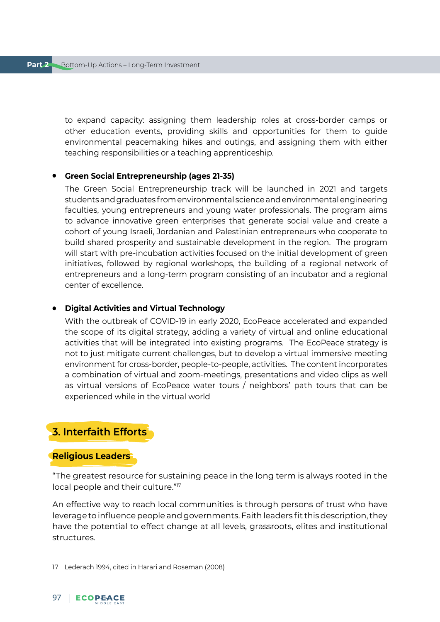to expand capacity: assigning them leadership roles at cross-border camps or other education events, providing skills and opportunities for them to guide environmental peacemaking hikes and outings, and assigning them with either teaching responsibilities or a teaching apprenticeship.

#### ● **Green Social Entrepreneurship (ages 21-35)**

The Green Social Entrepreneurship track will be launched in 2021 and targets students and graduates from environmental science and environmental engineering faculties, young entrepreneurs and young water professionals. The program aims to advance innovative green enterprises that generate social value and create a cohort of young Israeli, Jordanian and Palestinian entrepreneurs who cooperate to build shared prosperity and sustainable development in the region. The program will start with pre-incubation activities focused on the initial development of green initiatives, followed by regional workshops, the building of a regional network of entrepreneurs and a long-term program consisting of an incubator and a regional center of excellence.

#### ● **Digital Activities and Virtual Technology**

With the outbreak of COVID-19 in early 2020, EcoPeace accelerated and expanded the scope of its digital strategy, adding a variety of virtual and online educational activities that will be integrated into existing programs. The EcoPeace strategy is not to just mitigate current challenges, but to develop a virtual immersive meeting environment for cross-border, people-to-people, activities. The content incorporates a combination of virtual and zoom-meetings, presentations and video clips as well as virtual versions of EcoPeace water tours / neighbors' path tours that can be experienced while in the virtual world

## **3. Interfaith Efforts**

#### **Religious Leaders**

"The greatest resource for sustaining peace in the long term is always rooted in the local people and their culture."<sup>17</sup>

An effective way to reach local communities is through persons of trust who have leverage to influence people and governments. Faith leaders fit this description, they have the potential to effect change at all levels, grassroots, elites and institutional structures.

<sup>17</sup> Lederach 1994, cited in Harari and Roseman (2008)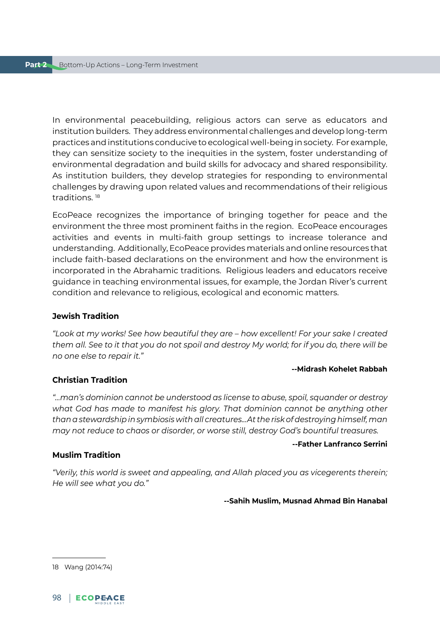In environmental peacebuilding, religious actors can serve as educators and institution builders. They address environmental challenges and develop long-term practices and institutions conducive to ecological well-being in society. For example, they can sensitize society to the inequities in the system, foster understanding of environmental degradation and build skills for advocacy and shared responsibility. As institution builders, they develop strategies for responding to environmental challenges by drawing upon related values and recommendations of their religious traditions. 18

EcoPeace recognizes the importance of bringing together for peace and the environment the three most prominent faiths in the region. EcoPeace encourages activities and events in multi-faith group settings to increase tolerance and understanding. Additionally, EcoPeace provides materials and online resources that include faith-based declarations on the environment and how the environment is incorporated in the Abrahamic traditions. Religious leaders and educators receive guidance in teaching environmental issues, for example, the Jordan River's current condition and relevance to religious, ecological and economic matters.

#### **Jewish Tradition**

*"Look at my works! See how beautiful they are – how excellent! For your sake I created them all. See to it that you do not spoil and destroy My world; for if you do, there will be no one else to repair it."* 

#### **--Midrash Kohelet Rabbah**

#### **Christian Tradition**

*"…man's dominion cannot be understood as license to abuse, spoil, squander or destroy what God has made to manifest his glory. That dominion cannot be anything other than a stewardship in symbiosis with all creatures...At the risk of destroying himself, man may not reduce to chaos or disorder, or worse still, destroy God's bountiful treasures.* 

#### **--Father Lanfranco Serrini**

#### **Muslim Tradition**

*"Verily, this world is sweet and appealing, and Allah placed you as vicegerents therein; He will see what you do."*

**--Sahih Muslim, Musnad Ahmad Bin Hanabal**

<sup>18</sup> Wang (2014:74)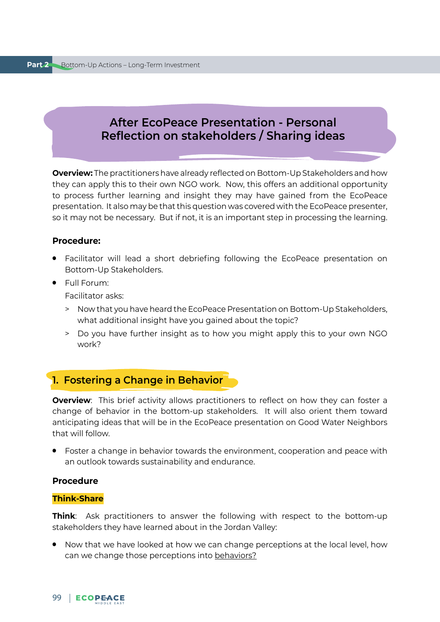## **After EcoPeace Presentation - Personal Reflection on stakeholders / Sharing ideas**

**Overview:** The practitioners have already reflected on Bottom-Up Stakeholders and how they can apply this to their own NGO work. Now, this offers an additional opportunity to process further learning and insight they may have gained from the EcoPeace presentation. It also may be that this question was covered with the EcoPeace presenter, so it may not be necessary. But if not, it is an important step in processing the learning.

#### **Procedure:**

- Facilitator will lead a short debriefing following the EcoPeace presentation on Bottom-Up Stakeholders.
- Full Forum:

Facilitator asks:

- > Now that you have heard the EcoPeace Presentation on Bottom-Up Stakeholders, what additional insight have you gained about the topic?
- > Do you have further insight as to how you might apply this to your own NGO work?

## **1. Fostering a Change in Behavior**

**Overview**: This brief activity allows practitioners to reflect on how they can foster a change of behavior in the bottom-up stakeholders. It will also orient them toward anticipating ideas that will be in the EcoPeace presentation on Good Water Neighbors that will follow.

● Foster a change in behavior towards the environment, cooperation and peace with an outlook towards sustainability and endurance.

#### **Procedure**

#### **Think-Share**

**Think**: Ask practitioners to answer the following with respect to the bottom-up stakeholders they have learned about in the Jordan Valley:

● Now that we have looked at how we can change perceptions at the local level, how can we change those perceptions into behaviors?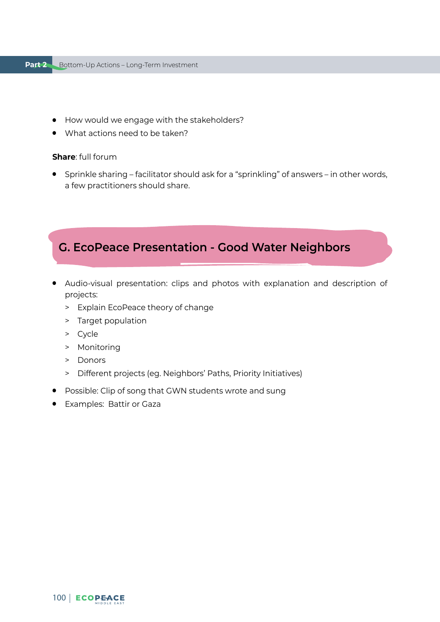#### **Part 2** Bottom-Up Actions – Long-Term Investment

- How would we engage with the stakeholders?
- What actions need to be taken?

#### **Share**: full forum

● Sprinkle sharing – facilitator should ask for a "sprinkling" of answers – in other words, a few practitioners should share.

## **G. EcoPeace Presentation - Good Water Neighbors**

- Audio-visual presentation: clips and photos with explanation and description of projects:
	- > Explain EcoPeace theory of change
	- > Target population
	- > Cycle
	- > Monitoring
	- > Donors
	- > Different projects (eg. Neighbors' Paths, Priority Initiatives)
- Possible: Clip of song that GWN students wrote and sung
- Examples: Battir or Gaza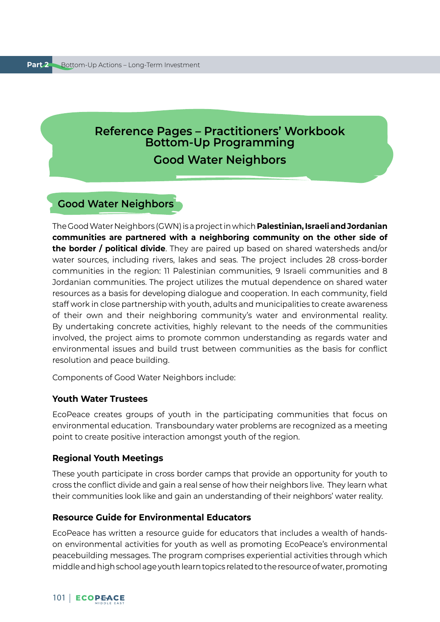# **Reference Pages – Practitioners' Workbook Bottom-Up Programming Good Water Neighbors**

## **Good Water Neighbors**

The Good Water Neighbors (GWN) is a project in which **Palestinian, Israeli and Jordanian communities are partnered with a neighboring community on the other side of the border / political divide**. They are paired up based on shared watersheds and/or water sources, including rivers, lakes and seas. The project includes 28 cross-border communities in the region: 11 Palestinian communities, 9 Israeli communities and 8 Jordanian communities. The project utilizes the mutual dependence on shared water resources as a basis for developing dialogue and cooperation. In each community, field staff work in close partnership with youth, adults and municipalities to create awareness of their own and their neighboring community's water and environmental reality. By undertaking concrete activities, highly relevant to the needs of the communities involved, the project aims to promote common understanding as regards water and environmental issues and build trust between communities as the basis for conflict resolution and peace building.

Components of Good Water Neighbors include:

#### **Youth Water Trustees**

EcoPeace creates groups of youth in the participating communities that focus on environmental education. Transboundary water problems are recognized as a meeting point to create positive interaction amongst youth of the region.

#### **Regional Youth Meetings**

These youth participate in cross border camps that provide an opportunity for youth to cross the conflict divide and gain a real sense of how their neighbors live. They learn what their communities look like and gain an understanding of their neighbors' water reality.

#### **Resource Guide for Environmental Educators**

EcoPeace has written a resource guide for educators that includes a wealth of handson environmental activities for youth as well as promoting EcoPeace's environmental peacebuilding messages. The program comprises experiential activities through which middle and high school age youth learn topics related to the resource of water, promoting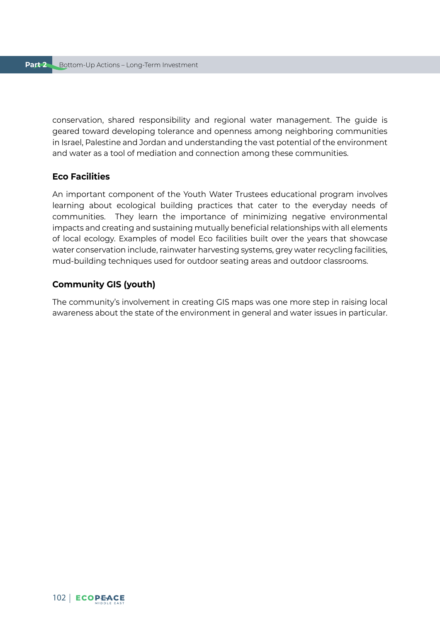conservation, shared responsibility and regional water management. The guide is geared toward developing tolerance and openness among neighboring communities in Israel, Palestine and Jordan and understanding the vast potential of the environment and water as a tool of mediation and connection among these communities.

#### **Eco Facilities**

An important component of the Youth Water Trustees educational program involves learning about ecological building practices that cater to the everyday needs of communities. They learn the importance of minimizing negative environmental impacts and creating and sustaining mutually beneficial relationships with all elements of local ecology. Examples of model Eco facilities built over the years that showcase water conservation include, rainwater harvesting systems, grey water recycling facilities, mud-building techniques used for outdoor seating areas and outdoor classrooms.

#### **Community GIS (youth)**

The community's involvement in creating GIS maps was one more step in raising local awareness about the state of the environment in general and water issues in particular.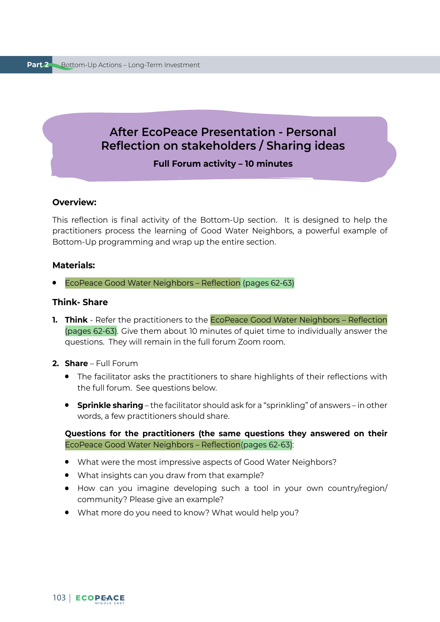## **After EcoPeace Presentation - Personal Reflection on stakeholders / Sharing ideas**

#### **Full Forum activity – 10 minutes**

#### **Overview:**

This reflection is final activity of the Bottom-Up section. It is designed to help the practitioners process the learning of Good Water Neighbors, a powerful example of Bottom-Up programming and wrap up the entire section.

#### **Materials:**

● EcoPeace Good Water Neighbors – Reflection (pages 62-63)

#### **Think- Share**

- **1. Think** Refer the practitioners to the **EcoPeace Good Water Neighbors** Reflection (pages 62-63). Give them about 10 minutes of quiet time to individually answer the questions. They will remain in the full forum Zoom room.
- **2. Share** Full Forum
	- The facilitator asks the practitioners to share highlights of their reflections with the full forum. See questions below.
	- **Sprinkle sharing** the facilitator should ask for a "sprinkling" of answers in other words, a few practitioners should share.

**Questions for the practitioners (the same questions they answered on their** EcoPeace Good Water Neighbors – Reflection(pages 62-63):

- What were the most impressive aspects of Good Water Neighbors?
- What insights can you draw from that example?
- How can you imagine developing such a tool in your own country/region/ community? Please give an example?
- What more do you need to know? What would help you?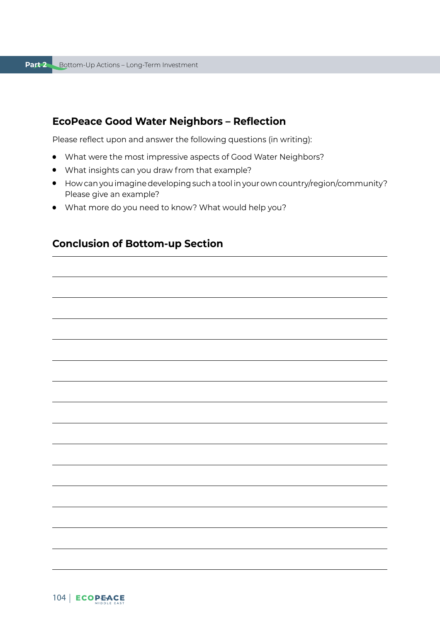## **EcoPeace Good Water Neighbors – Reflection**

Please reflect upon and answer the following questions (in writing):

- What were the most impressive aspects of Good Water Neighbors?
- What insights can you draw from that example?
- How can you imagine developing such a tool in your own country/region/community? Please give an example?
- What more do you need to know? What would help you?

## **Conclusion of Bottom-up Section**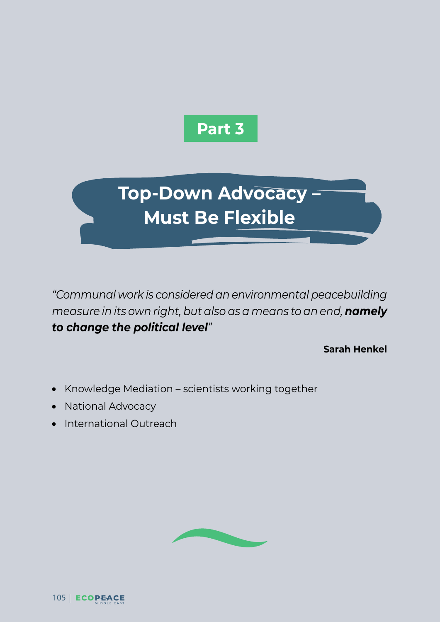

**Top-Down Advocacy – Must Be Flexible**

*"Communal work is considered an environmental peacebuilding measure in its own right, but also as a means to an end, namely to change the political level"*

**Sarah Henkel**

- Knowledge Mediation scientists working together
- National Advocacy
- **International Outreach**

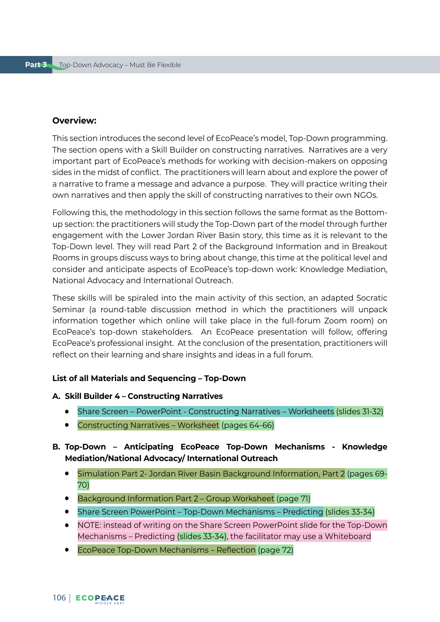#### **Overview:**

This section introduces the second level of EcoPeace's model, Top-Down programming. The section opens with a Skill Builder on constructing narratives. Narratives are a very important part of EcoPeace's methods for working with decision-makers on opposing sides in the midst of conflict. The practitioners will learn about and explore the power of a narrative to frame a message and advance a purpose. They will practice writing their own narratives and then apply the skill of constructing narratives to their own NGOs.

Following this, the methodology in this section follows the same format as the Bottomup section: the practitioners will study the Top-Down part of the model through further engagement with the Lower Jordan River Basin story, this time as it is relevant to the Top-Down level. They will read Part 2 of the Background Information and in Breakout Rooms in groups discuss ways to bring about change, this time at the political level and consider and anticipate aspects of EcoPeace's top-down work: Knowledge Mediation, National Advocacy and International Outreach.

These skills will be spiraled into the main activity of this section, an adapted Socratic Seminar (a round-table discussion method in which the practitioners will unpack information together which online will take place in the full-forum Zoom room) on EcoPeace's top-down stakeholders. An EcoPeace presentation will follow, offering EcoPeace's professional insight. At the conclusion of the presentation, practitioners will reflect on their learning and share insights and ideas in a full forum.

#### **List of all Materials and Sequencing – Top-Down**

#### **A. Skill Builder 4 – Constructing Narratives**

- Share Screen PowerPoint Constructing Narratives Worksheets (slides 31-32)
- Constructing Narratives Worksheet (pages 64-66)

### **B. Top-Down – Anticipating EcoPeace Top-Down Mechanisms - Knowledge Mediation/National Advocacy/ International Outreach**

- Simulation Part 2- Jordan River Basin Background Information, Part 2 (pages 69- 70)
- Background Information Part 2 Group Worksheet (page 71)
- Share Screen PowerPoint Top-Down Mechanisms Predicting (slides 33-34)
- NOTE: instead of writing on the Share Screen PowerPoint slide for the Top-Down Mechanisms – Predicting (slides 33-34), the facilitator may use a Whiteboard
- EcoPeace Top-Down Mechanisms Reflection (page 72)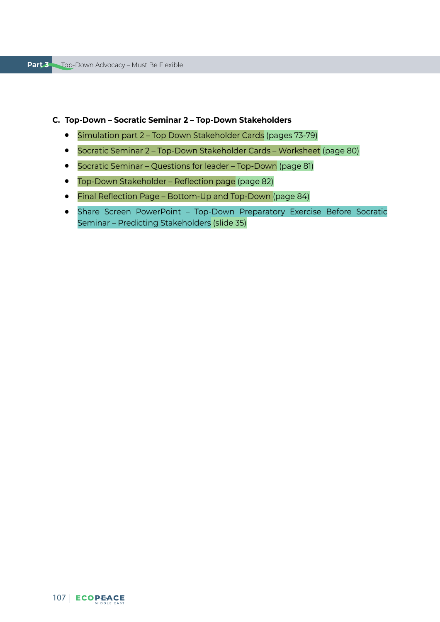#### **C. Top-Down – Socratic Seminar 2 – Top-Down Stakeholders**

- Simulation part 2 Top Down Stakeholder Cards (pages 73-79)
- Socratic Seminar 2 Top-Down Stakeholder Cards Worksheet (page 80)
- Socratic Seminar Questions for leader Top-Down (page 81)
- Top-Down Stakeholder Reflection page (page 82)
- Final Reflection Page Bottom-Up and Top-Down (page 84)
- Share Screen PowerPoint Top-Down Preparatory Exercise Before Socratic Seminar – Predicting Stakeholders (slide 35)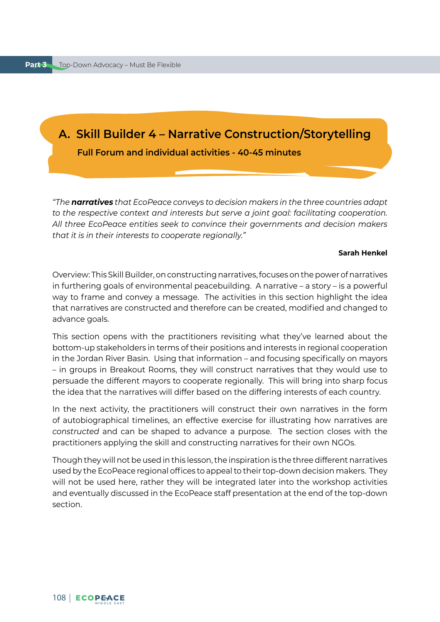# **A. Skill Builder 4 – Narrative Construction/Storytelling**

 **Full Forum and individual activities - 40-45 minutes**

*"The narratives that EcoPeace conveys to decision makers in the three countries adapt to the respective context and interests but serve a joint goal: facilitating cooperation. All three EcoPeace entities seek to convince their governments and decision makers that it is in their interests to cooperate regionally."* 

#### **Sarah Henkel**

Overview: This Skill Builder, on constructing narratives, focuses on the power of narratives in furthering goals of environmental peacebuilding. A narrative – a story – is a powerful way to frame and convey a message. The activities in this section highlight the idea that narratives are constructed and therefore can be created, modified and changed to advance goals.

This section opens with the practitioners revisiting what they've learned about the bottom-up stakeholders in terms of their positions and interests in regional cooperation in the Jordan River Basin. Using that information – and focusing specifically on mayors – in groups in Breakout Rooms, they will construct narratives that they would use to persuade the different mayors to cooperate regionally. This will bring into sharp focus the idea that the narratives will differ based on the differing interests of each country.

In the next activity, the practitioners will construct their own narratives in the form of autobiographical timelines, an effective exercise for illustrating how narratives are *constructed* and can be shaped to advance a purpose. The section closes with the practitioners applying the skill and constructing narratives for their own NGOs.

Though they will not be used in this lesson, the inspiration is the three different narratives used by the EcoPeace regional offices to appeal to their top-down decision makers. They will not be used here, rather they will be integrated later into the workshop activities and eventually discussed in the EcoPeace staff presentation at the end of the top-down section.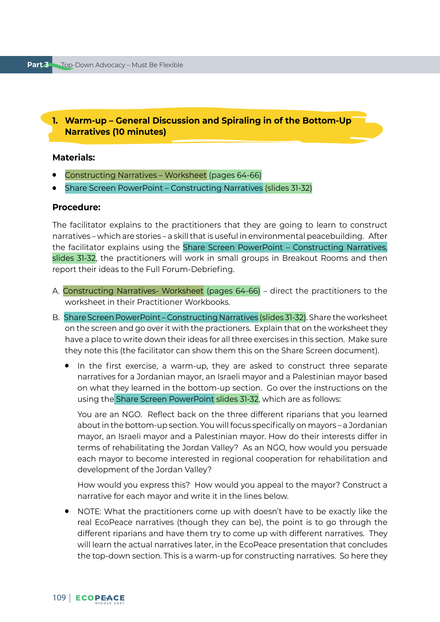# **1. Warm-up – General Discussion and Spiraling in of the Bottom-Up Narratives (10 minutes)**

### **Materials:**

- Constructing Narratives Worksheet (pages 64-66)
- Share Screen PowerPoint Constructing Narratives (slides 31-32)

### **Procedure:**

The facilitator explains to the practitioners that they are going to learn to construct narratives – which are stories – a skill that is useful in environmental peacebuilding. After the facilitator explains using the Share Screen PowerPoint – Constructing Narratives, slides 31-32, the practitioners will work in small groups in Breakout Rooms and then report their ideas to the Full Forum-Debriefing.

- A. Constructing Narratives- Worksheet (pages 64-66) direct the practitioners to the worksheet in their Practitioner Workbooks.
- B.Share Screen PowerPoint Constructing Narratives (slides 31-32). Share the worksheet on the screen and go over it with the practioners. Explain that on the worksheet they have a place to write down their ideas for all three exercises in this section. Make sure they note this (the facilitator can show them this on the Share Screen document).
	- In the first exercise, a warm-up, they are asked to construct three separate narratives for a Jordanian mayor, an Israeli mayor and a Palestinian mayor based on what they learned in the bottom-up section. Go over the instructions on the using the Share Screen PowerPoint slides 31-32, which are as follows:

You are an NGO. Reflect back on the three different riparians that you learned about in the bottom-up section. You will focus specifically on mayors – a Jordanian mayor, an Israeli mayor and a Palestinian mayor. How do their interests differ in terms of rehabilitating the Jordan Valley? As an NGO, how would you persuade each mayor to become interested in regional cooperation for rehabilitation and development of the Jordan Valley?

How would you express this? How would you appeal to the mayor? Construct a narrative for each mayor and write it in the lines below.

● NOTE: What the practitioners come up with doesn't have to be exactly like the real EcoPeace narratives (though they can be), the point is to go through the different riparians and have them try to come up with different narratives. They will learn the actual narratives later, in the EcoPeace presentation that concludes the top-down section. This is a warm-up for constructing narratives. So here they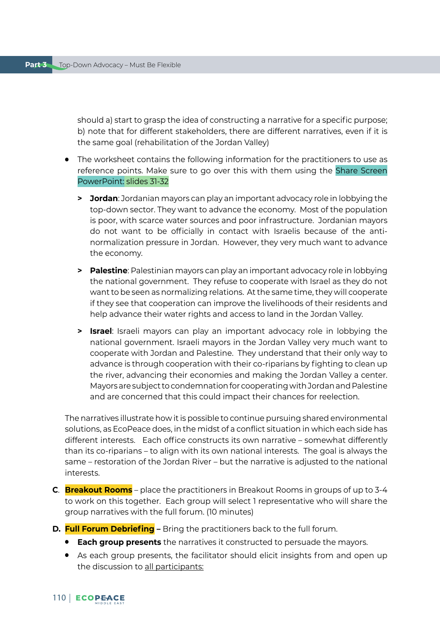should a) start to grasp the idea of constructing a narrative for a specific purpose; b) note that for different stakeholders, there are different narratives, even if it is the same goal (rehabilitation of the Jordan Valley)

- The worksheet contains the following information for the practitioners to use as reference points. Make sure to go over this with them using the Share Screen PowerPoint: slides 31-32
	- **> Jordan**: Jordanian mayors can play an important advocacy role in lobbying the top-down sector. They want to advance the economy. Most of the population is poor, with scarce water sources and poor infrastructure. Jordanian mayors do not want to be officially in contact with Israelis because of the antinormalization pressure in Jordan. However, they very much want to advance the economy.
	- **> Palestine**: Palestinian mayors can play an important advocacy role in lobbying the national government. They refuse to cooperate with Israel as they do not want to be seen as normalizing relations. At the same time, they will cooperate if they see that cooperation can improve the livelihoods of their residents and help advance their water rights and access to land in the Jordan Valley.
	- **> Israel**: Israeli mayors can play an important advocacy role in lobbying the national government. Israeli mayors in the Jordan Valley very much want to cooperate with Jordan and Palestine. They understand that their only way to advance is through cooperation with their co-riparians by fighting to clean up the river, advancing their economies and making the Jordan Valley a center. Mayors are subject to condemnation for cooperating with Jordan and Palestine and are concerned that this could impact their chances for reelection.

The narratives illustrate how it is possible to continue pursuing shared environmental solutions, as EcoPeace does, in the midst of a conflict situation in which each side has different interests. Each office constructs its own narrative – somewhat differently than its co-riparians – to align with its own national interests. The goal is always the same – restoration of the Jordan River – but the narrative is adjusted to the national interests.

- **C**. **Breakout Rooms** place the practitioners in Breakout Rooms in groups of up to 3-4 to work on this together. Each group will select 1 representative who will share the group narratives with the full forum. (10 minutes)
- **D. Full Forum Debriefing** Bring the practitioners back to the full forum.
	- **Each group presents** the narratives it constructed to persuade the mayors.
	- As each group presents, the facilitator should elicit insights from and open up the discussion to all participants: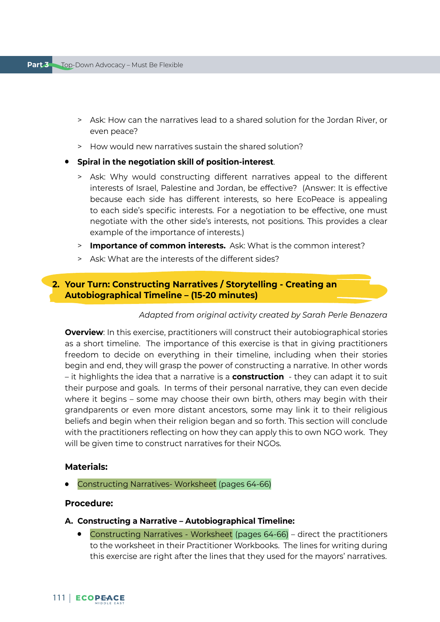- > Ask: How can the narratives lead to a shared solution for the Jordan River, or even peace?
- > How would new narratives sustain the shared solution?
- **Spiral in the negotiation skill of position-interest**.
	- > Ask: Why would constructing different narratives appeal to the different interests of Israel, Palestine and Jordan, be effective? (Answer: It is effective because each side has different interests, so here EcoPeace is appealing to each side's specific interests. For a negotiation to be effective, one must negotiate with the other side's interests, not positions. This provides a clear example of the importance of interests.)
	- > **Importance of common interests.** Ask: What is the common interest?
	- > Ask: What are the interests of the different sides?

# **2. Your Turn: Constructing Narratives / Storytelling - Creating an Autobiographical Timeline – (15-20 minutes)**

#### *Adapted from original activity created by Sarah Perle Benazera*

**Overview:** In this exercise, practitioners will construct their autobiographical stories as a short timeline. The importance of this exercise is that in giving practitioners freedom to decide on everything in their timeline, including when their stories begin and end, they will grasp the power of constructing a narrative. In other words – it highlights the idea that a narrative is a **construction** - they can adapt it to suit their purpose and goals. In terms of their personal narrative, they can even decide where it begins – some may choose their own birth, others may begin with their grandparents or even more distant ancestors, some may link it to their religious beliefs and begin when their religion began and so forth. This section will conclude with the practitioners reflecting on how they can apply this to own NGO work. They will be given time to construct narratives for their NGOs.

### **Materials:**

Constructing Narratives- Worksheet (pages 64-66)

#### **Procedure:**

- **A. Constructing a Narrative Autobiographical Timeline:** 
	- Constructing Narratives Worksheet (pages 64-66) direct the practitioners to the worksheet in their Practitioner Workbooks. The lines for writing during this exercise are right after the lines that they used for the mayors' narratives.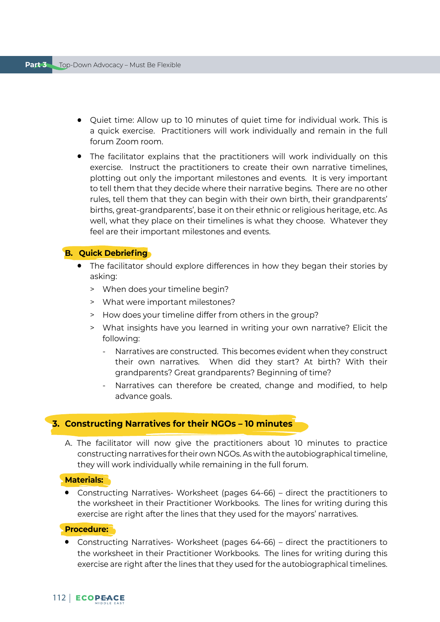- Quiet time: Allow up to 10 minutes of quiet time for individual work. This is a quick exercise. Practitioners will work individually and remain in the full forum Zoom room.
- The facilitator explains that the practitioners will work individually on this exercise. Instruct the practitioners to create their own narrative timelines, plotting out only the important milestones and events. It is very important to tell them that they decide where their narrative begins. There are no other rules, tell them that they can begin with their own birth, their grandparents' births, great-grandparents', base it on their ethnic or religious heritage, etc. As well, what they place on their timelines is what they choose. Whatever they feel are their important milestones and events.

### **B. Quick Debriefing**

- The facilitator should explore differences in how they began their stories by asking:
	- > When does your timeline begin?
	- > What were important milestones?
	- > How does your timeline differ from others in the group?
	- > What insights have you learned in writing your own narrative? Elicit the following:
		- Narratives are constructed. This becomes evident when they construct their own narratives. When did they start? At birth? With their grandparents? Great grandparents? Beginning of time?
		- Narratives can therefore be created, change and modified, to help advance goals.

### **3. Constructing Narratives for their NGOs – 10 minutes**

A. The facilitator will now give the practitioners about 10 minutes to practice constructing narratives for their own NGOs. As with the autobiographical timeline, they will work individually while remaining in the full forum.

#### **Materials:**

● Constructing Narratives- Worksheet (pages 64-66) – direct the practitioners to the worksheet in their Practitioner Workbooks. The lines for writing during this exercise are right after the lines that they used for the mayors' narratives.

### **Procedure:**

● Constructing Narratives- Worksheet (pages 64-66) – direct the practitioners to the worksheet in their Practitioner Workbooks. The lines for writing during this exercise are right after the lines that they used for the autobiographical timelines.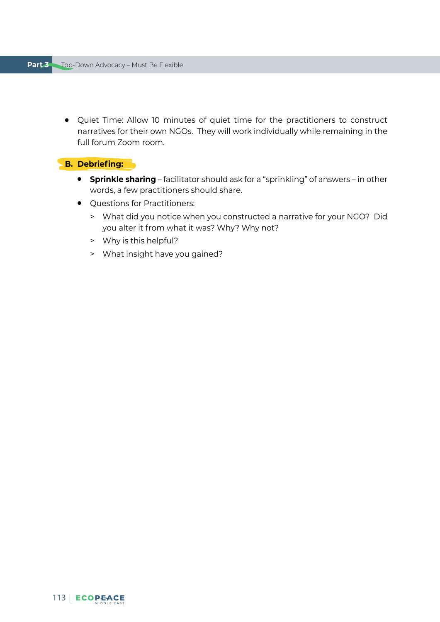● Quiet Time: Allow 10 minutes of quiet time for the practitioners to construct narratives for their own NGOs. They will work individually while remaining in the full forum Zoom room.

# **B. Debriefing:**

- **Sprinkle sharing** facilitator should ask for a "sprinkling" of answers in other words, a few practitioners should share.
- Ouestions for Practitioners:
	- > What did you notice when you constructed a narrative for your NGO? Did you alter it from what it was? Why? Why not?
	- > Why is this helpful?
	- > What insight have you gained?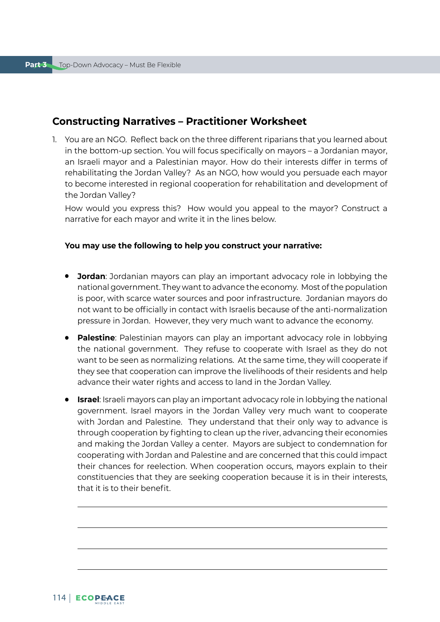# **Constructing Narratives – Practitioner Worksheet**

1. You are an NGO. Reflect back on the three different riparians that you learned about in the bottom-up section. You will focus specifically on mayors – a Jordanian mayor, an Israeli mayor and a Palestinian mayor. How do their interests differ in terms of rehabilitating the Jordan Valley? As an NGO, how would you persuade each mayor to become interested in regional cooperation for rehabilitation and development of the Jordan Valley?

How would you express this? How would you appeal to the mayor? Construct a narrative for each mayor and write it in the lines below.

### **You may use the following to help you construct your narrative:**

- **Jordan**: Jordanian mayors can play an important advocacy role in lobbying the national government. They want to advance the economy. Most of the population is poor, with scarce water sources and poor infrastructure. Jordanian mayors do not want to be officially in contact with Israelis because of the anti-normalization pressure in Jordan. However, they very much want to advance the economy.
- **Palestine**: Palestinian mayors can play an important advocacy role in lobbying the national government. They refuse to cooperate with Israel as they do not want to be seen as normalizing relations. At the same time, they will cooperate if they see that cooperation can improve the livelihoods of their residents and help advance their water rights and access to land in the Jordan Valley.
- **Israel**: Israeli mayors can play an important advocacy role in lobbying the national government. Israel mayors in the Jordan Valley very much want to cooperate with Jordan and Palestine. They understand that their only way to advance is through cooperation by fighting to clean up the river, advancing their economies and making the Jordan Valley a center. Mayors are subject to condemnation for cooperating with Jordan and Palestine and are concerned that this could impact their chances for reelection. When cooperation occurs, mayors explain to their constituencies that they are seeking cooperation because it is in their interests, that it is to their benefit.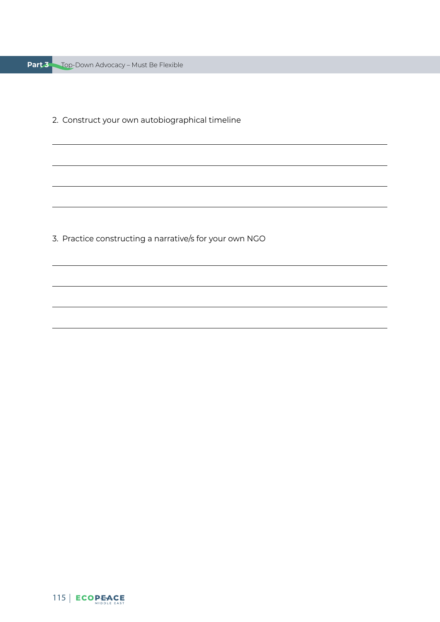|  | <b>Part 3</b> Top-Down Advocacy - Must Be Flexible |  |  |  |
|--|----------------------------------------------------|--|--|--|
|--|----------------------------------------------------|--|--|--|

2. Construct your own autobiographical timeline

3. Practice constructing a narrative/s for your own NGO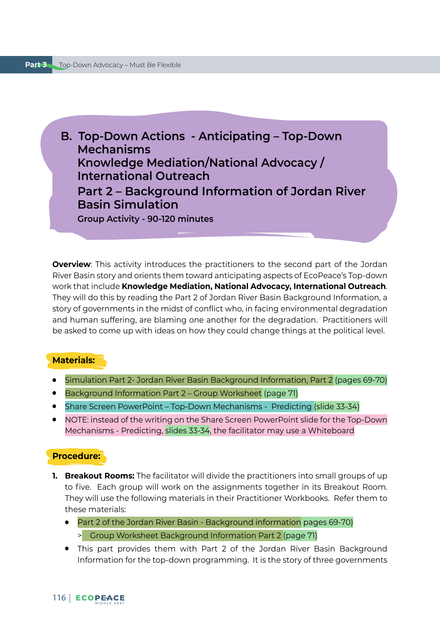**B. Top-Down Actions - Anticipating – Top-Down Mechanisms Knowledge Mediation/National Advocacy / International Outreach Part 2 – Background Information of Jordan River Basin Simulation Group Activity - 90-120 minutes**

**Overview**: This activity introduces the practitioners to the second part of the Jordan River Basin story and orients them toward anticipating aspects of EcoPeace's Top-down work that include **Knowledge Mediation, National Advocacy, International Outreach**. They will do this by reading the Part 2 of Jordan River Basin Background Information, a story of governments in the midst of conflict who, in facing environmental degradation and human suffering, are blaming one another for the degradation. Practitioners will be asked to come up with ideas on how they could change things at the political level.

### **Materials:**

- Simulation Part 2- Jordan River Basin Background Information, Part 2 (pages 69-70)
- Background Information Part 2 Group Worksheet (page 71)
- Share Screen PowerPoint Top-Down Mechanisms Predicting (slide 33-34)
- NOTE: instead of the writing on the Share Screen PowerPoint slide for the Top-Down Mechanisms - Predicting, slides 33-34, the facilitator may use a Whiteboard

### **Procedure:**

- **1. Breakout Rooms:** The facilitator will divide the practitioners into small groups of up to five. Each group will work on the assignments together in its Breakout Room. They will use the following materials in their Practitioner Workbooks. Refer them to these materials:
	- Part 2 of the Jordan River Basin Background information pages 69-70) > Group Worksheet Background Information Part 2 (page 71)
	- This part provides them with Part 2 of the Jordan River Basin Background Information for the top-down programming. It is the story of three governments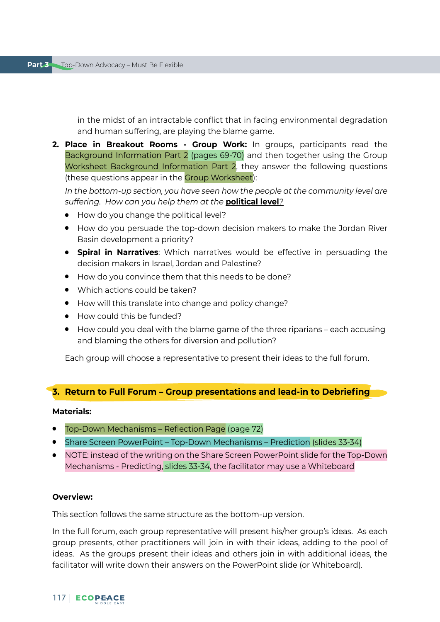in the midst of an intractable conflict that in facing environmental degradation and human suffering, are playing the blame game.

**2. Place in Breakout Rooms - Group Work:** In groups, participants read the Background Information Part 2 (pages 69-70) and then together using the Group Worksheet Background Information Part 2, they answer the following questions (these questions appear in the Group Worksheet):

*In the bottom-up section, you have seen how the people at the community level are suffering. How can you help them at the* **political level***?*

- How do you change the political level?
- How do you persuade the top-down decision makers to make the Jordan River Basin development a priority?
- **Spiral in Narratives**: Which narratives would be effective in persuading the decision makers in Israel, Jordan and Palestine?
- How do you convince them that this needs to be done?
- Which actions could be taken?
- How will this translate into change and policy change?
- How could this be funded?
- How could you deal with the blame game of the three riparians each accusing and blaming the others for diversion and pollution?

Each group will choose a representative to present their ideas to the full forum.

# **3. Return to Full Forum – Group presentations and lead-in to Debriefing**

#### **Materials:**

- Top-Down Mechanisms Reflection Page (page 72)
- Share Screen PowerPoint Top-Down Mechanisms Prediction (slides 33-34)
- NOTE: instead of the writing on the Share Screen PowerPoint slide for the Top-Down Mechanisms - Predicting, slides 33-34, the facilitator may use a Whiteboard

### **Overview:**

This section follows the same structure as the bottom-up version.

In the full forum, each group representative will present his/her group's ideas. As each group presents, other practitioners will join in with their ideas, adding to the pool of ideas. As the groups present their ideas and others join in with additional ideas, the facilitator will write down their answers on the PowerPoint slide (or Whiteboard).

### 117 | ECOPEACE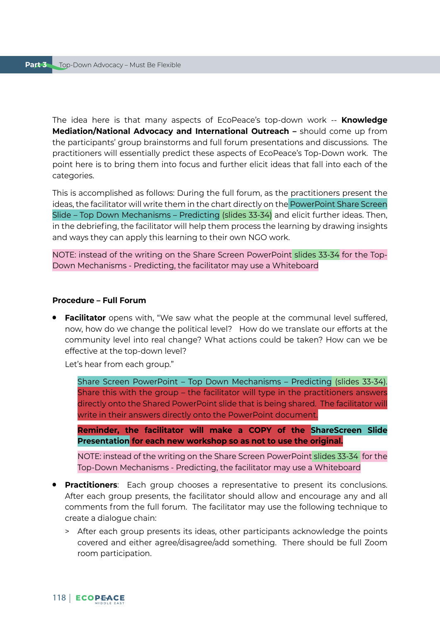The idea here is that many aspects of EcoPeace's top-down work -- **Knowledge Mediation/National Advocacy and International Outreach –** should come up from the participants' group brainstorms and full forum presentations and discussions. The practitioners will essentially predict these aspects of EcoPeace's Top-Down work. The point here is to bring them into focus and further elicit ideas that fall into each of the categories.

This is accomplished as follows: During the full forum, as the practitioners present the ideas, the facilitator will write them in the chart directly on the PowerPoint Share Screen Slide – Top Down Mechanisms – Predicting (slides 33-34) and elicit further ideas. Then, in the debriefing, the facilitator will help them process the learning by drawing insights and ways they can apply this learning to their own NGO work.

NOTE: instead of the writing on the Share Screen PowerPoint slides 33-34 for the Top-Down Mechanisms - Predicting, the facilitator may use a Whiteboard

#### **Procedure – Full Forum**

**• Facilitator** opens with, "We saw what the people at the communal level suffered, now, how do we change the political level? How do we translate our efforts at the community level into real change? What actions could be taken? How can we be effective at the top-down level?

Let's hear from each group."

Share Screen PowerPoint – Top Down Mechanisms – Predicting (slides 33-34). Share this with the group – the facilitator will type in the practitioners answers directly onto the Shared PowerPoint slide that is being shared. The facilitator will write in their answers directly onto the PowerPoint document.

**Reminder, the facilitator will make a COPY of the ShareScreen Slide Presentation for each new workshop so as not to use the original.**

NOTE: instead of the writing on the Share Screen PowerPoint slides 33-34 for the Top-Down Mechanisms - Predicting, the facilitator may use a Whiteboard

- **Practitioners**: Each group chooses a representative to present its conclusions. After each group presents, the facilitator should allow and encourage any and all comments from the full forum. The facilitator may use the following technique to create a dialogue chain:
	- > After each group presents its ideas, other participants acknowledge the points covered and either agree/disagree/add something. There should be full Zoom room participation.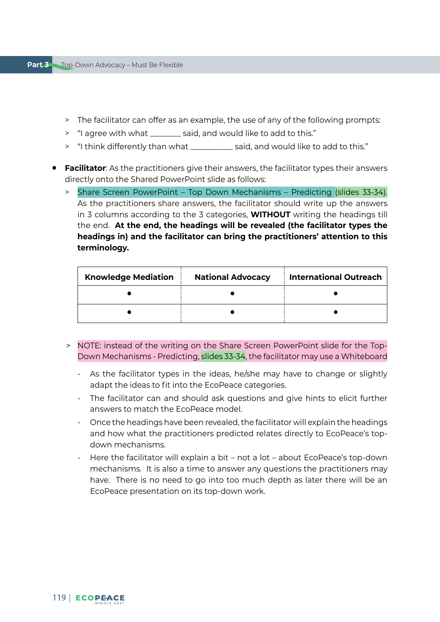- > The facilitator can offer as an example, the use of any of the following prompts:
- > "I agree with what \_\_\_\_\_\_\_\_ said, and would like to add to this."
- > "I think differently than what \_\_\_\_\_\_\_\_\_\_\_ said, and would like to add to this."
- **Facilitator**: As the practitioners give their answers, the facilitator types their answers directly onto the Shared PowerPoint slide as follows:
	- > Share Screen PowerPoint Top Down Mechanisms Predicting (slides 33-34). As the practitioners share answers, the facilitator should write up the answers in 3 columns according to the 3 categories, **WITHOUT** writing the headings till the end. **At the end, the headings will be revealed (the facilitator types the headings in) and the facilitator can bring the practitioners' attention to this terminology.**

| <b>Knowledge Mediation</b> | <b>National Advocacy</b> | <b>International Outreach</b> |  |
|----------------------------|--------------------------|-------------------------------|--|
|                            |                          |                               |  |
|                            |                          |                               |  |

- > NOTE: instead of the writing on the Share Screen PowerPoint slide for the Top-Down Mechanisms - Predicting, slides 33-34, the facilitator may use a Whiteboard
	- As the facilitator types in the ideas, he/she may have to change or slightly adapt the ideas to fit into the EcoPeace categories.
	- The facilitator can and should ask questions and give hints to elicit further answers to match the EcoPeace model.
	- Once the headings have been revealed, the facilitator will explain the headings and how what the practitioners predicted relates directly to EcoPeace's topdown mechanisms.
	- Here the facilitator will explain a bit not a lot about EcoPeace's top-down mechanisms. It is also a time to answer any questions the practitioners may have. There is no need to go into too much depth as later there will be an EcoPeace presentation on its top-down work.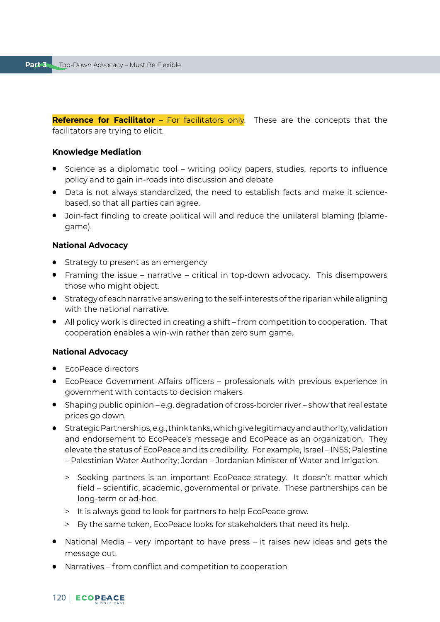**Reference for Facilitator** – For facilitators only. These are the concepts that the facilitators are trying to elicit.

#### **Knowledge Mediation**

- Science as a diplomatic tool writing policy papers, studies, reports to influence policy and to gain in-roads into discussion and debate
- Data is not always standardized, the need to establish facts and make it sciencebased, so that all parties can agree.
- Join-fact finding to create political will and reduce the unilateral blaming (blamegame).

### **National Advocacy**

- Strategy to present as an emergency
- Framing the issue narrative critical in top-down advocacy. This disempowers those who might object.
- Strategy of each narrative answering to the self-interests of the riparian while aligning with the national narrative.
- All policy work is directed in creating a shift from competition to cooperation. That cooperation enables a win-win rather than zero sum game.

### **National Advocacy**

- **EcoPeace directors**
- EcoPeace Government Affairs officers professionals with previous experience in government with contacts to decision makers
- Shaping public opinion e.g. degradation of cross-border river show that real estate prices go down.
- Strategic Partnerships, e.g., think tanks, which give legitimacy and authority, validation and endorsement to EcoPeace's message and EcoPeace as an organization. They elevate the status of EcoPeace and its credibility. For example, Israel – INSS; Palestine – Palestinian Water Authority; Jordan – Jordanian Minister of Water and Irrigation.
	- > Seeking partners is an important EcoPeace strategy. It doesn't matter which field – scientific, academic, governmental or private. These partnerships can be long-term or ad-hoc.
	- > It is always good to look for partners to help EcoPeace grow.
	- > By the same token, EcoPeace looks for stakeholders that need its help.
- National Media very important to have press it raises new ideas and gets the message out.
- Narratives from conflict and competition to cooperation

### 120 ECOPEACE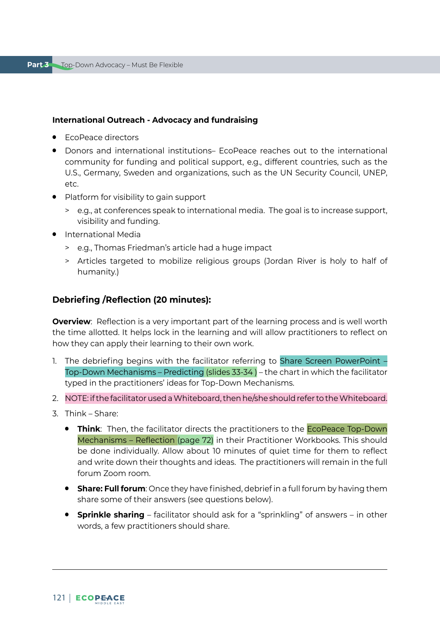### **International Outreach - Advocacy and fundraising**

- **EcoPeace directors**
- Donors and international institutions– EcoPeace reaches out to the international community for funding and political support, e.g., different countries, such as the U.S., Germany, Sweden and organizations, such as the UN Security Council, UNEP, etc.
- Platform for visibility to gain support
	- > e.g., at conferences speak to international media. The goal is to increase support, visibility and funding.
- International Media
	- > e.g., Thomas Friedman's article had a huge impact
	- > Articles targeted to mobilize religious groups (Jordan River is holy to half of humanity.)

### **Debriefing /Reflection (20 minutes):**

**Overview**: Reflection is a very important part of the learning process and is well worth the time allotted. It helps lock in the learning and will allow practitioners to reflect on how they can apply their learning to their own work.

- 1. The debriefing begins with the facilitator referring to Share Screen PowerPoint Top-Down Mechanisms – Predicting (slides 33-34 ) – the chart in which the facilitator typed in the practitioners' ideas for Top-Down Mechanisms.
- 2. NOTE: if the facilitator used a Whiteboard, then he/she should refer to the Whiteboard.
- 3. Think Share:
	- **Think**: Then, the facilitator directs the practitioners to the EcoPeace Top-Down Mechanisms – Reflection (page 72) in their Practitioner Workbooks. This should be done individually. Allow about 10 minutes of quiet time for them to reflect and write down their thoughts and ideas. The practitioners will remain in the full forum Zoom room.
	- **Share: Full forum**: Once they have finished, debrief in a full forum by having them share some of their answers (see questions below).
	- **Sprinkle sharing** facilitator should ask for a "sprinkling" of answers in other words, a few practitioners should share.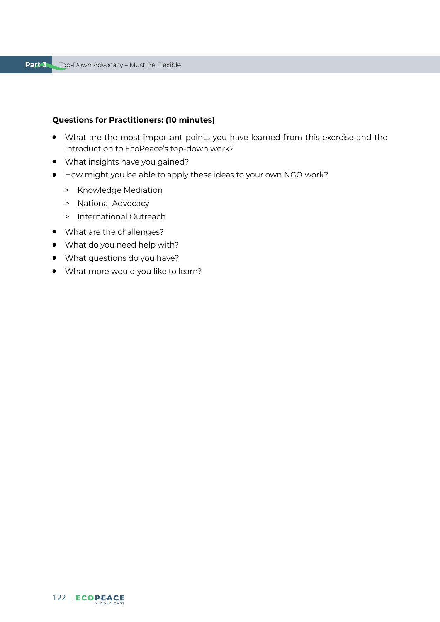## **Questions for Practitioners: (10 minutes)**

- What are the most important points you have learned from this exercise and the introduction to EcoPeace's top-down work?
- What insights have you gained?
- How might you be able to apply these ideas to your own NGO work?
	- > Knowledge Mediation
	- > National Advocacy
	- > International Outreach
- What are the challenges?
- What do you need help with?
- What questions do you have?
- What more would you like to learn?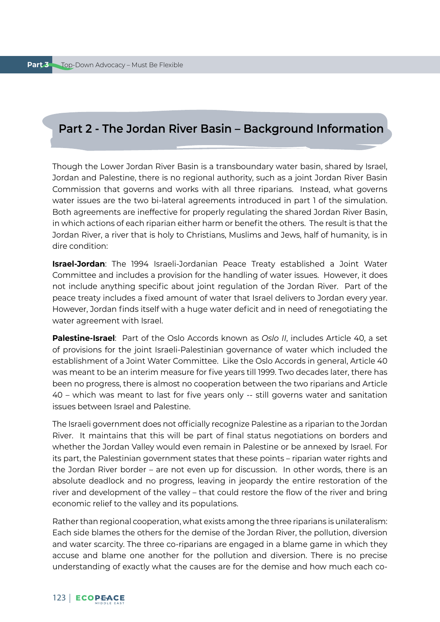# **Part 2 - The Jordan River Basin – Background Information**

Though the Lower Jordan River Basin is a transboundary water basin, shared by Israel, Jordan and Palestine, there is no regional authority, such as a joint Jordan River Basin Commission that governs and works with all three riparians. Instead, what governs water issues are the two bi-lateral agreements introduced in part 1 of the simulation. Both agreements are ineffective for properly regulating the shared Jordan River Basin, in which actions of each riparian either harm or benefit the others. The result is that the Jordan River, a river that is holy to Christians, Muslims and Jews, half of humanity, is in dire condition:

**Israel-Jordan**: The 1994 Israeli-Jordanian Peace Treaty established a Joint Water Committee and includes a provision for the handling of water issues. However, it does not include anything specific about joint regulation of the Jordan River. Part of the peace treaty includes a fixed amount of water that Israel delivers to Jordan every year. However, Jordan finds itself with a huge water deficit and in need of renegotiating the water agreement with Israel.

**Palestine-Israel**: Part of the Oslo Accords known as *Oslo II*, includes Article 40, a set of provisions for the joint Israeli-Palestinian governance of water which included the establishment of a Joint Water Committee. Like the Oslo Accords in general, Article 40 was meant to be an interim measure for five years till 1999. Two decades later, there has been no progress, there is almost no cooperation between the two riparians and Article 40 – which was meant to last for five years only -- still governs water and sanitation issues between Israel and Palestine.

The Israeli government does not officially recognize Palestine as a riparian to the Jordan River. It maintains that this will be part of final status negotiations on borders and whether the Jordan Valley would even remain in Palestine or be annexed by Israel. For its part, the Palestinian government states that these points – riparian water rights and the Jordan River border – are not even up for discussion. In other words, there is an absolute deadlock and no progress, leaving in jeopardy the entire restoration of the river and development of the valley – that could restore the flow of the river and bring economic relief to the valley and its populations.

Rather than regional cooperation, what exists among the three riparians is unilateralism: Each side blames the others for the demise of the Jordan River, the pollution, diversion and water scarcity. The three co-riparians are engaged in a blame game in which they accuse and blame one another for the pollution and diversion. There is no precise understanding of exactly what the causes are for the demise and how much each co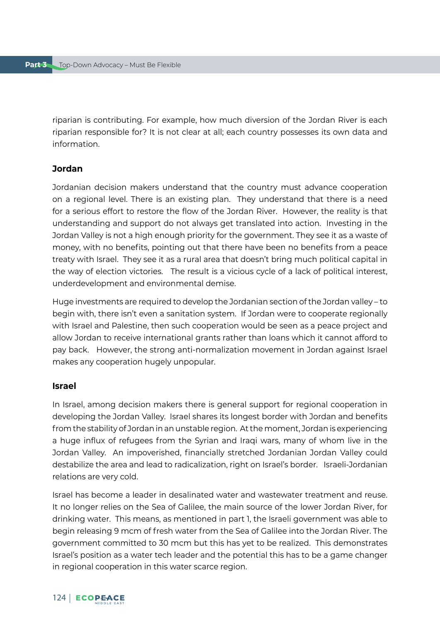riparian is contributing. For example, how much diversion of the Jordan River is each riparian responsible for? It is not clear at all; each country possesses its own data and information.

### **Jordan**

Jordanian decision makers understand that the country must advance cooperation on a regional level. There is an existing plan. They understand that there is a need for a serious effort to restore the flow of the Jordan River. However, the reality is that understanding and support do not always get translated into action. Investing in the Jordan Valley is not a high enough priority for the government. They see it as a waste of money, with no benefits, pointing out that there have been no benefits from a peace treaty with Israel. They see it as a rural area that doesn't bring much political capital in the way of election victories. The result is a vicious cycle of a lack of political interest, underdevelopment and environmental demise.

Huge investments are required to develop the Jordanian section of the Jordan valley – to begin with, there isn't even a sanitation system. If Jordan were to cooperate regionally with Israel and Palestine, then such cooperation would be seen as a peace project and allow Jordan to receive international grants rather than loans which it cannot afford to pay back. However, the strong anti-normalization movement in Jordan against Israel makes any cooperation hugely unpopular.

### **Israel**

In Israel, among decision makers there is general support for regional cooperation in developing the Jordan Valley. Israel shares its longest border with Jordan and benefits from the stability of Jordan in an unstable region. At the moment, Jordan is experiencing a huge influx of refugees from the Syrian and Iraqi wars, many of whom live in the Jordan Valley. An impoverished, financially stretched Jordanian Jordan Valley could destabilize the area and lead to radicalization, right on Israel's border. Israeli-Jordanian relations are very cold.

Israel has become a leader in desalinated water and wastewater treatment and reuse. It no longer relies on the Sea of Galilee, the main source of the lower Jordan River, for drinking water. This means, as mentioned in part 1, the Israeli government was able to begin releasing 9 mcm of fresh water from the Sea of Galilee into the Jordan River. The government committed to 30 mcm but this has yet to be realized. This demonstrates Israel's position as a water tech leader and the potential this has to be a game changer in regional cooperation in this water scarce region.

### 124 ECOPEACE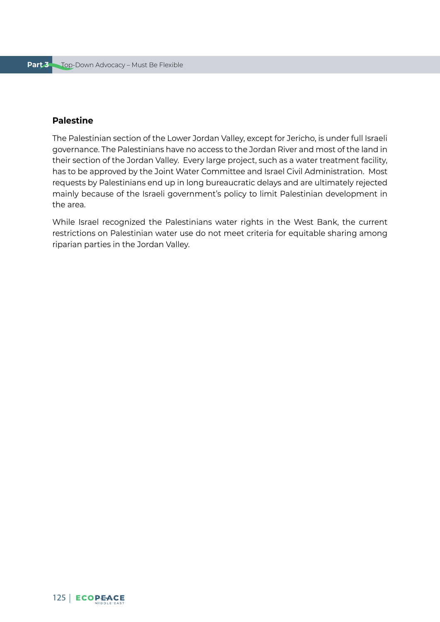### **Palestine**

The Palestinian section of the Lower Jordan Valley, except for Jericho, is under full Israeli governance. The Palestinians have no access to the Jordan River and most of the land in their section of the Jordan Valley. Every large project, such as a water treatment facility, has to be approved by the Joint Water Committee and Israel Civil Administration. Most requests by Palestinians end up in long bureaucratic delays and are ultimately rejected mainly because of the Israeli government's policy to limit Palestinian development in the area.

While Israel recognized the Palestinians water rights in the West Bank, the current restrictions on Palestinian water use do not meet criteria for equitable sharing among riparian parties in the Jordan Valley.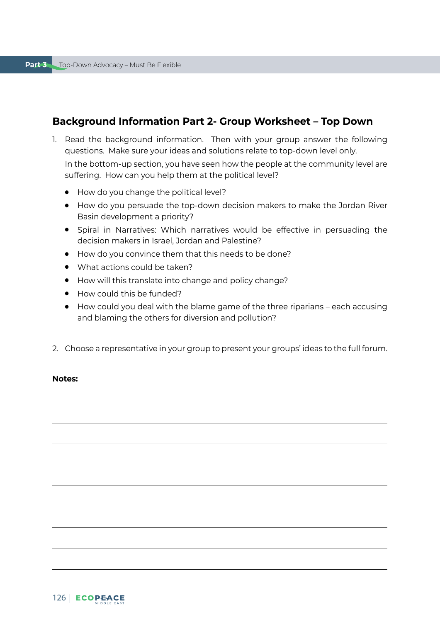# **Background Information Part 2- Group Worksheet – Top Down**

1. Read the background information. Then with your group answer the following questions. Make sure your ideas and solutions relate to top-down level only.

In the bottom-up section, you have seen how the people at the community level are suffering. How can you help them at the political level?

- How do you change the political level?
- How do you persuade the top-down decision makers to make the Jordan River Basin development a priority?
- Spiral in Narratives: Which narratives would be effective in persuading the decision makers in Israel, Jordan and Palestine?
- How do you convince them that this needs to be done?
- What actions could be taken?
- How will this translate into change and policy change?
- How could this be funded?
- How could you deal with the blame game of the three riparians each accusing and blaming the others for diversion and pollution?
- 2. Choose a representative in your group to present your groups' ideas to the full forum.

### **Notes:**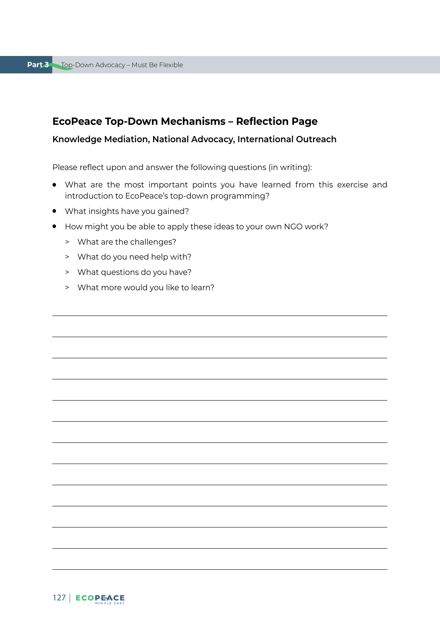# **EcoPeace Top-Down Mechanisms – Reflection Page**

### **Knowledge Mediation, National Advocacy, International Outreach**

Please reflect upon and answer the following questions (in writing):

- What are the most important points you have learned from this exercise and introduction to EcoPeace's top-down programming?
- What insights have you gained?
- How might you be able to apply these ideas to your own NGO work?
	- > What are the challenges?
	- > What do you need help with?
	- > What questions do you have?
	- > What more would you like to learn?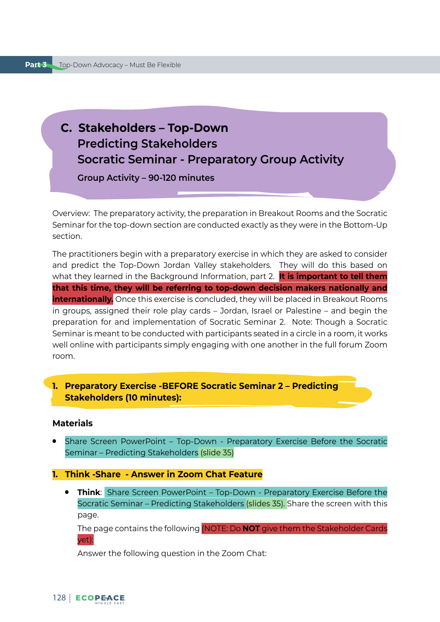# **C. Stakeholders – Top-Down Predicting Stakeholders Socratic Seminar - Preparatory Group Activity**

**Group Activity – 90-120 minutes**

Overview: The preparatory activity, the preparation in Breakout Rooms and the Socratic Seminar for the top-down section are conducted exactly as they were in the Bottom-Up section.

The practitioners begin with a preparatory exercise in which they are asked to consider and predict the Top-Down Jordan Valley stakeholders. They will do this based on what they learned in the Background Information, part 2. **It is important to tell them that this time, they will be referring to top-down decision makers nationally and internationally.** Once this exercise is concluded, they will be placed in Breakout Rooms in groups, assigned their role play cards – Jordan, Israel or Palestine – and begin the preparation for and implementation of Socratic Seminar 2. Note: Though a Socratic Seminar is meant to be conducted with participants seated in a circle in a room, it works well online with participants simply engaging with one another in the full forum Zoom room.

# **1. Preparatory Exercise -BEFORE Socratic Seminar 2 – Predicting Stakeholders (10 minutes):**

### **Materials**

Share Screen PowerPoint - Top-Down - Preparatory Exercise Before the Socratic Seminar – Predicting Stakeholders (slide 35)

### **1. Think -Share - Answer in Zoom Chat Feature**

● **Think**: Share Screen PowerPoint – Top-Down - Preparatory Exercise Before the Socratic Seminar – Predicting Stakeholders (slides 35). Share the screen with this page.

The page contains the following (NOTE: Do **NOT** give them the Stakeholder Cards yet):

Answer the following question in the Zoom Chat: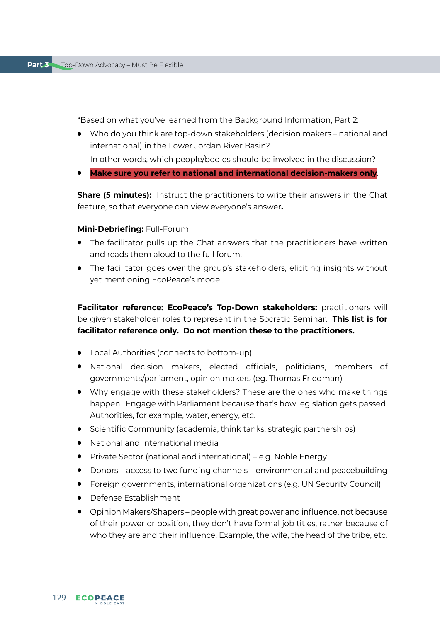"Based on what you've learned from the Background Information, Part 2:

- Who do you think are top-down stakeholders (decision makers national and international) in the Lower Jordan River Basin?
- In other words, which people/bodies should be involved in the discussion?
- **Make sure you refer to national and international decision-makers only**.

**Share (5 minutes):** Instruct the practitioners to write their answers in the Chat feature, so that everyone can view everyone's answer**.** 

### **Mini-Debriefing:** Full-Forum

- The facilitator pulls up the Chat answers that the practitioners have written and reads them aloud to the full forum.
- The facilitator goes over the group's stakeholders, eliciting insights without yet mentioning EcoPeace's model.

**Facilitator reference: EcoPeace's Top-Down stakeholders:** practitioners will be given stakeholder roles to represent in the Socratic Seminar. **This list is for facilitator reference only. Do not mention these to the practitioners.**

- Local Authorities (connects to bottom-up)
- National decision makers, elected officials, politicians, members of governments/parliament, opinion makers (eg. Thomas Friedman)
- Why engage with these stakeholders? These are the ones who make things happen. Engage with Parliament because that's how legislation gets passed. Authorities, for example, water, energy, etc.
- Scientific Community (academia, think tanks, strategic partnerships)
- National and International media
- Private Sector (national and international) e.g. Noble Energy
- Donors access to two funding channels environmental and peacebuilding
- Foreign governments, international organizations (e.g. UN Security Council)
- Defense Establishment
- Opinion Makers/Shapers people with great power and influence, not because of their power or position, they don't have formal job titles, rather because of who they are and their influence. Example, the wife, the head of the tribe, etc.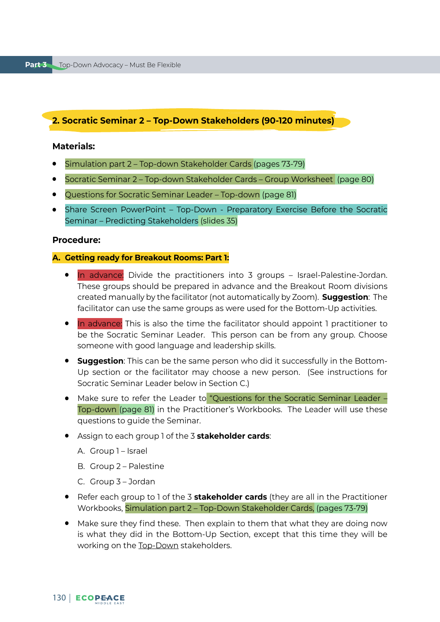# **2. Socratic Seminar 2 – Top-Down Stakeholders (90-120 minutes)**

### **Materials:**

- Simulation part 2 Top-down Stakeholder Cards (pages 73-79)
- Socratic Seminar 2 Top-down Stakeholder Cards Group Worksheet (page 80)
- Questions for Socratic Seminar Leader Top-down (page 81)
- Share Screen PowerPoint Top-Down Preparatory Exercise Before the Socratic Seminar – Predicting Stakeholders (slides 35)

# **Procedure:**

### **A. Getting ready for Breakout Rooms: Part 1:**

- In advance: Divide the practitioners into 3 groups Israel-Palestine-Jordan. These groups should be prepared in advance and the Breakout Room divisions created manually by the facilitator (not automatically by Zoom). **Suggestion**: The facilitator can use the same groups as were used for the Bottom-Up activities.
- In advance: This is also the time the facilitator should appoint 1 practitioner to be the Socratic Seminar Leader. This person can be from any group. Choose someone with good language and leadership skills.
- **Suggestion**: This can be the same person who did it successfully in the Bottom-Up section or the facilitator may choose a new person. (See instructions for Socratic Seminar Leader below in Section C.)
- Make sure to refer the Leader to "Questions for the Socratic Seminar Leader Top-down (page 81) in the Practitioner's Workbooks. The Leader will use these questions to guide the Seminar.
- Assign to each group 1 of the 3 **stakeholder cards**:
	- A. Group 1 Israel
	- B. Group 2 Palestine
	- C. Group 3 Jordan
- Refer each group to 1 of the 3 **stakeholder cards** (they are all in the Practitioner Workbooks, Simulation part 2 – Top-Down Stakeholder Cards, (pages 73-79)
- Make sure they find these. Then explain to them that what they are doing now is what they did in the Bottom-Up Section, except that this time they will be working on the Top-Down stakeholders.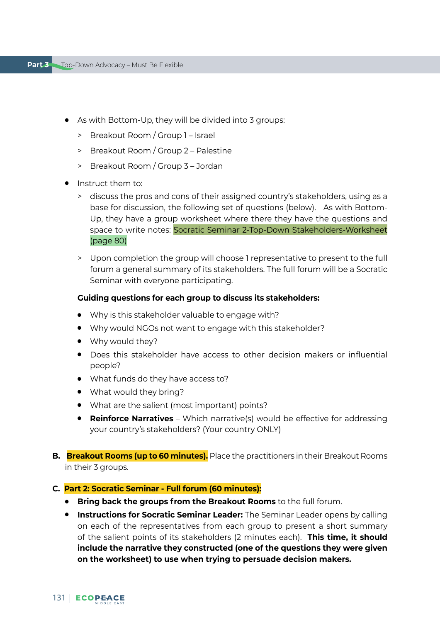- As with Bottom-Up, they will be divided into 3 groups:
	- > Breakout Room / Group 1 Israel
	- > Breakout Room / Group 2 Palestine
	- > Breakout Room / Group 3 Jordan
- Instruct them to:
	- > discuss the pros and cons of their assigned country's stakeholders, using as a base for discussion, the following set of questions (below). As with Bottom-Up, they have a group worksheet where there they have the questions and space to write notes: Socratic Seminar 2-Top-Down Stakeholders-Worksheet (page 80)
	- > Upon completion the group will choose 1 representative to present to the full forum a general summary of its stakeholders. The full forum will be a Socratic Seminar with everyone participating.

### **Guiding questions for each group to discuss its stakeholders:**

- Why is this stakeholder valuable to engage with?
- Why would NGOs not want to engage with this stakeholder?
- Why would they?
- Does this stakeholder have access to other decision makers or influential people?
- What funds do they have access to?
- What would they bring?
- What are the salient (most important) points?
- **Reinforce Narratives** Which narrative(s) would be effective for addressing your country's stakeholders? (Your country ONLY)
- **B. Breakout Rooms (up to 60 minutes).** Place the practitioners in their Breakout Rooms in their 3 groups.

#### **C. Part 2: Socratic Seminar - Full forum (60 minutes):**

- **Bring back the groups from the Breakout Rooms** to the full forum.
- **Instructions for Socratic Seminar Leader:** The Seminar Leader opens by calling on each of the representatives from each group to present a short summary of the salient points of its stakeholders (2 minutes each). **This time, it should include the narrative they constructed (one of the questions they were given on the worksheet) to use when trying to persuade decision makers.**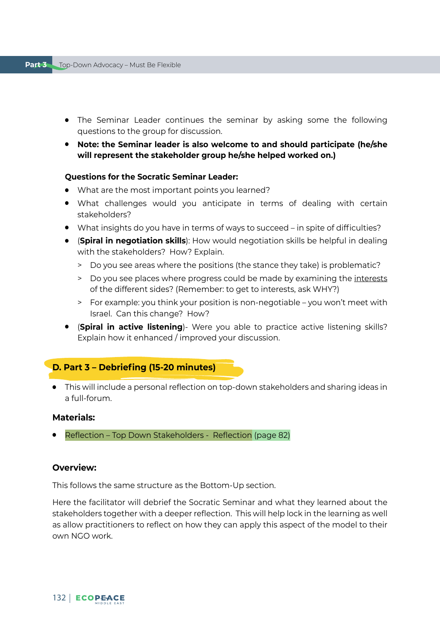- The Seminar Leader continues the seminar by asking some the following questions to the group for discussion.
- **Note: the Seminar leader is also welcome to and should participate (he/she will represent the stakeholder group he/she helped worked on.)**

# **Questions for the Socratic Seminar Leader:**

- What are the most important points you learned?
- What challenges would you anticipate in terms of dealing with certain stakeholders?
- What insights do you have in terms of ways to succeed in spite of difficulties?
- (**Spiral in negotiation skills**): How would negotiation skills be helpful in dealing with the stakeholders? How? Explain.
	- > Do you see areas where the positions (the stance they take) is problematic?
	- > Do you see places where progress could be made by examining the interests of the different sides? (Remember: to get to interests, ask WHY?)
	- > For example: you think your position is non-negotiable you won't meet with Israel. Can this change? How?
- (**Spiral in active listening**)- Were you able to practice active listening skills? Explain how it enhanced / improved your discussion.

# **D. Part 3 – Debriefing (15-20 minutes)**

● This will include a personal reflection on top-down stakeholders and sharing ideas in a full-forum.

# **Materials:**

Reflection – Top Down Stakeholders - Reflection (page 82)

# **Overview:**

This follows the same structure as the Bottom-Up section.

Here the facilitator will debrief the Socratic Seminar and what they learned about the stakeholders together with a deeper reflection. This will help lock in the learning as well as allow practitioners to reflect on how they can apply this aspect of the model to their own NGO work.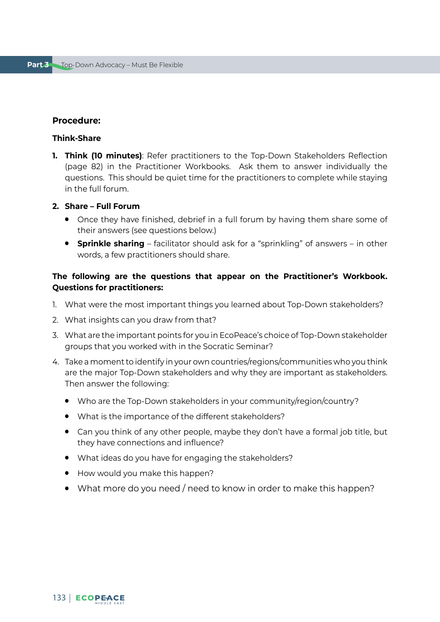### **Procedure:**

### **Think-Share**

**1. Think (10 minutes)**: Refer practitioners to the Top-Down Stakeholders Reflection (page 82) in the Practitioner Workbooks. Ask them to answer individually the questions. This should be quiet time for the practitioners to complete while staying in the full forum.

### **2. Share – Full Forum**

- Once they have finished, debrief in a full forum by having them share some of their answers (see questions below.)
- **Sprinkle sharing** facilitator should ask for a "sprinkling" of answers in other words, a few practitioners should share.

### **The following are the questions that appear on the Practitioner's Workbook. Questions for practitioners:**

- 1. What were the most important things you learned about Top-Down stakeholders?
- 2. What insights can you draw from that?
- 3. What are the important points for you in EcoPeace's choice of Top-Down stakeholder groups that you worked with in the Socratic Seminar?
- 4. Take a moment to identify in your own countries/regions/communities who you think are the major Top-Down stakeholders and why they are important as stakeholders. Then answer the following:
	- Who are the Top-Down stakeholders in your community/region/country?
	- What is the importance of the different stakeholders?
	- Can you think of any other people, maybe they don't have a formal job title, but they have connections and influence?
	- What ideas do you have for engaging the stakeholders?
	- How would you make this happen?
	- What more do you need / need to know in order to make this happen?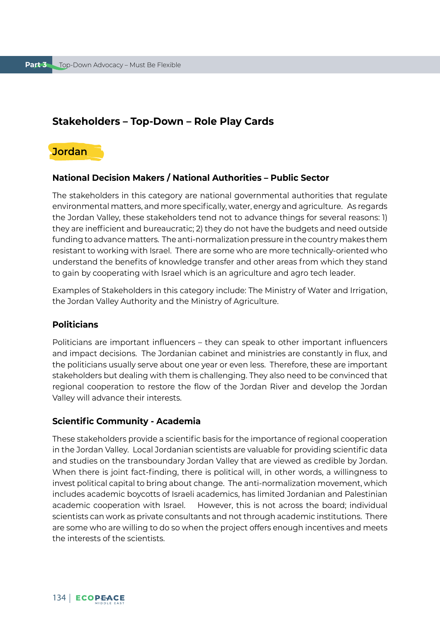# **Stakeholders – Top-Down – Role Play Cards**



# **National Decision Makers / National Authorities – Public Sector**

The stakeholders in this category are national governmental authorities that regulate environmental matters, and more specifically, water, energy and agriculture. As regards the Jordan Valley, these stakeholders tend not to advance things for several reasons: 1) they are inefficient and bureaucratic; 2) they do not have the budgets and need outside funding to advance matters. The anti-normalization pressure in the country makes them resistant to working with Israel. There are some who are more technically-oriented who understand the benefits of knowledge transfer and other areas from which they stand to gain by cooperating with Israel which is an agriculture and agro tech leader.

Examples of Stakeholders in this category include: The Ministry of Water and Irrigation, the Jordan Valley Authority and the Ministry of Agriculture.

### **Politicians**

Politicians are important influencers – they can speak to other important influencers and impact decisions. The Jordanian cabinet and ministries are constantly in flux, and the politicians usually serve about one year or even less. Therefore, these are important stakeholders but dealing with them is challenging. They also need to be convinced that regional cooperation to restore the flow of the Jordan River and develop the Jordan Valley will advance their interests.

### **Scientific Community - Academia**

These stakeholders provide a scientific basis for the importance of regional cooperation in the Jordan Valley. Local Jordanian scientists are valuable for providing scientific data and studies on the transboundary Jordan Valley that are viewed as credible by Jordan. When there is joint fact-finding, there is political will, in other words, a willingness to invest political capital to bring about change. The anti-normalization movement, which includes academic boycotts of Israeli academics, has limited Jordanian and Palestinian academic cooperation with Israel. However, this is not across the board; individual scientists can work as private consultants and not through academic institutions. There are some who are willing to do so when the project offers enough incentives and meets the interests of the scientists.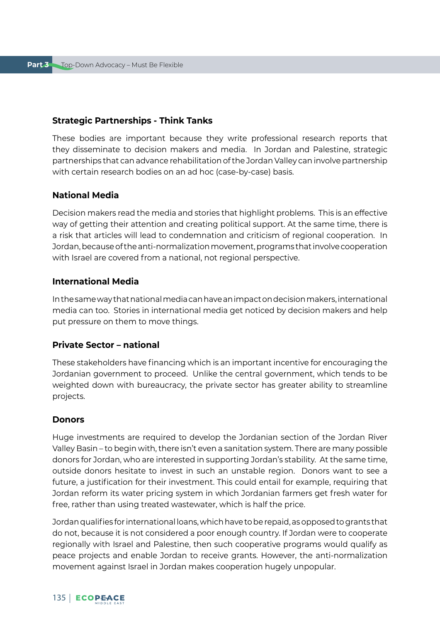### **Strategic Partnerships - Think Tanks**

These bodies are important because they write professional research reports that they disseminate to decision makers and media. In Jordan and Palestine, strategic partnerships that can advance rehabilitation of the Jordan Valley can involve partnership with certain research bodies on an ad hoc (case-by-case) basis.

### **National Media**

Decision makers read the media and stories that highlight problems. This is an effective way of getting their attention and creating political support. At the same time, there is a risk that articles will lead to condemnation and criticism of regional cooperation. In Jordan, because of the anti-normalization movement, programs that involve cooperation with Israel are covered from a national, not regional perspective.

### **International Media**

In the same way that national media can have an impact on decision makers, international media can too. Stories in international media get noticed by decision makers and help put pressure on them to move things.

### **Private Sector – national**

These stakeholders have financing which is an important incentive for encouraging the Jordanian government to proceed. Unlike the central government, which tends to be weighted down with bureaucracy, the private sector has greater ability to streamline projects.

### **Donors**

Huge investments are required to develop the Jordanian section of the Jordan River Valley Basin – to begin with, there isn't even a sanitation system. There are many possible donors for Jordan, who are interested in supporting Jordan's stability. At the same time, outside donors hesitate to invest in such an unstable region. Donors want to see a future, a justification for their investment. This could entail for example, requiring that Jordan reform its water pricing system in which Jordanian farmers get fresh water for free, rather than using treated wastewater, which is half the price.

Jordan qualifies for international loans, which have to be repaid, as opposed to grants that do not, because it is not considered a poor enough country. If Jordan were to cooperate regionally with Israel and Palestine, then such cooperative programs would qualify as peace projects and enable Jordan to receive grants. However, the anti-normalization movement against Israel in Jordan makes cooperation hugely unpopular.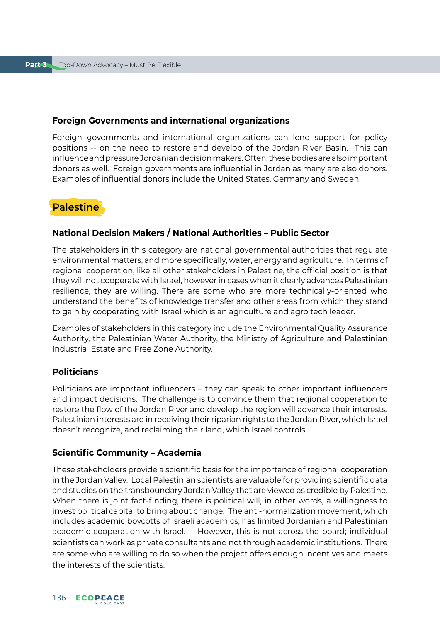### **Foreign Governments and international organizations**

Foreign governments and international organizations can lend support for policy positions -- on the need to restore and develop of the Jordan River Basin. This can influence and pressure Jordanian decision makers. Often, these bodies are also important donors as well. Foreign governments are influential in Jordan as many are also donors. Examples of influential donors include the United States, Germany and Sweden.

# **Palestine**

### **National Decision Makers / National Authorities – Public Sector**

The stakeholders in this category are national governmental authorities that regulate environmental matters, and more specifically, water, energy and agriculture. In terms of regional cooperation, like all other stakeholders in Palestine, the official position is that they will not cooperate with Israel, however in cases when it clearly advances Palestinian resilience, they are willing. There are some who are more technically-oriented who understand the benefits of knowledge transfer and other areas from which they stand to gain by cooperating with Israel which is an agriculture and agro tech leader.

Examples of stakeholders in this category include the Environmental Quality Assurance Authority, the Palestinian Water Authority, the Ministry of Agriculture and Palestinian Industrial Estate and Free Zone Authority.

### **Politicians**

Politicians are important influencers – they can speak to other important influencers and impact decisions. The challenge is to convince them that regional cooperation to restore the flow of the Jordan River and develop the region will advance their interests. Palestinian interests are in receiving their riparian rights to the Jordan River, which Israel doesn't recognize, and reclaiming their land, which Israel controls.

### **Scientific Community – Academia**

These stakeholders provide a scientific basis for the importance of regional cooperation in the Jordan Valley. Local Palestinian scientists are valuable for providing scientific data and studies on the transboundary Jordan Valley that are viewed as credible by Palestine. When there is joint fact-finding, there is political will, in other words, a willingness to invest political capital to bring about change. The anti-normalization movement, which includes academic boycotts of Israeli academics, has limited Jordanian and Palestinian academic cooperation with Israel. However, this is not across the board; individual scientists can work as private consultants and not through academic institutions. There are some who are willing to do so when the project offers enough incentives and meets the interests of the scientists.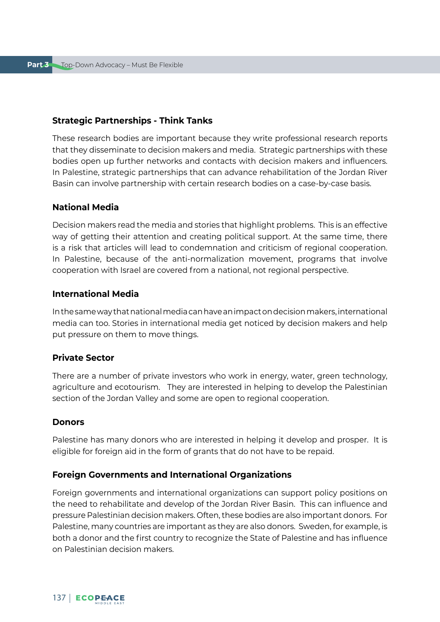### **Strategic Partnerships - Think Tanks**

These research bodies are important because they write professional research reports that they disseminate to decision makers and media. Strategic partnerships with these bodies open up further networks and contacts with decision makers and influencers. In Palestine, strategic partnerships that can advance rehabilitation of the Jordan River Basin can involve partnership with certain research bodies on a case-by-case basis.

### **National Media**

Decision makers read the media and stories that highlight problems. This is an effective way of getting their attention and creating political support. At the same time, there is a risk that articles will lead to condemnation and criticism of regional cooperation. In Palestine, because of the anti-normalization movement, programs that involve cooperation with Israel are covered from a national, not regional perspective.

### **International Media**

In the same way that national media can have an impact on decision makers, international media can too. Stories in international media get noticed by decision makers and help put pressure on them to move things.

### **Private Sector**

There are a number of private investors who work in energy, water, green technology, agriculture and ecotourism. They are interested in helping to develop the Palestinian section of the Jordan Valley and some are open to regional cooperation.

### **Donors**

Palestine has many donors who are interested in helping it develop and prosper. It is eligible for foreign aid in the form of grants that do not have to be repaid.

### **Foreign Governments and International Organizations**

Foreign governments and international organizations can support policy positions on the need to rehabilitate and develop of the Jordan River Basin. This can influence and pressure Palestinian decision makers. Often, these bodies are also important donors. For Palestine, many countries are important as they are also donors. Sweden, for example, is both a donor and the first country to recognize the State of Palestine and has influence on Palestinian decision makers.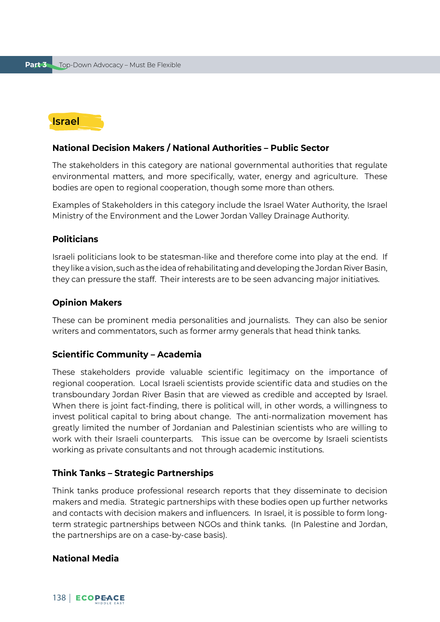# **Israel**

### **National Decision Makers / National Authorities – Public Sector**

The stakeholders in this category are national governmental authorities that regulate environmental matters, and more specifically, water, energy and agriculture. These bodies are open to regional cooperation, though some more than others.

Examples of Stakeholders in this category include the Israel Water Authority, the Israel Ministry of the Environment and the Lower Jordan Valley Drainage Authority.

### **Politicians**

Israeli politicians look to be statesman-like and therefore come into play at the end. If they like a vision, such as the idea of rehabilitating and developing the Jordan River Basin, they can pressure the staff. Their interests are to be seen advancing major initiatives.

### **Opinion Makers**

These can be prominent media personalities and journalists. They can also be senior writers and commentators, such as former army generals that head think tanks.

#### **Scientific Community – Academia**

These stakeholders provide valuable scientific legitimacy on the importance of regional cooperation. Local Israeli scientists provide scientific data and studies on the transboundary Jordan River Basin that are viewed as credible and accepted by Israel. When there is joint fact-finding, there is political will, in other words, a willingness to invest political capital to bring about change. The anti-normalization movement has greatly limited the number of Jordanian and Palestinian scientists who are willing to work with their Israeli counterparts. This issue can be overcome by Israeli scientists working as private consultants and not through academic institutions.

### **Think Tanks – Strategic Partnerships**

Think tanks produce professional research reports that they disseminate to decision makers and media. Strategic partnerships with these bodies open up further networks and contacts with decision makers and influencers. In Israel, it is possible to form longterm strategic partnerships between NGOs and think tanks. (In Palestine and Jordan, the partnerships are on a case-by-case basis).

### **National Media**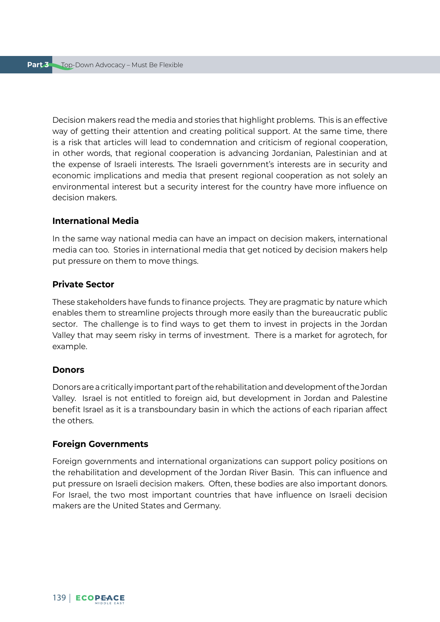Decision makers read the media and stories that highlight problems. This is an effective way of getting their attention and creating political support. At the same time, there is a risk that articles will lead to condemnation and criticism of regional cooperation, in other words, that regional cooperation is advancing Jordanian, Palestinian and at the expense of Israeli interests. The Israeli government's interests are in security and economic implications and media that present regional cooperation as not solely an environmental interest but a security interest for the country have more influence on decision makers.

### **International Media**

In the same way national media can have an impact on decision makers, international media can too. Stories in international media that get noticed by decision makers help put pressure on them to move things.

### **Private Sector**

These stakeholders have funds to finance projects. They are pragmatic by nature which enables them to streamline projects through more easily than the bureaucratic public sector. The challenge is to find ways to get them to invest in projects in the Jordan Valley that may seem risky in terms of investment. There is a market for agrotech, for example.

#### **Donors**

Donors are a critically important part of the rehabilitation and development of the Jordan Valley. Israel is not entitled to foreign aid, but development in Jordan and Palestine benefit Israel as it is a transboundary basin in which the actions of each riparian affect the others.

#### **Foreign Governments**

Foreign governments and international organizations can support policy positions on the rehabilitation and development of the Jordan River Basin. This can influence and put pressure on Israeli decision makers. Often, these bodies are also important donors. For Israel, the two most important countries that have influence on Israeli decision makers are the United States and Germany.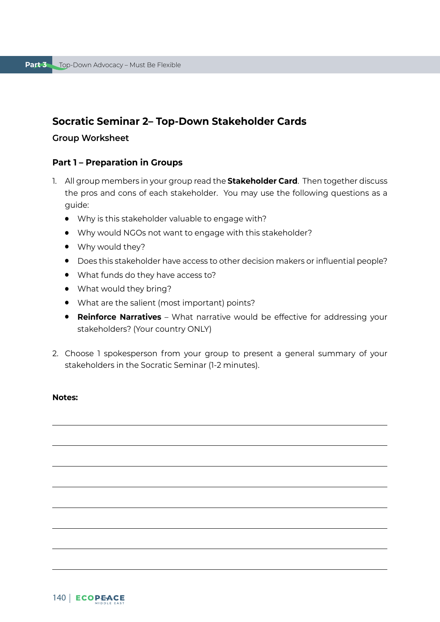# **Socratic Seminar 2– Top-Down Stakeholder Cards**

### **Group Worksheet**

### **Part 1 – Preparation in Groups**

- 1. All group members in your group read the **Stakeholder Card**. Then together discuss the pros and cons of each stakeholder. You may use the following questions as a guide:
	- Why is this stakeholder valuable to engage with?
	- Why would NGOs not want to engage with this stakeholder?
	- Why would they?
	- Does this stakeholder have access to other decision makers or influential people?
	- What funds do they have access to?
	- What would they bring?
	- What are the salient (most important) points?
	- **Reinforce Narratives** What narrative would be effective for addressing your stakeholders? (Your country ONLY)
- 2. Choose 1 spokesperson from your group to present a general summary of your stakeholders in the Socratic Seminar (1-2 minutes).

### **Notes:**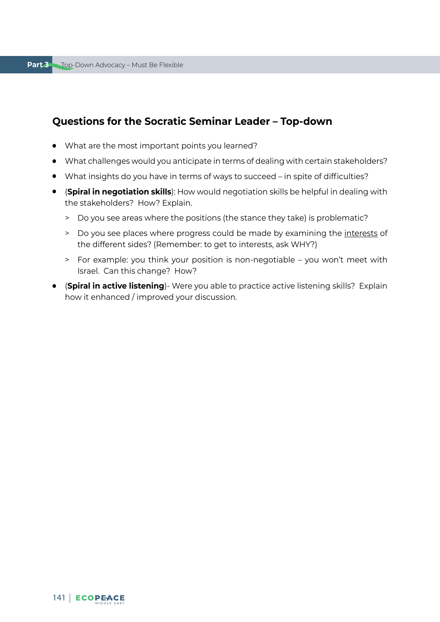# **Questions for the Socratic Seminar Leader – Top-down**

- What are the most important points you learned?
- What challenges would you anticipate in terms of dealing with certain stakeholders?
- What insights do you have in terms of ways to succeed in spite of difficulties?
- (**Spiral in negotiation skills**): How would negotiation skills be helpful in dealing with the stakeholders? How? Explain.
	- > Do you see areas where the positions (the stance they take) is problematic?
	- > Do you see places where progress could be made by examining the interests of the different sides? (Remember: to get to interests, ask WHY?)
	- > For example: you think your position is non-negotiable you won't meet with Israel. Can this change? How?
- (**Spiral in active listening**)- Were you able to practice active listening skills? Explain how it enhanced / improved your discussion.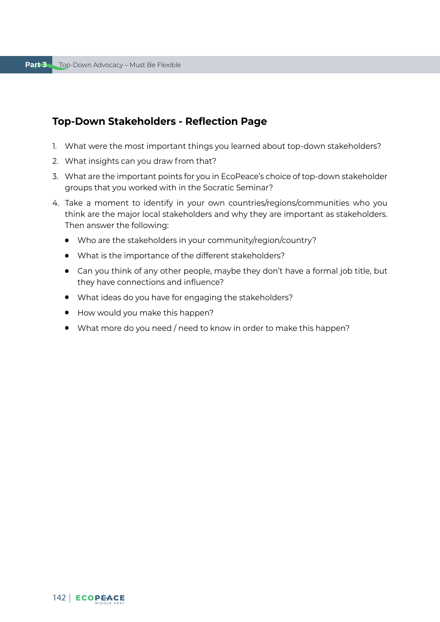# **Top-Down Stakeholders - Reflection Page**

- 1. What were the most important things you learned about top-down stakeholders?
- 2. What insights can you draw from that?
- 3. What are the important points for you in EcoPeace's choice of top-down stakeholder groups that you worked with in the Socratic Seminar?
- 4. Take a moment to identify in your own countries/regions/communities who you think are the major local stakeholders and why they are important as stakeholders. Then answer the following:
	- Who are the stakeholders in your community/region/country?
	- What is the importance of the different stakeholders?
	- Can you think of any other people, maybe they don't have a formal job title, but they have connections and influence?
	- What ideas do you have for engaging the stakeholders?
	- How would you make this happen?
	- What more do you need / need to know in order to make this happen?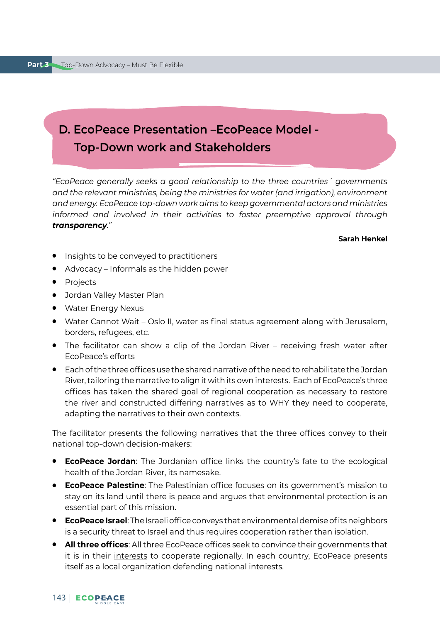# **D. EcoPeace Presentation –EcoPeace Model - Top-Down work and Stakeholders**

*"EcoPeace generally seeks a good relationship to the three countries´ governments and the relevant ministries, being the ministries for water (and irrigation), environment and energy. EcoPeace top-down work aims to keep governmental actors and ministries informed and involved in their activities to foster preemptive approval through transparency."* 

### **Sarah Henkel**

- Insights to be conveyed to practitioners
- Advocacy Informals as the hidden power
- Projects
- Jordan Valley Master Plan
- Water Energy Nexus
- Water Cannot Wait Oslo II, water as final status agreement along with Jerusalem, borders, refugees, etc.
- The facilitator can show a clip of the Jordan River receiving fresh water after EcoPeace's efforts
- Each of the three offices use the shared narrative of the need to rehabilitate the Jordan River, tailoring the narrative to align it with its own interests. Each of EcoPeace's three offices has taken the shared goal of regional cooperation as necessary to restore the river and constructed differing narratives as to WHY they need to cooperate, adapting the narratives to their own contexts.

The facilitator presents the following narratives that the three offices convey to their national top-down decision-makers:

- **EcoPeace Jordan**: The Jordanian office links the country's fate to the ecological health of the Jordan River, its namesake.
- **EcoPeace Palestine**: The Palestinian office focuses on its government's mission to stay on its land until there is peace and argues that environmental protection is an essential part of this mission.
- **EcoPeace Israel**: The Israeli office conveys that environmental demise of its neighbors is a security threat to Israel and thus requires cooperation rather than isolation.
- **All three offices**: All three EcoPeace offices seek to convince their governments that it is in their interests to cooperate regionally. In each country, EcoPeace presents itself as a local organization defending national interests.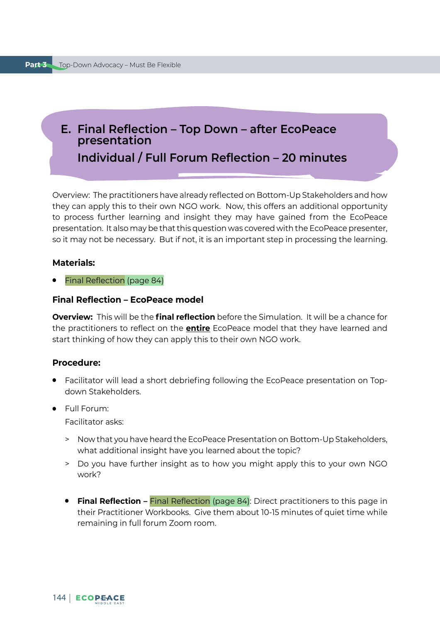# **E. Final Reflection – Top Down – after EcoPeace presentation Individual / Full Forum Reflection – 20 minutes**

Overview: The practitioners have already reflected on Bottom-Up Stakeholders and how they can apply this to their own NGO work. Now, this offers an additional opportunity to process further learning and insight they may have gained from the EcoPeace presentation. It also may be that this question was covered with the EcoPeace presenter, so it may not be necessary. But if not, it is an important step in processing the learning.

### **Materials:**

**Final Reflection (page 84)** 

#### **Final Reflection – EcoPeace model**

**Overview:** This will be the **final reflection** before the Simulation. It will be a chance for the practitioners to reflect on the **entire** EcoPeace model that they have learned and start thinking of how they can apply this to their own NGO work.

#### **Procedure:**

- Facilitator will lead a short debriefing following the EcoPeace presentation on Topdown Stakeholders.
- Full Forum:

Facilitator asks:

- > Now that you have heard the EcoPeace Presentation on Bottom-Up Stakeholders, what additional insight have you learned about the topic?
- > Do you have further insight as to how you might apply this to your own NGO work?
- **Final Reflection** Final Reflection (page 84): Direct practitioners to this page in their Practitioner Workbooks. Give them about 10-15 minutes of quiet time while remaining in full forum Zoom room.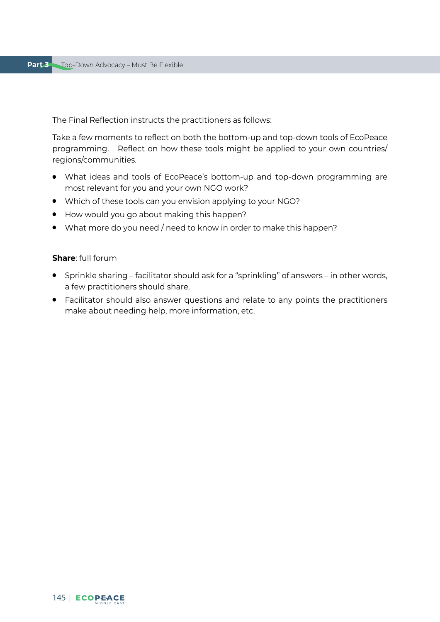The Final Reflection instructs the practitioners as follows:

Take a few moments to reflect on both the bottom-up and top-down tools of EcoPeace programming. Reflect on how these tools might be applied to your own countries/ regions/communities.

- What ideas and tools of EcoPeace's bottom-up and top-down programming are most relevant for you and your own NGO work?
- Which of these tools can you envision applying to your NGO?
- How would you go about making this happen?
- What more do you need / need to know in order to make this happen?

#### **Share**: full forum

- Sprinkle sharing facilitator should ask for a "sprinkling" of answers in other words, a few practitioners should share.
- Facilitator should also answer questions and relate to any points the practitioners make about needing help, more information, etc.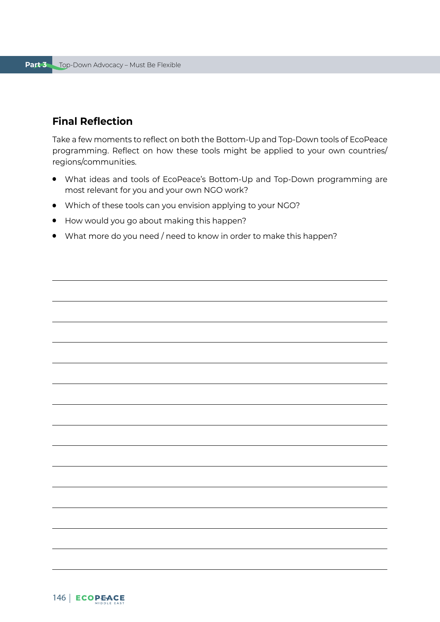# **Final Reflection**

Take a few moments to reflect on both the Bottom-Up and Top-Down tools of EcoPeace programming. Reflect on how these tools might be applied to your own countries/ regions/communities.

- What ideas and tools of EcoPeace's Bottom-Up and Top-Down programming are most relevant for you and your own NGO work?
- Which of these tools can you envision applying to your NGO?
- How would you go about making this happen?
- What more do you need / need to know in order to make this happen?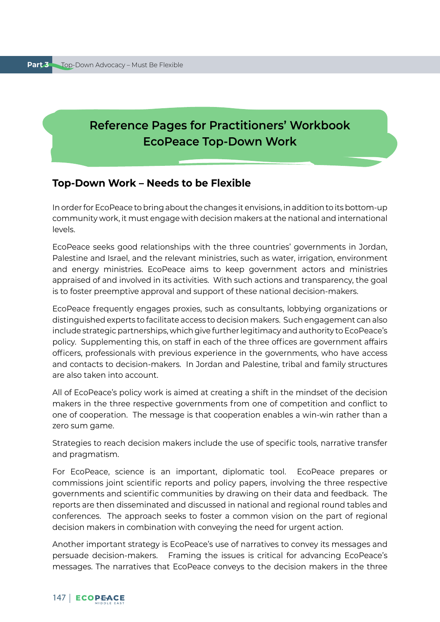# **Reference Pages for Practitioners' Workbook EcoPeace Top-Down Work**

# **Top-Down Work – Needs to be Flexible**

In order for EcoPeace to bring about the changes it envisions, in addition to its bottom-up community work, it must engage with decision makers at the national and international levels.

EcoPeace seeks good relationships with the three countries' governments in Jordan, Palestine and Israel, and the relevant ministries, such as water, irrigation, environment and energy ministries. EcoPeace aims to keep government actors and ministries appraised of and involved in its activities. With such actions and transparency, the goal is to foster preemptive approval and support of these national decision-makers.

EcoPeace frequently engages proxies, such as consultants, lobbying organizations or distinguished experts to facilitate access to decision makers. Such engagement can also include strategic partnerships, which give further legitimacy and authority to EcoPeace's policy. Supplementing this, on staff in each of the three offices are government affairs officers, professionals with previous experience in the governments, who have access and contacts to decision-makers. In Jordan and Palestine, tribal and family structures are also taken into account.

All of EcoPeace's policy work is aimed at creating a shift in the mindset of the decision makers in the three respective governments from one of competition and conflict to one of cooperation. The message is that cooperation enables a win-win rather than a zero sum game.

Strategies to reach decision makers include the use of specific tools, narrative transfer and pragmatism.

For EcoPeace, science is an important, diplomatic tool. EcoPeace prepares or commissions joint scientific reports and policy papers, involving the three respective governments and scientific communities by drawing on their data and feedback. The reports are then disseminated and discussed in national and regional round tables and conferences. The approach seeks to foster a common vision on the part of regional decision makers in combination with conveying the need for urgent action.

Another important strategy is EcoPeace's use of narratives to convey its messages and persuade decision-makers. Framing the issues is critical for advancing EcoPeace's messages. The narratives that EcoPeace conveys to the decision makers in the three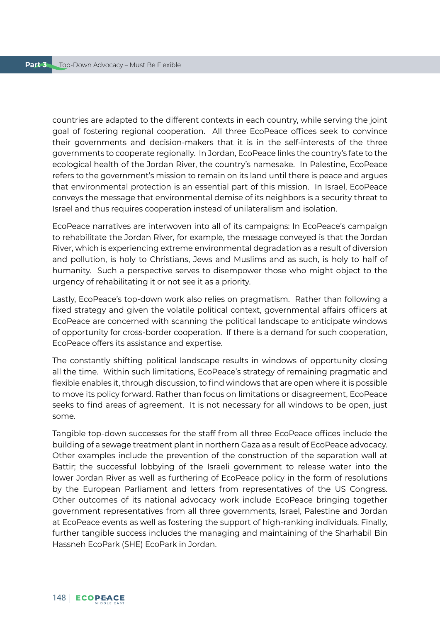countries are adapted to the different contexts in each country, while serving the joint goal of fostering regional cooperation. All three EcoPeace offices seek to convince their governments and decision-makers that it is in the self-interests of the three governments to cooperate regionally. In Jordan, EcoPeace links the country's fate to the ecological health of the Jordan River, the country's namesake. In Palestine, EcoPeace refers to the government's mission to remain on its land until there is peace and argues that environmental protection is an essential part of this mission. In Israel, EcoPeace conveys the message that environmental demise of its neighbors is a security threat to Israel and thus requires cooperation instead of unilateralism and isolation.

EcoPeace narratives are interwoven into all of its campaigns: In EcoPeace's campaign to rehabilitate the Jordan River, for example, the message conveyed is that the Jordan River, which is experiencing extreme environmental degradation as a result of diversion and pollution, is holy to Christians, Jews and Muslims and as such, is holy to half of humanity. Such a perspective serves to disempower those who might object to the urgency of rehabilitating it or not see it as a priority.

Lastly, EcoPeace's top-down work also relies on pragmatism. Rather than following a fixed strategy and given the volatile political context, governmental affairs officers at EcoPeace are concerned with scanning the political landscape to anticipate windows of opportunity for cross-border cooperation. If there is a demand for such cooperation, EcoPeace offers its assistance and expertise.

The constantly shifting political landscape results in windows of opportunity closing all the time. Within such limitations, EcoPeace's strategy of remaining pragmatic and flexible enables it, through discussion, to find windows that are open where it is possible to move its policy forward. Rather than focus on limitations or disagreement, EcoPeace seeks to find areas of agreement. It is not necessary for all windows to be open, just some.

Tangible top-down successes for the staff from all three EcoPeace offices include the building of a sewage treatment plant in northern Gaza as a result of EcoPeace advocacy. Other examples include the prevention of the construction of the separation wall at Battir; the successful lobbying of the Israeli government to release water into the lower Jordan River as well as furthering of EcoPeace policy in the form of resolutions by the European Parliament and letters from representatives of the US Congress. Other outcomes of its national advocacy work include EcoPeace bringing together government representatives from all three governments, Israel, Palestine and Jordan at EcoPeace events as well as fostering the support of high-ranking individuals. Finally, further tangible success includes the managing and maintaining of the Sharhabil Bin Hassneh EcoPark (SHE) EcoPark in Jordan.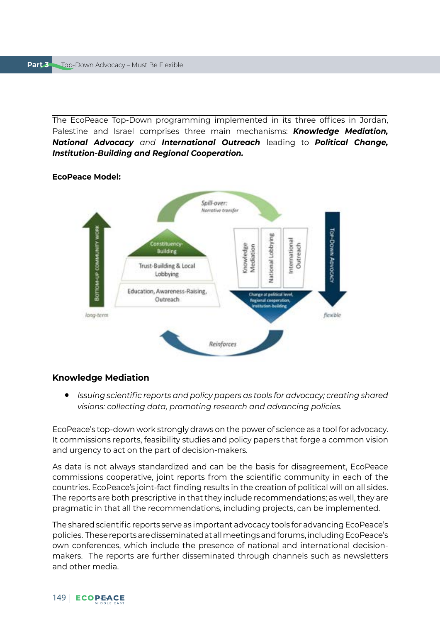The EcoPeace Top-Down programming implemented in its three offices in Jordan, Palestine and Israel comprises three main mechanisms: *Knowledge Mediation, National Advocacy and International Outreach* leading to *Political Change, Institution-Building and Regional Cooperation.* 

## **EcoPeace Model:**



#### **Knowledge Mediation**

● *Issuing scientific reports and policy papers as tools for advocacy; creating shared visions: collecting data, promoting research and advancing policies.*

EcoPeace's top-down work strongly draws on the power of science as a tool for advocacy. It commissions reports, feasibility studies and policy papers that forge a common vision and urgency to act on the part of decision-makers.

As data is not always standardized and can be the basis for disagreement, EcoPeace commissions cooperative, joint reports from the scientific community in each of the countries. EcoPeace's joint-fact finding results in the creation of political will on all sides. The reports are both prescriptive in that they include recommendations; as well, they are pragmatic in that all the recommendations, including projects, can be implemented.

The shared scientific reports serve as important advocacy tools for advancing EcoPeace's policies. These reports are disseminated at all meetings and forums, including EcoPeace's own conferences, which include the presence of national and international decisionmakers. The reports are further disseminated through channels such as newsletters and other media.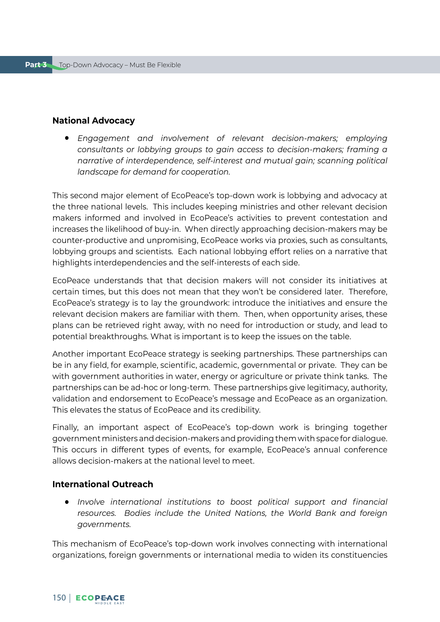#### **National Advocacy**

● *Engagement and involvement of relevant decision-makers; employing consultants or lobbying groups to gain access to decision-makers; framing a narrative of interdependence, self-interest and mutual gain; scanning political landscape for demand for cooperation.*

This second major element of EcoPeace's top-down work is lobbying and advocacy at the three national levels. This includes keeping ministries and other relevant decision makers informed and involved in EcoPeace's activities to prevent contestation and increases the likelihood of buy-in. When directly approaching decision-makers may be counter-productive and unpromising, EcoPeace works via proxies, such as consultants, lobbying groups and scientists. Each national lobbying effort relies on a narrative that highlights interdependencies and the self-interests of each side.

EcoPeace understands that that decision makers will not consider its initiatives at certain times, but this does not mean that they won't be considered later. Therefore, EcoPeace's strategy is to lay the groundwork: introduce the initiatives and ensure the relevant decision makers are familiar with them. Then, when opportunity arises, these plans can be retrieved right away, with no need for introduction or study, and lead to potential breakthroughs. What is important is to keep the issues on the table.

Another important EcoPeace strategy is seeking partnerships. These partnerships can be in any field, for example, scientific, academic, governmental or private. They can be with government authorities in water, energy or agriculture or private think tanks. The partnerships can be ad-hoc or long-term. These partnerships give legitimacy, authority, validation and endorsement to EcoPeace's message and EcoPeace as an organization. This elevates the status of EcoPeace and its credibility.

Finally, an important aspect of EcoPeace's top-down work is bringing together government ministers and decision-makers and providing them with space for dialogue. This occurs in different types of events, for example, EcoPeace's annual conference allows decision-makers at the national level to meet.

### **International Outreach**

● *Involve international institutions to boost political support and financial resources. Bodies include the United Nations, the World Bank and foreign governments.*

This mechanism of EcoPeace's top-down work involves connecting with international organizations, foreign governments or international media to widen its constituencies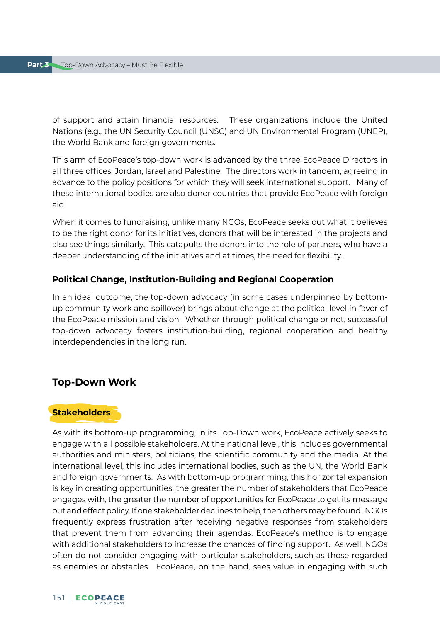of support and attain financial resources. These organizations include the United Nations (e.g., the UN Security Council (UNSC) and UN Environmental Program (UNEP), the World Bank and foreign governments.

This arm of EcoPeace's top-down work is advanced by the three EcoPeace Directors in all three offices, Jordan, Israel and Palestine. The directors work in tandem, agreeing in advance to the policy positions for which they will seek international support. Many of these international bodies are also donor countries that provide EcoPeace with foreign aid.

When it comes to fundraising, unlike many NGOs, EcoPeace seeks out what it believes to be the right donor for its initiatives, donors that will be interested in the projects and also see things similarly. This catapults the donors into the role of partners, who have a deeper understanding of the initiatives and at times, the need for flexibility.

#### **Political Change, Institution-Building and Regional Cooperation**

In an ideal outcome, the top-down advocacy (in some cases underpinned by bottomup community work and spillover) brings about change at the political level in favor of the EcoPeace mission and vision. Whether through political change or not, successful top-down advocacy fosters institution-building, regional cooperation and healthy interdependencies in the long run.

## **Top-Down Work**

#### **Stakeholders**

As with its bottom-up programming, in its Top-Down work, EcoPeace actively seeks to engage with all possible stakeholders. At the national level, this includes governmental authorities and ministers, politicians, the scientific community and the media. At the international level, this includes international bodies, such as the UN, the World Bank and foreign governments. As with bottom-up programming, this horizontal expansion is key in creating opportunities; the greater the number of stakeholders that EcoPeace engages with, the greater the number of opportunities for EcoPeace to get its message out and effect policy. If one stakeholder declines to help, then others may be found. NGOs frequently express frustration after receiving negative responses from stakeholders that prevent them from advancing their agendas. EcoPeace's method is to engage with additional stakeholders to increase the chances of finding support. As well, NGOs often do not consider engaging with particular stakeholders, such as those regarded as enemies or obstacles. EcoPeace, on the hand, sees value in engaging with such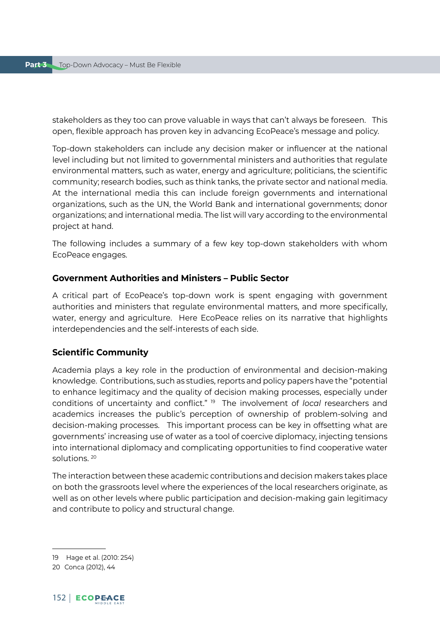stakeholders as they too can prove valuable in ways that can't always be foreseen. This open, flexible approach has proven key in advancing EcoPeace's message and policy.

Top-down stakeholders can include any decision maker or influencer at the national level including but not limited to governmental ministers and authorities that regulate environmental matters, such as water, energy and agriculture; politicians, the scientific community; research bodies, such as think tanks, the private sector and national media. At the international media this can include foreign governments and international organizations, such as the UN, the World Bank and international governments; donor organizations; and international media. The list will vary according to the environmental project at hand.

The following includes a summary of a few key top-down stakeholders with whom EcoPeace engages.

#### **Government Authorities and Ministers – Public Sector**

A critical part of EcoPeace's top-down work is spent engaging with government authorities and ministers that regulate environmental matters, and more specifically, water, energy and agriculture. Here EcoPeace relies on its narrative that highlights interdependencies and the self-interests of each side.

## **Scientific Community**

Academia plays a key role in the production of environmental and decision-making knowledge. Contributions, such as studies, reports and policy papers have the "potential to enhance legitimacy and the quality of decision making processes, especially under conditions of uncertainty and conflict." 19 The involvement of *local* researchers and academics increases the public's perception of ownership of problem-solving and decision-making processes. This important process can be key in offsetting what are governments' increasing use of water as a tool of coercive diplomacy, injecting tensions into international diplomacy and complicating opportunities to find cooperative water solutions. 20

The interaction between these academic contributions and decision makers takes place on both the grassroots level where the experiences of the local researchers originate, as well as on other levels where public participation and decision-making gain legitimacy and contribute to policy and structural change.

<sup>19</sup> Hage et al. (2010: 254)

<sup>20</sup> Conca (2012), 44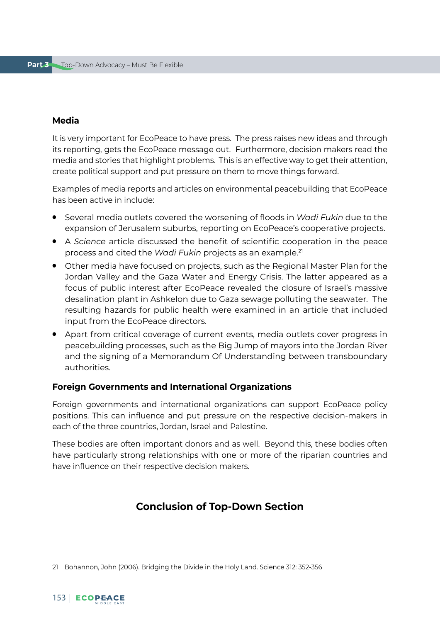#### **Media**

It is very important for EcoPeace to have press. The press raises new ideas and through its reporting, gets the EcoPeace message out. Furthermore, decision makers read the media and stories that highlight problems. This is an effective way to get their attention, create political support and put pressure on them to move things forward.

Examples of media reports and articles on environmental peacebuilding that EcoPeace has been active in include:

- Several media outlets covered the worsening of floods in *Wadi Fukin* due to the expansion of Jerusalem suburbs, reporting on EcoPeace's cooperative projects.
- A *Science* article discussed the benefit of scientific cooperation in the peace process and cited the *Wadi Fukin* projects as an example.21
- Other media have focused on projects, such as the Regional Master Plan for the Jordan Valley and the Gaza Water and Energy Crisis. The latter appeared as a focus of public interest after EcoPeace revealed the closure of Israel's massive desalination plant in Ashkelon due to Gaza sewage polluting the seawater. The resulting hazards for public health were examined in an article that included input from the EcoPeace directors.
- Apart from critical coverage of current events, media outlets cover progress in peacebuilding processes, such as the Big Jump of mayors into the Jordan River and the signing of a Memorandum Of Understanding between transboundary authorities.

#### **Foreign Governments and International Organizations**

Foreign governments and international organizations can support EcoPeace policy positions. This can influence and put pressure on the respective decision-makers in each of the three countries, Jordan, Israel and Palestine.

These bodies are often important donors and as well. Beyond this, these bodies often have particularly strong relationships with one or more of the riparian countries and have influence on their respective decision makers.

# **Conclusion of Top-Down Section**

<sup>21</sup> Bohannon, John (2006). Bridging the Divide in the Holy Land. Science 312: 352-356